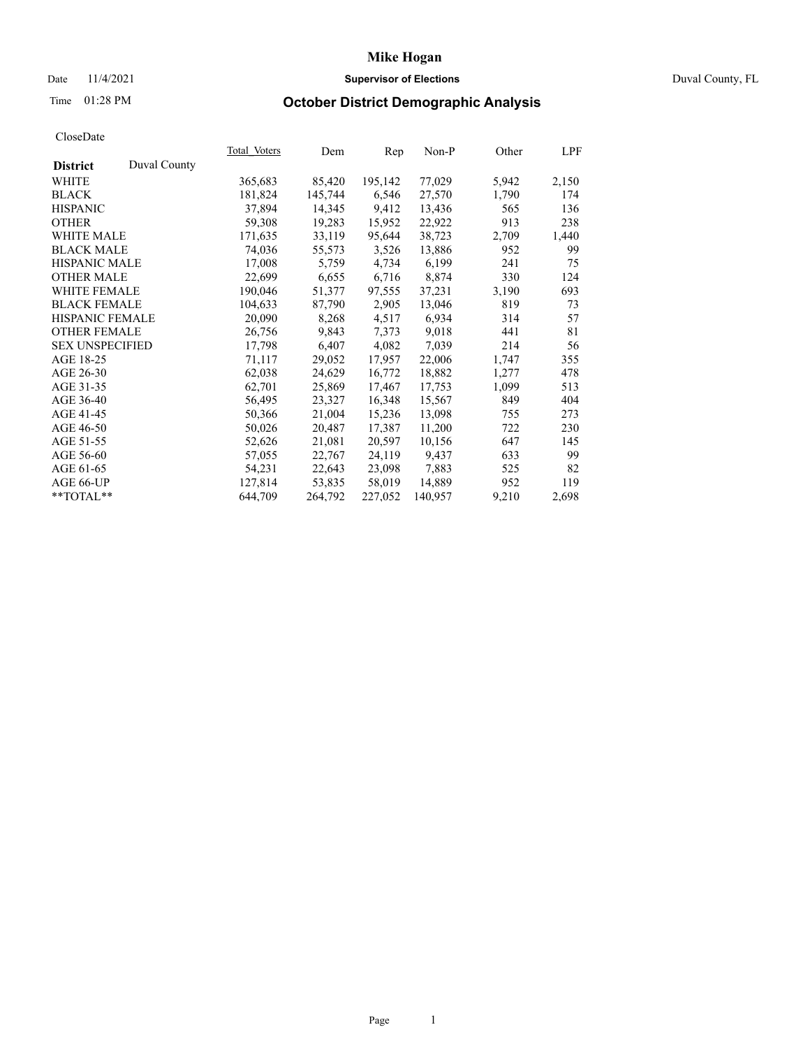## Date 11/4/2021 **Supervisor of Elections Supervisor of Elections** Duval County, FL

# Time 01:28 PM **October District Demographic Analysis**

| Total Voters | Dem     | Rep     | $Non-P$ | Other | LPF   |
|--------------|---------|---------|---------|-------|-------|
|              |         |         |         |       |       |
| 365,683      | 85,420  | 195,142 | 77,029  | 5,942 | 2,150 |
| 181,824      | 145,744 | 6,546   | 27,570  | 1,790 | 174   |
| 37,894       | 14,345  | 9,412   | 13,436  | 565   | 136   |
| 59,308       | 19,283  | 15,952  | 22,922  | 913   | 238   |
| 171,635      | 33,119  | 95,644  | 38,723  | 2,709 | 1,440 |
| 74,036       | 55,573  | 3,526   | 13,886  | 952   | 99    |
| 17,008       | 5,759   | 4,734   | 6,199   | 241   | 75    |
| 22,699       | 6,655   | 6,716   | 8,874   | 330   | 124   |
| 190,046      | 51,377  | 97,555  | 37,231  | 3,190 | 693   |
| 104,633      | 87,790  | 2,905   | 13,046  | 819   | 73    |
| 20,090       | 8,268   | 4,517   | 6,934   | 314   | 57    |
| 26,756       | 9,843   | 7,373   | 9,018   | 441   | 81    |
| 17,798       | 6,407   | 4,082   | 7,039   | 214   | 56    |
| 71,117       | 29,052  | 17,957  | 22,006  | 1,747 | 355   |
| 62,038       | 24,629  | 16,772  | 18,882  | 1,277 | 478   |
| 62,701       | 25,869  | 17,467  | 17,753  | 1,099 | 513   |
| 56,495       | 23,327  | 16,348  | 15,567  | 849   | 404   |
| 50,366       | 21,004  | 15,236  | 13,098  | 755   | 273   |
| 50,026       | 20,487  | 17,387  | 11,200  | 722   | 230   |
| 52,626       | 21,081  | 20,597  | 10,156  | 647   | 145   |
| 57,055       | 22,767  | 24,119  | 9,437   | 633   | 99    |
| 54,231       | 22,643  | 23,098  | 7,883   | 525   | 82    |
| 127,814      | 53,835  | 58,019  | 14,889  | 952   | 119   |
| 644,709      | 264,792 | 227,052 | 140,957 | 9,210 | 2,698 |
|              |         |         |         |       |       |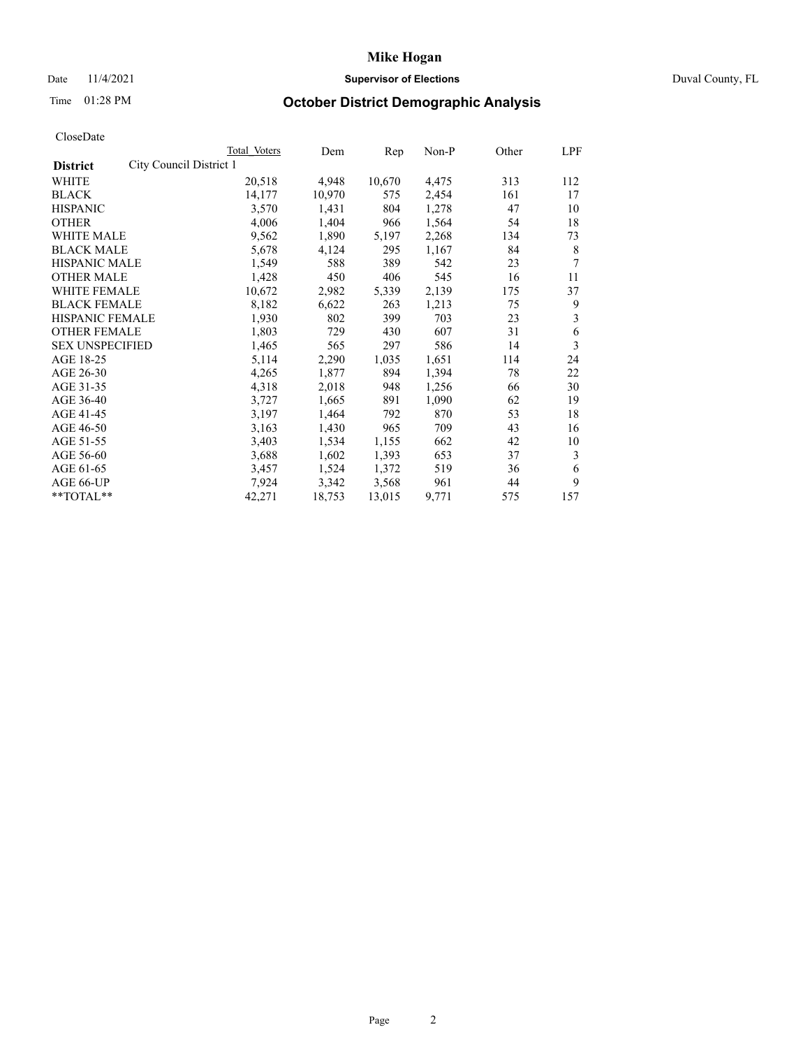## Date 11/4/2021 **Supervisor of Elections Supervisor of Elections** Duval County, FL

# Time 01:28 PM **October District Demographic Analysis**

|                                            | Total Voters | Dem    | Rep    | Non-P | Other | LPF |
|--------------------------------------------|--------------|--------|--------|-------|-------|-----|
| City Council District 1<br><b>District</b> |              |        |        |       |       |     |
| WHITE                                      | 20,518       | 4,948  | 10,670 | 4,475 | 313   | 112 |
| <b>BLACK</b>                               | 14,177       | 10,970 | 575    | 2,454 | 161   | 17  |
| <b>HISPANIC</b>                            | 3,570        | 1,431  | 804    | 1,278 | 47    | 10  |
| <b>OTHER</b>                               | 4,006        | 1,404  | 966    | 1,564 | 54    | 18  |
| WHITE MALE                                 | 9,562        | 1,890  | 5,197  | 2,268 | 134   | 73  |
| <b>BLACK MALE</b>                          | 5,678        | 4,124  | 295    | 1,167 | 84    | 8   |
| <b>HISPANIC MALE</b>                       | 1,549        | 588    | 389    | 542   | 23    | 7   |
| <b>OTHER MALE</b>                          | 1,428        | 450    | 406    | 545   | 16    | 11  |
| WHITE FEMALE                               | 10,672       | 2,982  | 5,339  | 2,139 | 175   | 37  |
| <b>BLACK FEMALE</b>                        | 8,182        | 6,622  | 263    | 1,213 | 75    | 9   |
| <b>HISPANIC FEMALE</b>                     | 1,930        | 802    | 399    | 703   | 23    | 3   |
| <b>OTHER FEMALE</b>                        | 1,803        | 729    | 430    | 607   | 31    | 6   |
| <b>SEX UNSPECIFIED</b>                     | 1,465        | 565    | 297    | 586   | 14    | 3   |
| AGE 18-25                                  | 5,114        | 2,290  | 1,035  | 1,651 | 114   | 24  |
| AGE 26-30                                  | 4,265        | 1,877  | 894    | 1,394 | 78    | 22  |
| AGE 31-35                                  | 4,318        | 2,018  | 948    | 1,256 | 66    | 30  |
| AGE 36-40                                  | 3,727        | 1,665  | 891    | 1,090 | 62    | 19  |
| AGE 41-45                                  | 3,197        | 1,464  | 792    | 870   | 53    | 18  |
| AGE 46-50                                  | 3,163        | 1,430  | 965    | 709   | 43    | 16  |
| AGE 51-55                                  | 3,403        | 1,534  | 1,155  | 662   | 42    | 10  |
| AGE 56-60                                  | 3,688        | 1,602  | 1,393  | 653   | 37    | 3   |
| AGE 61-65                                  | 3,457        | 1,524  | 1,372  | 519   | 36    | 6   |
| AGE 66-UP                                  | 7,924        | 3,342  | 3,568  | 961   | 44    | 9   |
| $*$ $TOTAL**$                              | 42,271       | 18,753 | 13,015 | 9,771 | 575   | 157 |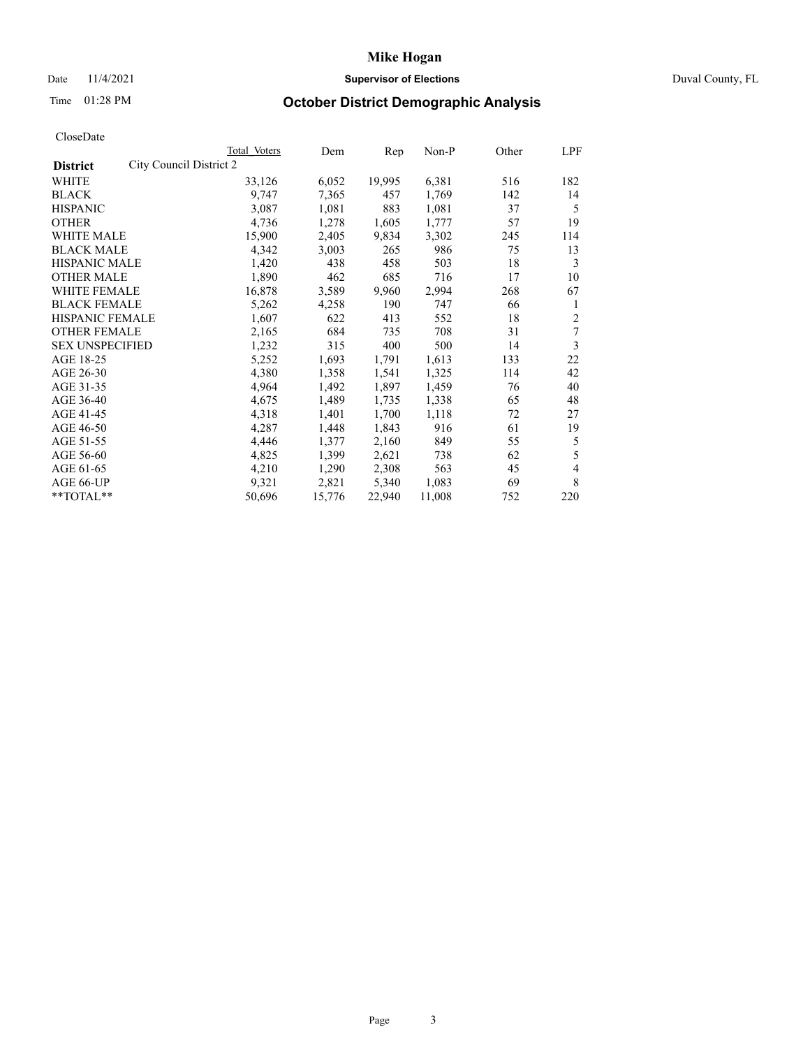## Date 11/4/2021 **Supervisor of Elections Supervisor of Elections** Duval County, FL

# Time 01:28 PM **October District Demographic Analysis**

|                                            | Total Voters | Dem    | Rep    | Non-P  | Other | LPF            |
|--------------------------------------------|--------------|--------|--------|--------|-------|----------------|
| City Council District 2<br><b>District</b> |              |        |        |        |       |                |
| WHITE                                      | 33,126       | 6,052  | 19,995 | 6,381  | 516   | 182            |
| <b>BLACK</b>                               | 9,747        | 7,365  | 457    | 1,769  | 142   | 14             |
| <b>HISPANIC</b>                            | 3,087        | 1,081  | 883    | 1,081  | 37    | 5              |
| <b>OTHER</b>                               | 4,736        | 1,278  | 1,605  | 1,777  | 57    | 19             |
| WHITE MALE                                 | 15,900       | 2,405  | 9,834  | 3,302  | 245   | 114            |
| <b>BLACK MALE</b>                          | 4,342        | 3,003  | 265    | 986    | 75    | 13             |
| <b>HISPANIC MALE</b>                       | 1,420        | 438    | 458    | 503    | 18    | 3              |
| <b>OTHER MALE</b>                          | 1,890        | 462    | 685    | 716    | 17    | 10             |
| WHITE FEMALE                               | 16,878       | 3,589  | 9,960  | 2,994  | 268   | 67             |
| <b>BLACK FEMALE</b>                        | 5,262        | 4,258  | 190    | 747    | 66    | 1              |
| HISPANIC FEMALE                            | 1,607        | 622    | 413    | 552    | 18    | $\overline{2}$ |
| <b>OTHER FEMALE</b>                        | 2,165        | 684    | 735    | 708    | 31    | 7              |
| <b>SEX UNSPECIFIED</b>                     | 1,232        | 315    | 400    | 500    | 14    | 3              |
| AGE 18-25                                  | 5,252        | 1,693  | 1,791  | 1,613  | 133   | 22             |
| AGE 26-30                                  | 4,380        | 1,358  | 1,541  | 1,325  | 114   | 42             |
| AGE 31-35                                  | 4,964        | 1,492  | 1,897  | 1,459  | 76    | 40             |
| AGE 36-40                                  | 4,675        | 1,489  | 1,735  | 1,338  | 65    | 48             |
| AGE 41-45                                  | 4,318        | 1,401  | 1,700  | 1,118  | 72    | 27             |
| AGE 46-50                                  | 4,287        | 1,448  | 1,843  | 916    | 61    | 19             |
| AGE 51-55                                  | 4,446        | 1,377  | 2,160  | 849    | 55    | 5              |
| AGE 56-60                                  | 4,825        | 1,399  | 2,621  | 738    | 62    | 5              |
| AGE 61-65                                  | 4,210        | 1,290  | 2,308  | 563    | 45    | 4              |
| AGE 66-UP                                  | 9,321        | 2,821  | 5,340  | 1,083  | 69    | 8              |
| **TOTAL**                                  | 50,696       | 15,776 | 22,940 | 11,008 | 752   | 220            |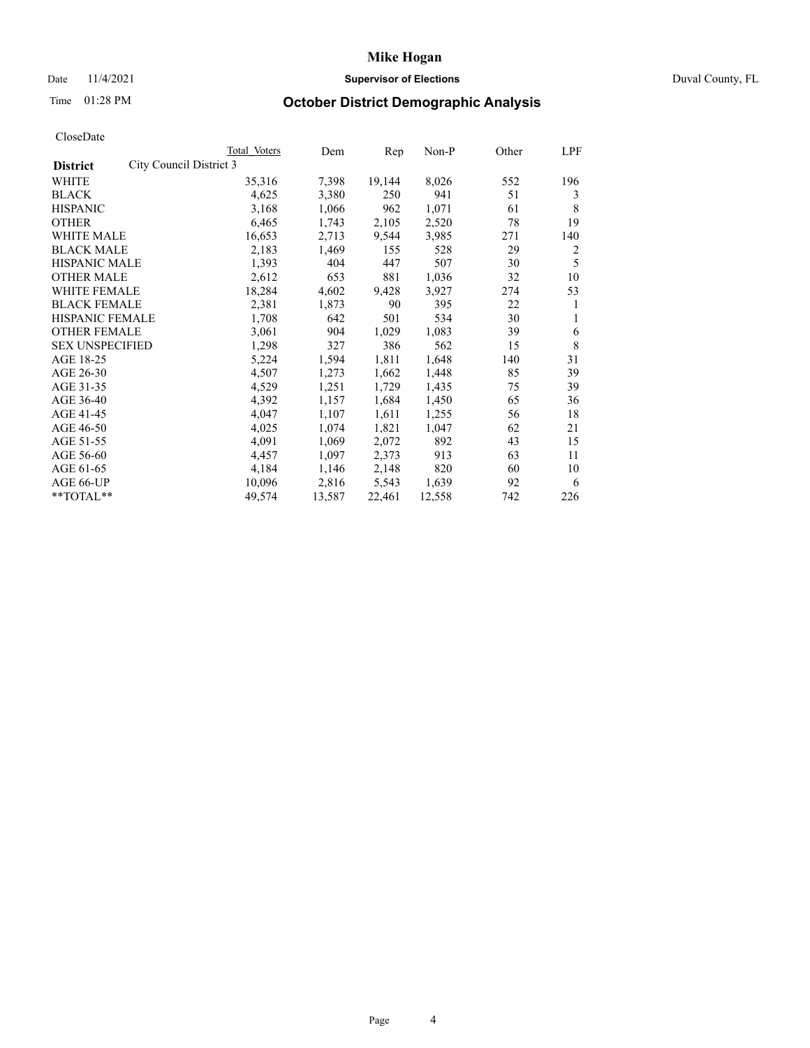## Date 11/4/2021 **Supervisor of Elections Supervisor of Elections** Duval County, FL

# Time 01:28 PM **October District Demographic Analysis**

|                                            | Total Voters | Dem    | Rep    | $Non-P$ | Other | LPF |
|--------------------------------------------|--------------|--------|--------|---------|-------|-----|
| City Council District 3<br><b>District</b> |              |        |        |         |       |     |
| WHITE                                      | 35,316       | 7,398  | 19,144 | 8,026   | 552   | 196 |
| <b>BLACK</b>                               | 4,625        | 3,380  | 250    | 941     | 51    | 3   |
| <b>HISPANIC</b>                            | 3,168        | 1,066  | 962    | 1,071   | 61    | 8   |
| <b>OTHER</b>                               | 6,465        | 1,743  | 2,105  | 2,520   | 78    | 19  |
| WHITE MALE                                 | 16,653       | 2,713  | 9,544  | 3,985   | 271   | 140 |
| <b>BLACK MALE</b>                          | 2,183        | 1,469  | 155    | 528     | 29    | 2   |
| <b>HISPANIC MALE</b>                       | 1,393        | 404    | 447    | 507     | 30    | 5   |
| <b>OTHER MALE</b>                          | 2,612        | 653    | 881    | 1,036   | 32    | 10  |
| WHITE FEMALE                               | 18,284       | 4,602  | 9,428  | 3,927   | 274   | 53  |
| <b>BLACK FEMALE</b>                        | 2,381        | 1,873  | 90     | 395     | 22    | 1   |
| HISPANIC FEMALE                            | 1,708        | 642    | 501    | 534     | 30    | 1   |
| <b>OTHER FEMALE</b>                        | 3,061        | 904    | 1,029  | 1,083   | 39    | 6   |
| <b>SEX UNSPECIFIED</b>                     | 1,298        | 327    | 386    | 562     | 15    | 8   |
| AGE 18-25                                  | 5,224        | 1,594  | 1,811  | 1,648   | 140   | 31  |
| AGE 26-30                                  | 4,507        | 1,273  | 1,662  | 1,448   | 85    | 39  |
| AGE 31-35                                  | 4,529        | 1,251  | 1,729  | 1,435   | 75    | 39  |
| AGE 36-40                                  | 4,392        | 1,157  | 1,684  | 1,450   | 65    | 36  |
| AGE 41-45                                  | 4,047        | 1,107  | 1,611  | 1,255   | 56    | 18  |
| AGE 46-50                                  | 4,025        | 1,074  | 1,821  | 1,047   | 62    | 21  |
| AGE 51-55                                  | 4,091        | 1,069  | 2,072  | 892     | 43    | 15  |
| AGE 56-60                                  | 4,457        | 1,097  | 2,373  | 913     | 63    | 11  |
| AGE 61-65                                  | 4,184        | 1,146  | 2,148  | 820     | 60    | 10  |
| AGE 66-UP                                  | 10,096       | 2,816  | 5,543  | 1,639   | 92    | 6   |
| **TOTAL**                                  | 49,574       | 13,587 | 22,461 | 12,558  | 742   | 226 |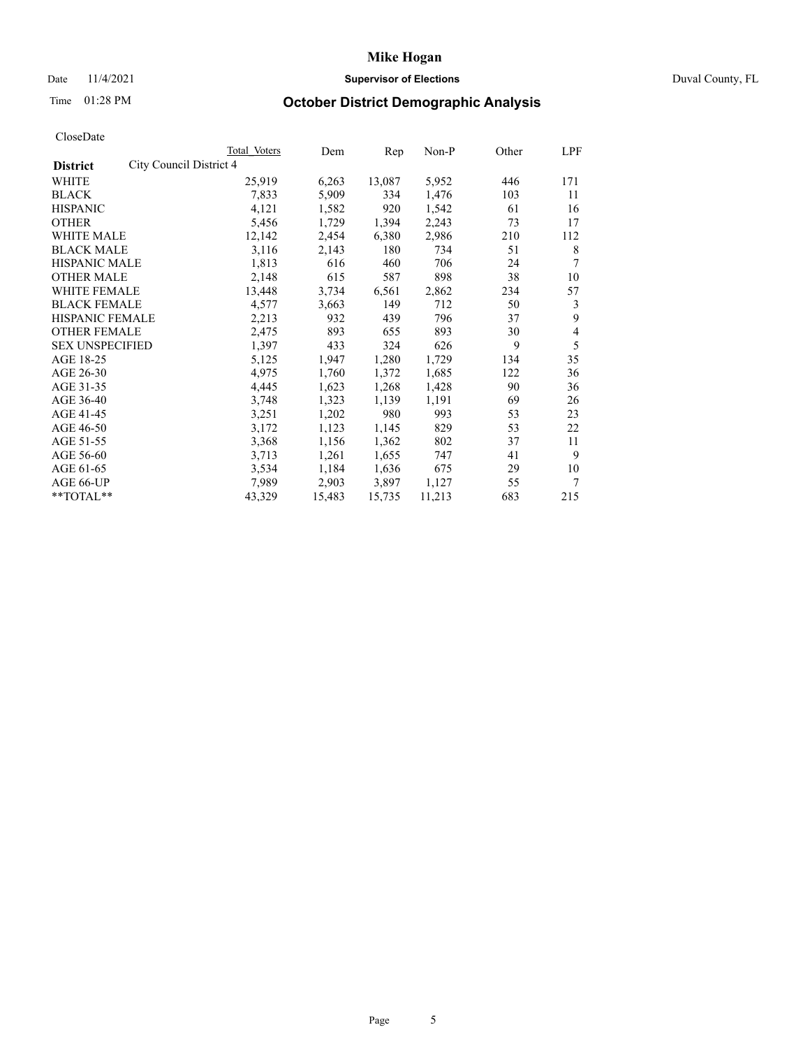## Date 11/4/2021 **Supervisor of Elections** Duval County, FL

# Time 01:28 PM **October District Demographic Analysis**

|                                            | <b>Total Voters</b> | Dem    | Rep    | $Non-P$ | Other | <b>LPF</b>     |
|--------------------------------------------|---------------------|--------|--------|---------|-------|----------------|
| City Council District 4<br><b>District</b> |                     |        |        |         |       |                |
| WHITE                                      | 25,919              | 6,263  | 13,087 | 5,952   | 446   | 171            |
| <b>BLACK</b>                               | 7,833               | 5,909  | 334    | 1,476   | 103   | 11             |
| <b>HISPANIC</b>                            | 4,121               | 1,582  | 920    | 1,542   | 61    | 16             |
| <b>OTHER</b>                               | 5,456               | 1,729  | 1,394  | 2,243   | 73    | 17             |
| WHITE MALE                                 | 12,142              | 2,454  | 6,380  | 2,986   | 210   | 112            |
| <b>BLACK MALE</b>                          | 3,116               | 2,143  | 180    | 734     | 51    | 8              |
| <b>HISPANIC MALE</b>                       | 1,813               | 616    | 460    | 706     | 24    | 7              |
| <b>OTHER MALE</b>                          | 2,148               | 615    | 587    | 898     | 38    | 10             |
| WHITE FEMALE                               | 13,448              | 3,734  | 6,561  | 2,862   | 234   | 57             |
| <b>BLACK FEMALE</b>                        | 4,577               | 3,663  | 149    | 712     | 50    | 3              |
| HISPANIC FEMALE                            | 2,213               | 932    | 439    | 796     | 37    | 9              |
| <b>OTHER FEMALE</b>                        | 2,475               | 893    | 655    | 893     | 30    | $\overline{4}$ |
| <b>SEX UNSPECIFIED</b>                     | 1,397               | 433    | 324    | 626     | 9     | 5              |
| AGE 18-25                                  | 5,125               | 1,947  | 1,280  | 1,729   | 134   | 35             |
| AGE 26-30                                  | 4,975               | 1,760  | 1,372  | 1,685   | 122   | 36             |
| AGE 31-35                                  | 4,445               | 1,623  | 1,268  | 1,428   | 90    | 36             |
| AGE 36-40                                  | 3,748               | 1,323  | 1,139  | 1,191   | 69    | 26             |
| AGE 41-45                                  | 3,251               | 1,202  | 980    | 993     | 53    | 23             |
| AGE 46-50                                  | 3,172               | 1,123  | 1,145  | 829     | 53    | 22             |
| AGE 51-55                                  | 3,368               | 1,156  | 1,362  | 802     | 37    | 11             |
| AGE 56-60                                  | 3,713               | 1,261  | 1,655  | 747     | 41    | 9              |
| AGE 61-65                                  | 3,534               | 1,184  | 1,636  | 675     | 29    | 10             |
| AGE 66-UP                                  | 7,989               | 2,903  | 3,897  | 1,127   | 55    | $\tau$         |
| **TOTAL**                                  | 43,329              | 15,483 | 15,735 | 11,213  | 683   | 215            |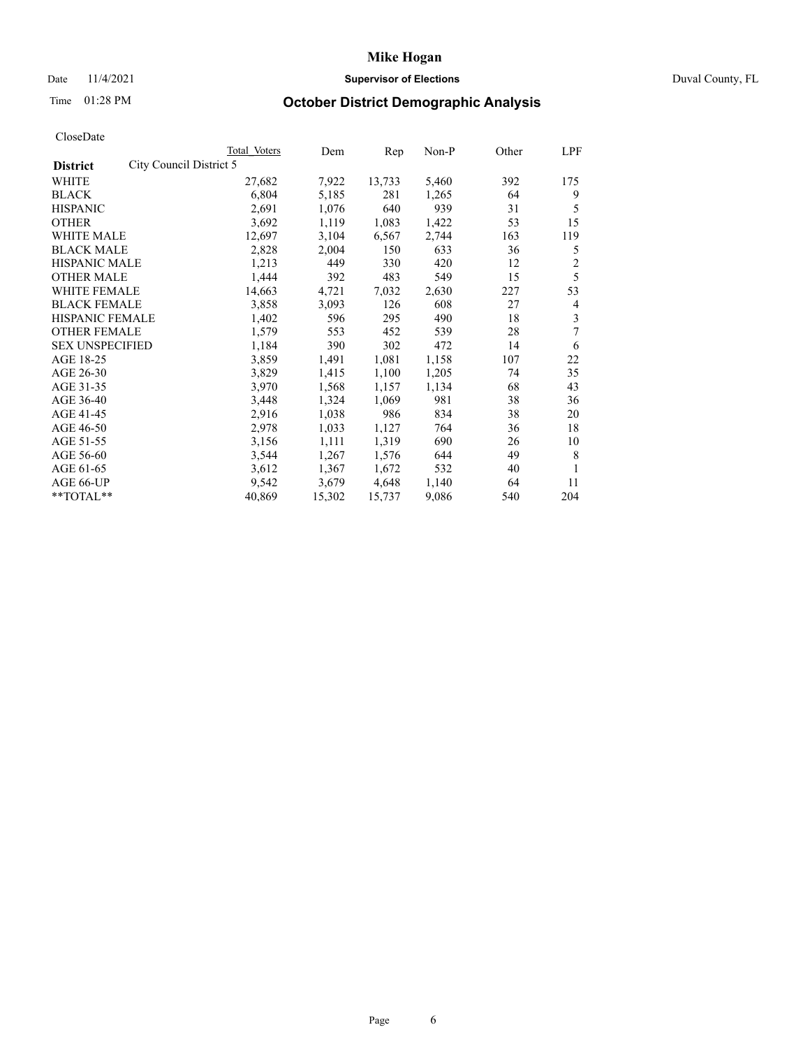## Date 11/4/2021 **Supervisor of Elections** Duval County, FL

# Time 01:28 PM **October District Demographic Analysis**

|                        |                         | Total Voters | Dem    | Rep    | Non-P | Other | LPF            |
|------------------------|-------------------------|--------------|--------|--------|-------|-------|----------------|
| <b>District</b>        | City Council District 5 |              |        |        |       |       |                |
| WHITE                  |                         | 27,682       | 7,922  | 13,733 | 5,460 | 392   | 175            |
| <b>BLACK</b>           |                         | 6,804        | 5,185  | 281    | 1,265 | 64    | 9              |
| <b>HISPANIC</b>        |                         | 2,691        | 1,076  | 640    | 939   | 31    | 5              |
| <b>OTHER</b>           |                         | 3,692        | 1,119  | 1,083  | 1,422 | 53    | 15             |
| WHITE MALE             |                         | 12,697       | 3,104  | 6,567  | 2,744 | 163   | 119            |
| <b>BLACK MALE</b>      |                         | 2,828        | 2,004  | 150    | 633   | 36    | 5              |
| <b>HISPANIC MALE</b>   |                         | 1,213        | 449    | 330    | 420   | 12    | $\overline{c}$ |
| <b>OTHER MALE</b>      |                         | 1,444        | 392    | 483    | 549   | 15    | 5              |
| WHITE FEMALE           |                         | 14,663       | 4,721  | 7,032  | 2,630 | 227   | 53             |
| <b>BLACK FEMALE</b>    |                         | 3,858        | 3,093  | 126    | 608   | 27    | 4              |
| HISPANIC FEMALE        |                         | 1,402        | 596    | 295    | 490   | 18    | 3              |
| <b>OTHER FEMALE</b>    |                         | 1,579        | 553    | 452    | 539   | 28    | 7              |
| <b>SEX UNSPECIFIED</b> |                         | 1,184        | 390    | 302    | 472   | 14    | 6              |
| AGE 18-25              |                         | 3,859        | 1,491  | 1,081  | 1,158 | 107   | 22             |
| AGE 26-30              |                         | 3,829        | 1,415  | 1,100  | 1,205 | 74    | 35             |
| AGE 31-35              |                         | 3,970        | 1,568  | 1,157  | 1,134 | 68    | 43             |
| AGE 36-40              |                         | 3,448        | 1,324  | 1,069  | 981   | 38    | 36             |
| AGE 41-45              |                         | 2,916        | 1,038  | 986    | 834   | 38    | 20             |
| AGE 46-50              |                         | 2,978        | 1,033  | 1,127  | 764   | 36    | 18             |
| AGE 51-55              |                         | 3,156        | 1,111  | 1,319  | 690   | 26    | 10             |
| AGE 56-60              |                         | 3,544        | 1,267  | 1,576  | 644   | 49    | 8              |
| AGE 61-65              |                         | 3,612        | 1,367  | 1,672  | 532   | 40    | 1              |
| AGE 66-UP              |                         | 9,542        | 3,679  | 4,648  | 1,140 | 64    | 11             |
| **TOTAL**              |                         | 40,869       | 15,302 | 15,737 | 9,086 | 540   | 204            |
|                        |                         |              |        |        |       |       |                |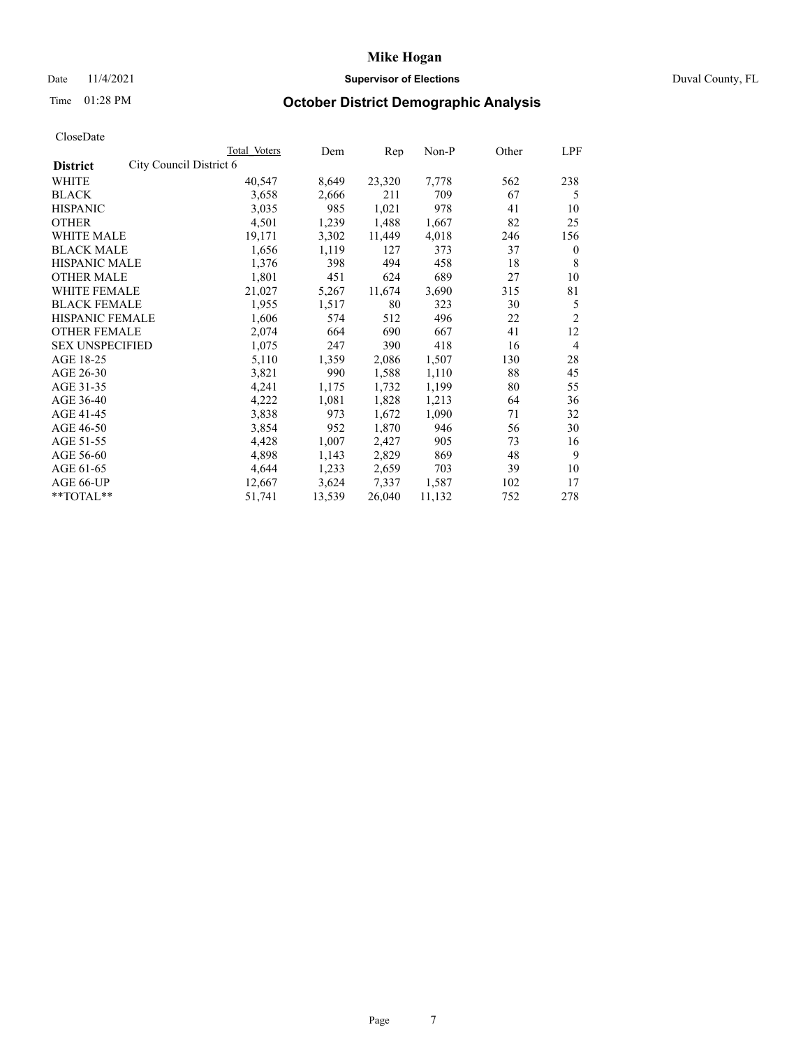## Date 11/4/2021 **Supervisor of Elections Supervisor of Elections** Duval County, FL

# Time 01:28 PM **October District Demographic Analysis**

|                        |                         | Total Voters | Dem    | Rep    | $Non-P$ | Other | LPF            |
|------------------------|-------------------------|--------------|--------|--------|---------|-------|----------------|
| <b>District</b>        | City Council District 6 |              |        |        |         |       |                |
| WHITE                  |                         | 40,547       | 8,649  | 23,320 | 7,778   | 562   | 238            |
| <b>BLACK</b>           |                         | 3,658        | 2,666  | 211    | 709     | 67    | 5              |
| <b>HISPANIC</b>        |                         | 3,035        | 985    | 1,021  | 978     | 41    | 10             |
| <b>OTHER</b>           |                         | 4,501        | 1,239  | 1,488  | 1,667   | 82    | 25             |
| WHITE MALE             |                         | 19,171       | 3,302  | 11,449 | 4,018   | 246   | 156            |
| <b>BLACK MALE</b>      |                         | 1,656        | 1,119  | 127    | 373     | 37    | $\mathbf{0}$   |
| <b>HISPANIC MALE</b>   |                         | 1,376        | 398    | 494    | 458     | 18    | 8              |
| <b>OTHER MALE</b>      |                         | 1,801        | 451    | 624    | 689     | 27    | 10             |
| WHITE FEMALE           |                         | 21,027       | 5,267  | 11,674 | 3,690   | 315   | 81             |
| <b>BLACK FEMALE</b>    |                         | 1,955        | 1,517  | 80     | 323     | 30    | 5              |
| HISPANIC FEMALE        |                         | 1,606        | 574    | 512    | 496     | 22    | $\overline{2}$ |
| <b>OTHER FEMALE</b>    |                         | 2,074        | 664    | 690    | 667     | 41    | 12             |
| <b>SEX UNSPECIFIED</b> |                         | 1,075        | 247    | 390    | 418     | 16    | $\overline{4}$ |
| AGE 18-25              |                         | 5,110        | 1,359  | 2,086  | 1,507   | 130   | 28             |
| AGE 26-30              |                         | 3,821        | 990    | 1,588  | 1,110   | 88    | 45             |
| AGE 31-35              |                         | 4,241        | 1,175  | 1,732  | 1,199   | 80    | 55             |
| AGE 36-40              |                         | 4,222        | 1,081  | 1,828  | 1,213   | 64    | 36             |
| AGE 41-45              |                         | 3,838        | 973    | 1,672  | 1,090   | 71    | 32             |
| AGE 46-50              |                         | 3,854        | 952    | 1,870  | 946     | 56    | 30             |
| AGE 51-55              |                         | 4,428        | 1,007  | 2,427  | 905     | 73    | 16             |
| AGE 56-60              |                         | 4,898        | 1,143  | 2,829  | 869     | 48    | 9              |
| AGE 61-65              |                         | 4,644        | 1,233  | 2,659  | 703     | 39    | 10             |
| AGE 66-UP              |                         | 12,667       | 3,624  | 7,337  | 1,587   | 102   | 17             |
| **TOTAL**              |                         | 51,741       | 13,539 | 26,040 | 11,132  | 752   | 278            |
|                        |                         |              |        |        |         |       |                |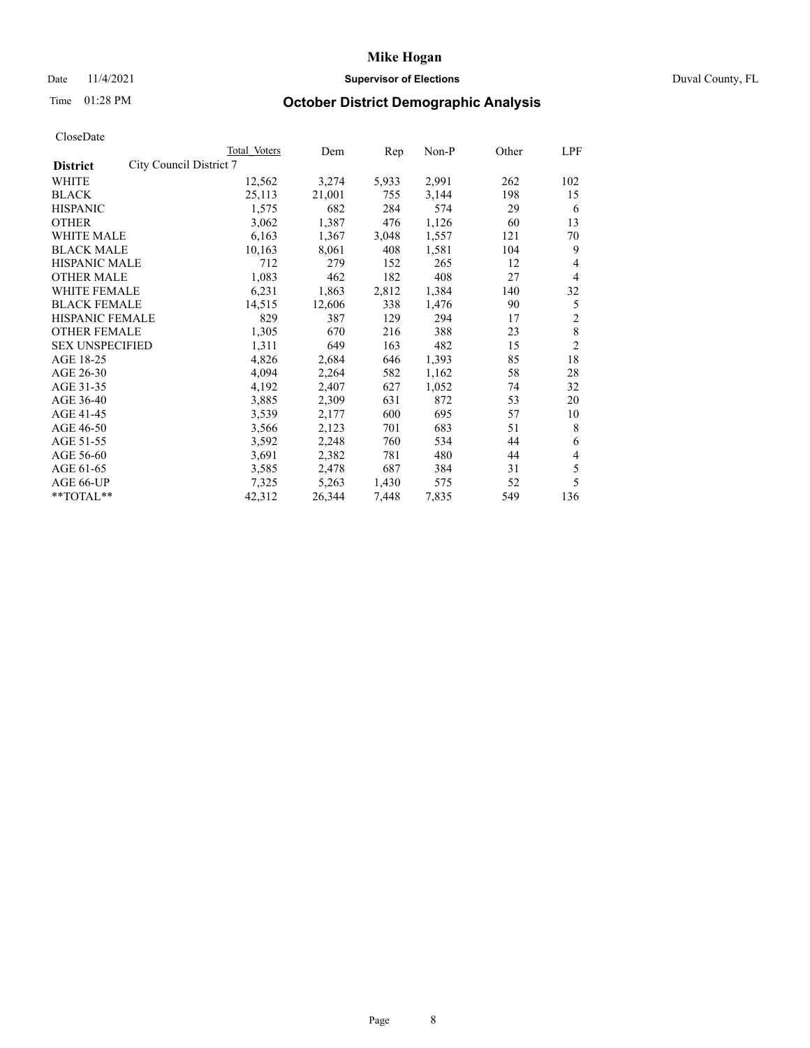## Date 11/4/2021 **Supervisor of Elections Supervisor of Elections** Duval County, FL

# Time 01:28 PM **October District Demographic Analysis**

|                                            | Total Voters | Dem    | Rep   | Non-P | Other | LPF            |
|--------------------------------------------|--------------|--------|-------|-------|-------|----------------|
| City Council District 7<br><b>District</b> |              |        |       |       |       |                |
| WHITE                                      | 12,562       | 3,274  | 5,933 | 2,991 | 262   | 102            |
| <b>BLACK</b>                               | 25,113       | 21,001 | 755   | 3,144 | 198   | 15             |
| <b>HISPANIC</b>                            | 1,575        | 682    | 284   | 574   | 29    | 6              |
| <b>OTHER</b>                               | 3,062        | 1,387  | 476   | 1,126 | 60    | 13             |
| WHITE MALE                                 | 6,163        | 1,367  | 3,048 | 1,557 | 121   | 70             |
| <b>BLACK MALE</b>                          | 10,163       | 8,061  | 408   | 1,581 | 104   | 9              |
| <b>HISPANIC MALE</b>                       | 712          | 279    | 152   | 265   | 12    | 4              |
| <b>OTHER MALE</b>                          | 1,083        | 462    | 182   | 408   | 27    | 4              |
| <b>WHITE FEMALE</b>                        | 6,231        | 1,863  | 2,812 | 1,384 | 140   | 32             |
| <b>BLACK FEMALE</b>                        | 14,515       | 12,606 | 338   | 1,476 | 90    | 5              |
| <b>HISPANIC FEMALE</b>                     | 829          | 387    | 129   | 294   | 17    | $\overline{2}$ |
| <b>OTHER FEMALE</b>                        | 1,305        | 670    | 216   | 388   | 23    | $\,8\,$        |
| <b>SEX UNSPECIFIED</b>                     | 1,311        | 649    | 163   | 482   | 15    | $\overline{2}$ |
| AGE 18-25                                  | 4,826        | 2,684  | 646   | 1,393 | 85    | 18             |
| AGE 26-30                                  | 4,094        | 2,264  | 582   | 1,162 | 58    | 28             |
| AGE 31-35                                  | 4,192        | 2,407  | 627   | 1,052 | 74    | 32             |
| AGE 36-40                                  | 3,885        | 2,309  | 631   | 872   | 53    | 20             |
| AGE 41-45                                  | 3,539        | 2,177  | 600   | 695   | 57    | 10             |
| AGE 46-50                                  | 3,566        | 2,123  | 701   | 683   | 51    | 8              |
| AGE 51-55                                  | 3,592        | 2,248  | 760   | 534   | 44    | 6              |
| AGE 56-60                                  | 3,691        | 2,382  | 781   | 480   | 44    | 4              |
| AGE 61-65                                  | 3,585        | 2,478  | 687   | 384   | 31    | 5              |
| AGE 66-UP                                  | 7,325        | 5,263  | 1,430 | 575   | 52    | 5              |
| $*$ TOTAL $*$                              | 42,312       | 26,344 | 7,448 | 7,835 | 549   | 136            |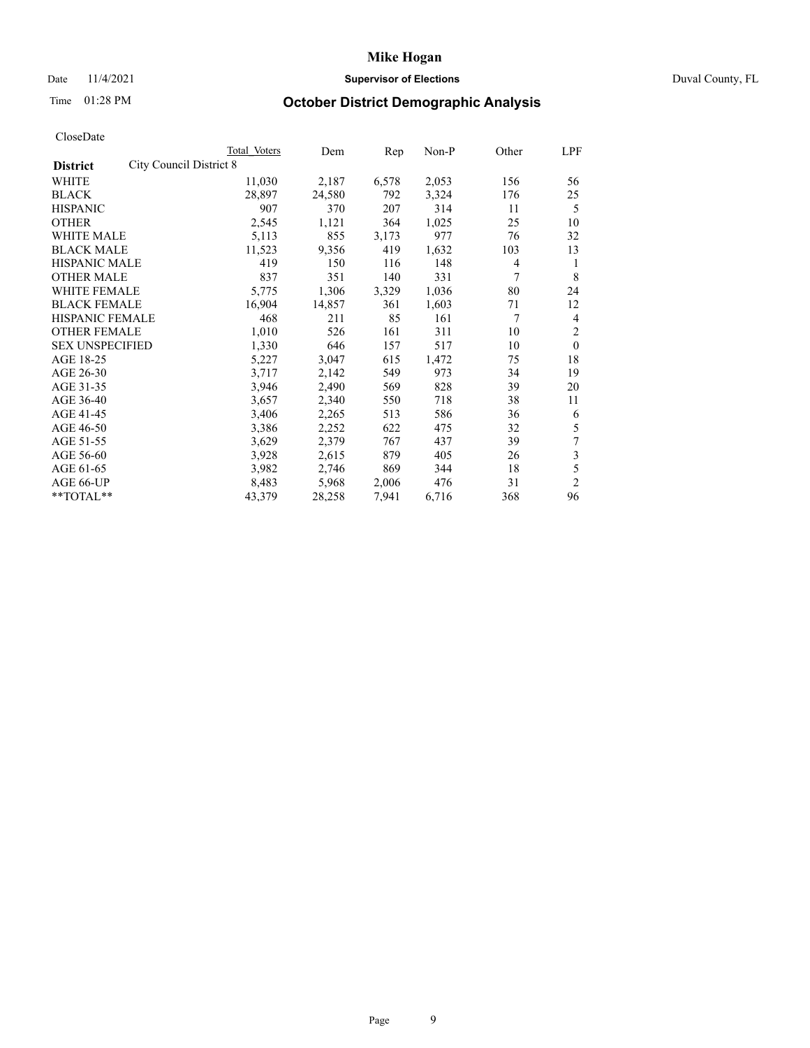## Date 11/4/2021 **Supervisor of Elections** Duval County, FL

# Time 01:28 PM **October District Demographic Analysis**

|                                            | Total Voters | Dem    | Rep   | Non-P | Other | LPF            |
|--------------------------------------------|--------------|--------|-------|-------|-------|----------------|
| City Council District 8<br><b>District</b> |              |        |       |       |       |                |
| WHITE                                      | 11,030       | 2,187  | 6,578 | 2,053 | 156   | 56             |
| <b>BLACK</b>                               | 28,897       | 24,580 | 792   | 3,324 | 176   | 25             |
| <b>HISPANIC</b>                            | 907          | 370    | 207   | 314   | 11    | 5              |
| <b>OTHER</b>                               | 2,545        | 1,121  | 364   | 1,025 | 25    | 10             |
| <b>WHITE MALE</b>                          | 5,113        | 855    | 3,173 | 977   | 76    | 32             |
| <b>BLACK MALE</b>                          | 11,523       | 9,356  | 419   | 1,632 | 103   | 13             |
| <b>HISPANIC MALE</b>                       | 419          | 150    | 116   | 148   | 4     | 1              |
| <b>OTHER MALE</b>                          | 837          | 351    | 140   | 331   | 7     | 8              |
| WHITE FEMALE                               | 5,775        | 1,306  | 3,329 | 1,036 | 80    | 24             |
| <b>BLACK FEMALE</b>                        | 16,904       | 14,857 | 361   | 1,603 | 71    | 12             |
| <b>HISPANIC FEMALE</b>                     | 468          | 211    | 85    | 161   | 7     | 4              |
| <b>OTHER FEMALE</b>                        | 1,010        | 526    | 161   | 311   | 10    | $\overline{2}$ |
| <b>SEX UNSPECIFIED</b>                     | 1,330        | 646    | 157   | 517   | 10    | $\theta$       |
| AGE 18-25                                  | 5,227        | 3,047  | 615   | 1,472 | 75    | 18             |
| AGE 26-30                                  | 3,717        | 2,142  | 549   | 973   | 34    | 19             |
| AGE 31-35                                  | 3,946        | 2,490  | 569   | 828   | 39    | 20             |
| AGE 36-40                                  | 3,657        | 2,340  | 550   | 718   | 38    | 11             |
| AGE 41-45                                  | 3,406        | 2,265  | 513   | 586   | 36    | 6              |
| AGE 46-50                                  | 3,386        | 2,252  | 622   | 475   | 32    | 5              |
| AGE 51-55                                  | 3,629        | 2,379  | 767   | 437   | 39    | 7              |
| AGE 56-60                                  | 3,928        | 2,615  | 879   | 405   | 26    | 3              |
| AGE 61-65                                  | 3,982        | 2,746  | 869   | 344   | 18    | 5              |
| AGE 66-UP                                  | 8,483        | 5,968  | 2,006 | 476   | 31    | $\overline{2}$ |
| $*$ $*$ TOTAL $*$ $*$                      | 43,379       | 28,258 | 7,941 | 6,716 | 368   | 96             |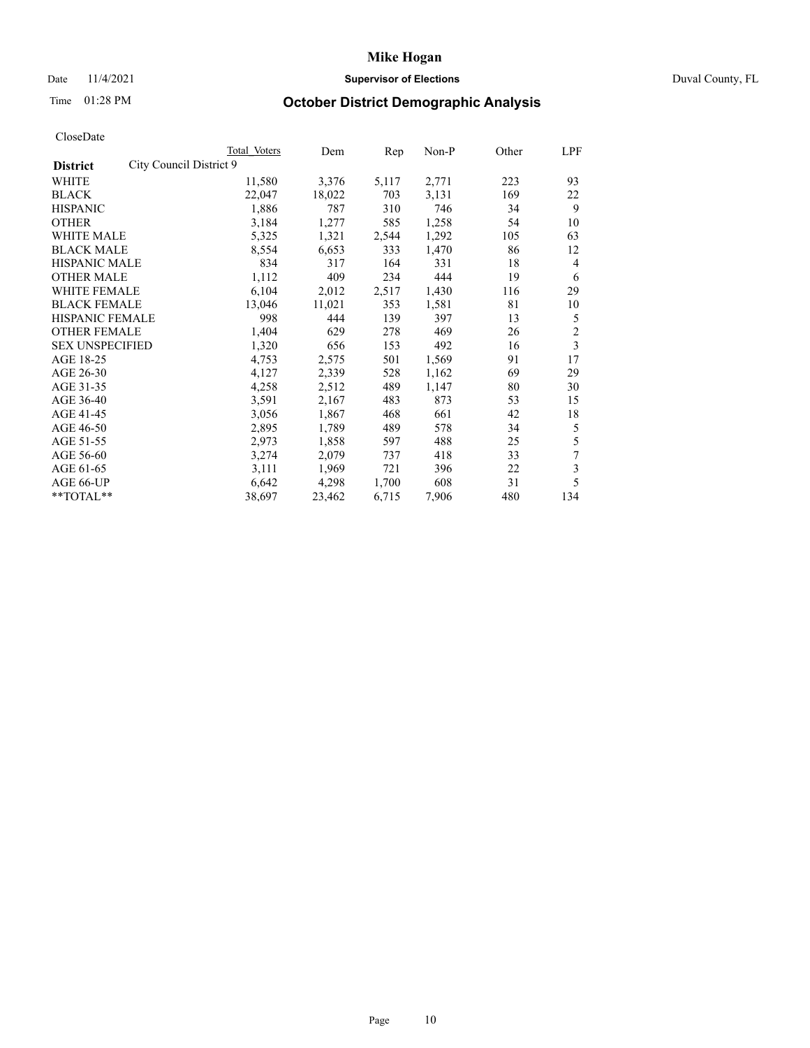## Date 11/4/2021 **Supervisor of Elections Supervisor of Elections** Duval County, FL

# Time 01:28 PM **October District Demographic Analysis**

|                                            | Total Voters | Dem    | Rep   | Non-P | Other | LPF            |
|--------------------------------------------|--------------|--------|-------|-------|-------|----------------|
| City Council District 9<br><b>District</b> |              |        |       |       |       |                |
| WHITE                                      | 11,580       | 3,376  | 5,117 | 2,771 | 223   | 93             |
| <b>BLACK</b>                               | 22,047       | 18,022 | 703   | 3,131 | 169   | 22             |
| <b>HISPANIC</b>                            | 1,886        | 787    | 310   | 746   | 34    | 9              |
| <b>OTHER</b>                               | 3,184        | 1,277  | 585   | 1,258 | 54    | 10             |
| WHITE MALE                                 | 5,325        | 1,321  | 2,544 | 1,292 | 105   | 63             |
| <b>BLACK MALE</b>                          | 8,554        | 6,653  | 333   | 1,470 | 86    | 12             |
| <b>HISPANIC MALE</b>                       | 834          | 317    | 164   | 331   | 18    | 4              |
| <b>OTHER MALE</b>                          | 1,112        | 409    | 234   | 444   | 19    | 6              |
| WHITE FEMALE                               | 6,104        | 2,012  | 2,517 | 1,430 | 116   | 29             |
| <b>BLACK FEMALE</b>                        | 13,046       | 11,021 | 353   | 1,581 | 81    | 10             |
| <b>HISPANIC FEMALE</b>                     | 998          | 444    | 139   | 397   | 13    | 5              |
| <b>OTHER FEMALE</b>                        | 1,404        | 629    | 278   | 469   | 26    | $\overline{c}$ |
| <b>SEX UNSPECIFIED</b>                     | 1,320        | 656    | 153   | 492   | 16    | 3              |
| AGE 18-25                                  | 4,753        | 2,575  | 501   | 1,569 | 91    | 17             |
| AGE 26-30                                  | 4,127        | 2,339  | 528   | 1,162 | 69    | 29             |
| AGE 31-35                                  | 4,258        | 2,512  | 489   | 1,147 | 80    | 30             |
| AGE 36-40                                  | 3,591        | 2,167  | 483   | 873   | 53    | 15             |
| AGE 41-45                                  | 3,056        | 1,867  | 468   | 661   | 42    | 18             |
| AGE 46-50                                  | 2,895        | 1,789  | 489   | 578   | 34    | 5              |
| AGE 51-55                                  | 2,973        | 1,858  | 597   | 488   | 25    | 5              |
| AGE 56-60                                  | 3,274        | 2,079  | 737   | 418   | 33    | $\tau$         |
| AGE 61-65                                  | 3,111        | 1,969  | 721   | 396   | 22    | 3              |
| AGE 66-UP                                  | 6,642        | 4,298  | 1,700 | 608   | 31    | 5              |
| **TOTAL**                                  | 38,697       | 23,462 | 6,715 | 7,906 | 480   | 134            |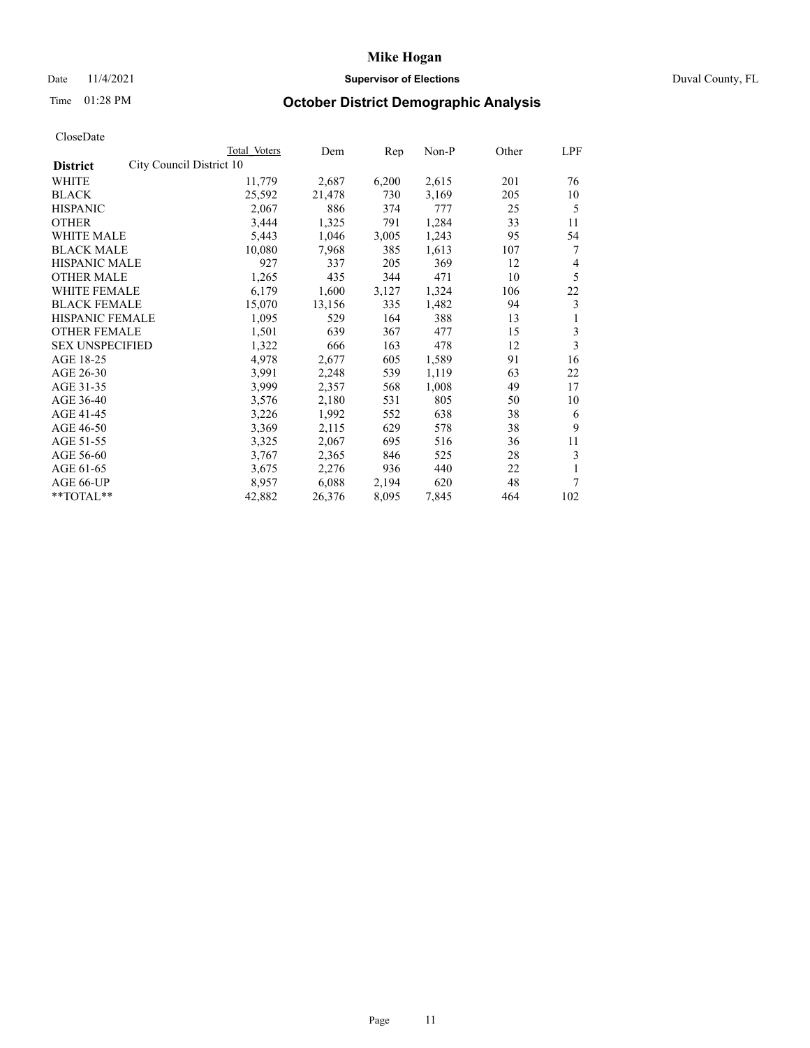## Date 11/4/2021 **Supervisor of Elections Supervisor of Elections** Duval County, FL

# Time 01:28 PM **October District Demographic Analysis**

|                                             | Total Voters | Dem    | Rep   | Non-P | Other | LPF |
|---------------------------------------------|--------------|--------|-------|-------|-------|-----|
| City Council District 10<br><b>District</b> |              |        |       |       |       |     |
| WHITE                                       | 11,779       | 2,687  | 6,200 | 2,615 | 201   | 76  |
| <b>BLACK</b>                                | 25,592       | 21,478 | 730   | 3,169 | 205   | 10  |
| <b>HISPANIC</b>                             | 2,067        | 886    | 374   | 777   | 25    | 5   |
| <b>OTHER</b>                                | 3,444        | 1,325  | 791   | 1,284 | 33    | 11  |
| WHITE MALE                                  | 5,443        | 1,046  | 3,005 | 1,243 | 95    | 54  |
| <b>BLACK MALE</b>                           | 10,080       | 7,968  | 385   | 1,613 | 107   | 7   |
| <b>HISPANIC MALE</b>                        | 927          | 337    | 205   | 369   | 12    | 4   |
| <b>OTHER MALE</b>                           | 1,265        | 435    | 344   | 471   | 10    | 5   |
| WHITE FEMALE                                | 6,179        | 1,600  | 3,127 | 1,324 | 106   | 22  |
| <b>BLACK FEMALE</b>                         | 15,070       | 13,156 | 335   | 1,482 | 94    | 3   |
| <b>HISPANIC FEMALE</b>                      | 1,095        | 529    | 164   | 388   | 13    | 1   |
| <b>OTHER FEMALE</b>                         | 1,501        | 639    | 367   | 477   | 15    | 3   |
| <b>SEX UNSPECIFIED</b>                      | 1,322        | 666    | 163   | 478   | 12    | 3   |
| AGE 18-25                                   | 4,978        | 2,677  | 605   | 1,589 | 91    | 16  |
| AGE 26-30                                   | 3,991        | 2,248  | 539   | 1,119 | 63    | 22  |
| AGE 31-35                                   | 3,999        | 2,357  | 568   | 1,008 | 49    | 17  |
| AGE 36-40                                   | 3,576        | 2,180  | 531   | 805   | 50    | 10  |
| AGE 41-45                                   | 3,226        | 1,992  | 552   | 638   | 38    | 6   |
| AGE 46-50                                   | 3,369        | 2,115  | 629   | 578   | 38    | 9   |
| AGE 51-55                                   | 3,325        | 2,067  | 695   | 516   | 36    | 11  |
| AGE 56-60                                   | 3,767        | 2,365  | 846   | 525   | 28    | 3   |
| AGE 61-65                                   | 3,675        | 2,276  | 936   | 440   | 22    | 1   |
| AGE 66-UP                                   | 8,957        | 6,088  | 2,194 | 620   | 48    | 7   |
| **TOTAL**                                   | 42,882       | 26,376 | 8,095 | 7,845 | 464   | 102 |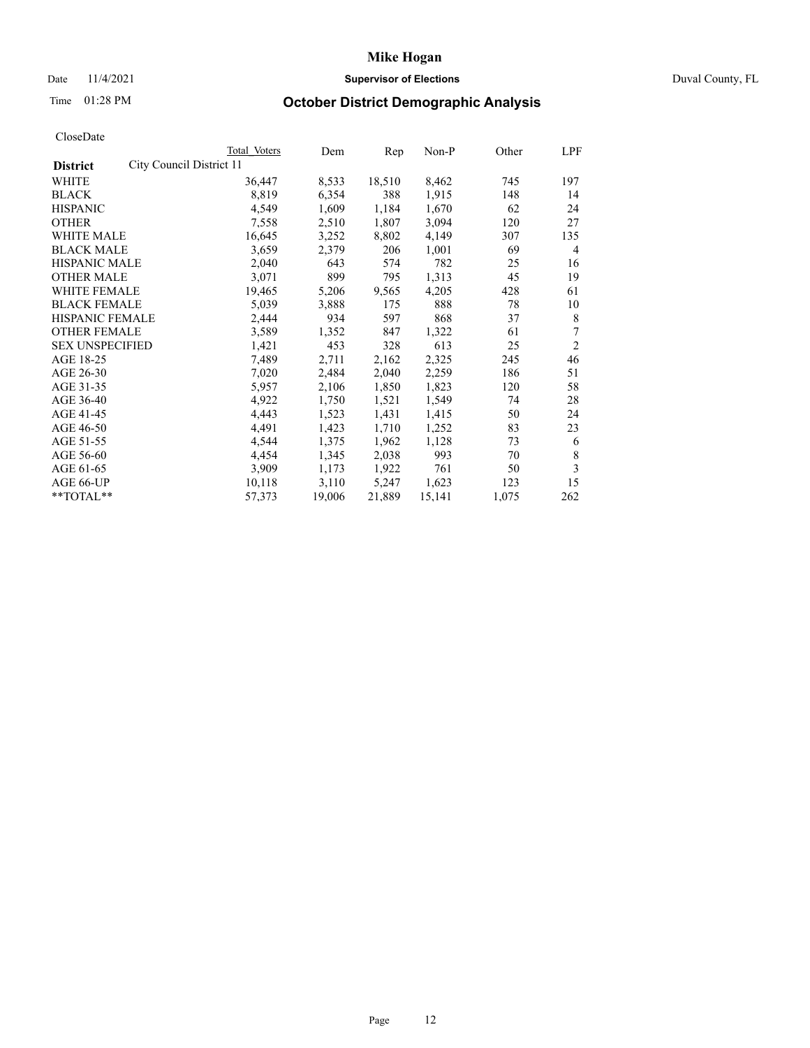## Date 11/4/2021 **Supervisor of Elections Supervisor of Elections** Duval County, FL

# Time 01:28 PM **October District Demographic Analysis**

|                                             | Total Voters | Dem    | Rep    | $Non-P$ | Other | LPF            |
|---------------------------------------------|--------------|--------|--------|---------|-------|----------------|
| City Council District 11<br><b>District</b> |              |        |        |         |       |                |
| WHITE                                       | 36,447       | 8,533  | 18,510 | 8,462   | 745   | 197            |
| <b>BLACK</b>                                | 8,819        | 6,354  | 388    | 1,915   | 148   | 14             |
| <b>HISPANIC</b>                             | 4,549        | 1,609  | 1,184  | 1,670   | 62    | 24             |
| <b>OTHER</b>                                | 7,558        | 2,510  | 1,807  | 3,094   | 120   | 27             |
| WHITE MALE                                  | 16,645       | 3,252  | 8,802  | 4,149   | 307   | 135            |
| <b>BLACK MALE</b>                           | 3,659        | 2,379  | 206    | 1,001   | 69    | $\overline{4}$ |
| <b>HISPANIC MALE</b>                        | 2,040        | 643    | 574    | 782     | 25    | 16             |
| <b>OTHER MALE</b>                           | 3,071        | 899    | 795    | 1,313   | 45    | 19             |
| <b>WHITE FEMALE</b>                         | 19,465       | 5,206  | 9,565  | 4,205   | 428   | 61             |
| <b>BLACK FEMALE</b>                         | 5,039        | 3,888  | 175    | 888     | 78    | 10             |
| HISPANIC FEMALE                             | 2,444        | 934    | 597    | 868     | 37    | 8              |
| <b>OTHER FEMALE</b>                         | 3,589        | 1,352  | 847    | 1,322   | 61    | 7              |
| <b>SEX UNSPECIFIED</b>                      | 1,421        | 453    | 328    | 613     | 25    | $\overline{2}$ |
| AGE 18-25                                   | 7,489        | 2,711  | 2,162  | 2,325   | 245   | 46             |
| AGE 26-30                                   | 7,020        | 2,484  | 2,040  | 2,259   | 186   | 51             |
| AGE 31-35                                   | 5,957        | 2,106  | 1,850  | 1,823   | 120   | 58             |
| AGE 36-40                                   | 4,922        | 1,750  | 1,521  | 1,549   | 74    | 28             |
| AGE 41-45                                   | 4,443        | 1,523  | 1,431  | 1,415   | 50    | 24             |
| AGE 46-50                                   | 4,491        | 1,423  | 1,710  | 1,252   | 83    | 23             |
| AGE 51-55                                   | 4,544        | 1,375  | 1,962  | 1,128   | 73    | 6              |
| AGE 56-60                                   | 4,454        | 1,345  | 2,038  | 993     | 70    | 8              |
| AGE 61-65                                   | 3,909        | 1,173  | 1,922  | 761     | 50    | 3              |
| AGE 66-UP                                   | 10,118       | 3,110  | 5,247  | 1,623   | 123   | 15             |
| $*$ TOTAL $*$                               | 57,373       | 19,006 | 21,889 | 15,141  | 1,075 | 262            |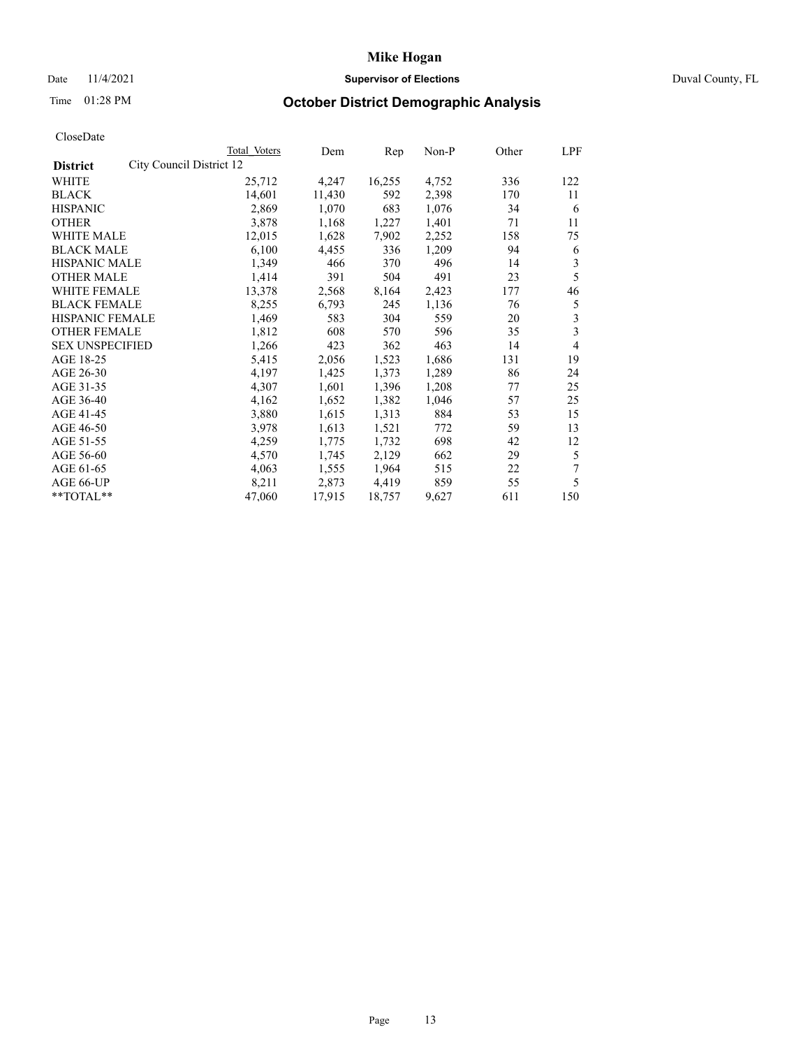## Date 11/4/2021 **Supervisor of Elections Supervisor of Elections** Duval County, FL

# Time 01:28 PM **October District Demographic Analysis**

|                                             | Total Voters | Dem    | Rep    | Non-P | Other | LPF |
|---------------------------------------------|--------------|--------|--------|-------|-------|-----|
| City Council District 12<br><b>District</b> |              |        |        |       |       |     |
| WHITE                                       | 25,712       | 4,247  | 16,255 | 4,752 | 336   | 122 |
| <b>BLACK</b>                                | 14,601       | 11,430 | 592    | 2,398 | 170   | 11  |
| <b>HISPANIC</b>                             | 2,869        | 1,070  | 683    | 1,076 | 34    | 6   |
| <b>OTHER</b>                                | 3,878        | 1,168  | 1,227  | 1,401 | 71    | 11  |
| WHITE MALE                                  | 12,015       | 1,628  | 7,902  | 2,252 | 158   | 75  |
| <b>BLACK MALE</b>                           | 6,100        | 4,455  | 336    | 1,209 | 94    | 6   |
| <b>HISPANIC MALE</b>                        | 1,349        | 466    | 370    | 496   | 14    | 3   |
| <b>OTHER MALE</b>                           | 1,414        | 391    | 504    | 491   | 23    | 5   |
| WHITE FEMALE                                | 13,378       | 2,568  | 8,164  | 2,423 | 177   | 46  |
| <b>BLACK FEMALE</b>                         | 8,255        | 6,793  | 245    | 1,136 | 76    | 5   |
| HISPANIC FEMALE                             | 1,469        | 583    | 304    | 559   | 20    | 3   |
| <b>OTHER FEMALE</b>                         | 1,812        | 608    | 570    | 596   | 35    | 3   |
| <b>SEX UNSPECIFIED</b>                      | 1,266        | 423    | 362    | 463   | 14    | 4   |
| AGE 18-25                                   | 5,415        | 2,056  | 1,523  | 1,686 | 131   | 19  |
| AGE 26-30                                   | 4,197        | 1,425  | 1,373  | 1,289 | 86    | 24  |
| AGE 31-35                                   | 4,307        | 1,601  | 1,396  | 1,208 | 77    | 25  |
| AGE 36-40                                   | 4,162        | 1,652  | 1,382  | 1,046 | 57    | 25  |
| AGE 41-45                                   | 3,880        | 1,615  | 1,313  | 884   | 53    | 15  |
| AGE 46-50                                   | 3,978        | 1,613  | 1,521  | 772   | 59    | 13  |
| AGE 51-55                                   | 4,259        | 1,775  | 1,732  | 698   | 42    | 12  |
| AGE 56-60                                   | 4,570        | 1,745  | 2,129  | 662   | 29    | 5   |
| AGE 61-65                                   | 4,063        | 1,555  | 1,964  | 515   | 22    | 7   |
| AGE 66-UP                                   | 8,211        | 2,873  | 4,419  | 859   | 55    | 5   |
| **TOTAL**                                   | 47,060       | 17,915 | 18,757 | 9,627 | 611   | 150 |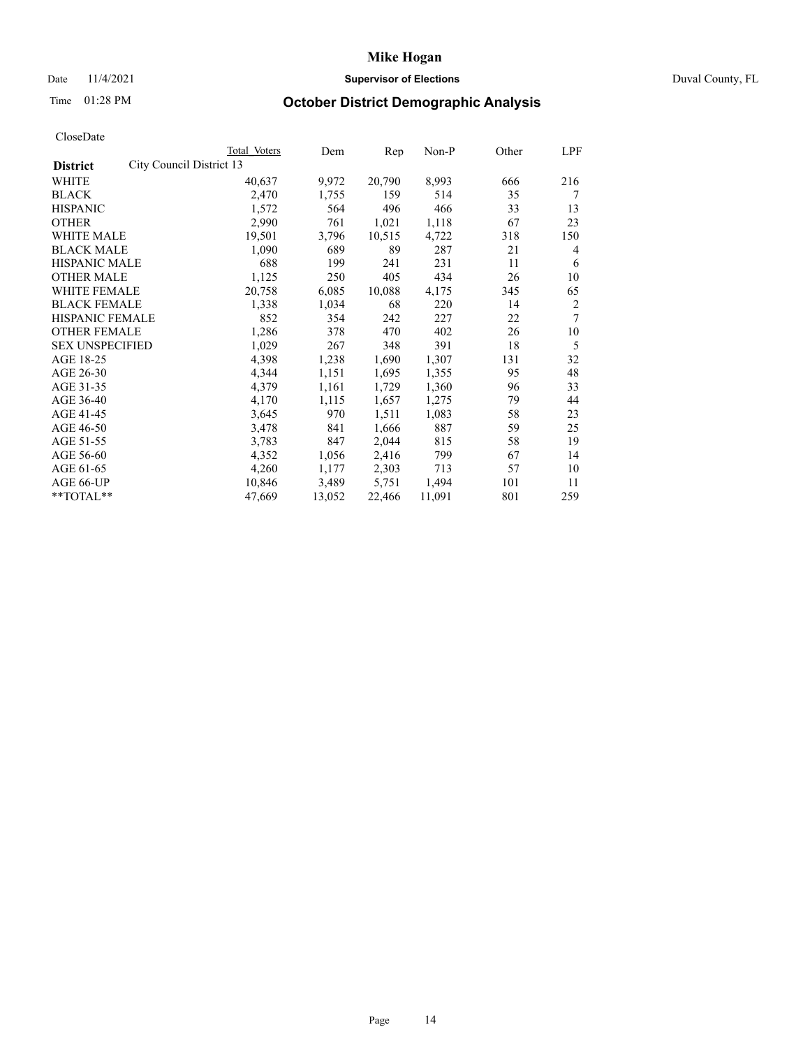## Date 11/4/2021 **Supervisor of Elections Supervisor of Elections** Duval County, FL

# Time 01:28 PM **October District Demographic Analysis**

|                        |                          | Total Voters | Dem    | Rep    | Non-P  | Other | LPF |
|------------------------|--------------------------|--------------|--------|--------|--------|-------|-----|
| <b>District</b>        | City Council District 13 |              |        |        |        |       |     |
| WHITE                  |                          | 40,637       | 9,972  | 20,790 | 8,993  | 666   | 216 |
| <b>BLACK</b>           |                          | 2,470        | 1,755  | 159    | 514    | 35    | 7   |
| <b>HISPANIC</b>        |                          | 1,572        | 564    | 496    | 466    | 33    | 13  |
| <b>OTHER</b>           |                          | 2,990        | 761    | 1,021  | 1,118  | 67    | 23  |
| WHITE MALE             |                          | 19,501       | 3,796  | 10,515 | 4,722  | 318   | 150 |
| <b>BLACK MALE</b>      |                          | 1,090        | 689    | 89     | 287    | 21    | 4   |
| <b>HISPANIC MALE</b>   |                          | 688          | 199    | 241    | 231    | 11    | 6   |
| <b>OTHER MALE</b>      |                          | 1,125        | 250    | 405    | 434    | 26    | 10  |
| WHITE FEMALE           |                          | 20,758       | 6,085  | 10,088 | 4,175  | 345   | 65  |
| <b>BLACK FEMALE</b>    |                          | 1,338        | 1,034  | 68     | 220    | 14    | 2   |
| HISPANIC FEMALE        |                          | 852          | 354    | 242    | 227    | 22    | 7   |
| <b>OTHER FEMALE</b>    |                          | 1,286        | 378    | 470    | 402    | 26    | 10  |
| <b>SEX UNSPECIFIED</b> |                          | 1,029        | 267    | 348    | 391    | 18    | 5   |
| AGE 18-25              |                          | 4,398        | 1,238  | 1,690  | 1,307  | 131   | 32  |
| AGE 26-30              |                          | 4,344        | 1,151  | 1,695  | 1,355  | 95    | 48  |
| AGE 31-35              |                          | 4,379        | 1,161  | 1,729  | 1,360  | 96    | 33  |
| AGE 36-40              |                          | 4,170        | 1,115  | 1,657  | 1,275  | 79    | 44  |
| AGE 41-45              |                          | 3,645        | 970    | 1,511  | 1,083  | 58    | 23  |
| AGE 46-50              |                          | 3,478        | 841    | 1,666  | 887    | 59    | 25  |
| AGE 51-55              |                          | 3,783        | 847    | 2,044  | 815    | 58    | 19  |
| AGE 56-60              |                          | 4,352        | 1,056  | 2,416  | 799    | 67    | 14  |
| AGE 61-65              |                          | 4,260        | 1,177  | 2,303  | 713    | 57    | 10  |
| AGE 66-UP              |                          | 10,846       | 3,489  | 5,751  | 1,494  | 101   | 11  |
| **TOTAL**              |                          | 47,669       | 13,052 | 22,466 | 11,091 | 801   | 259 |
|                        |                          |              |        |        |        |       |     |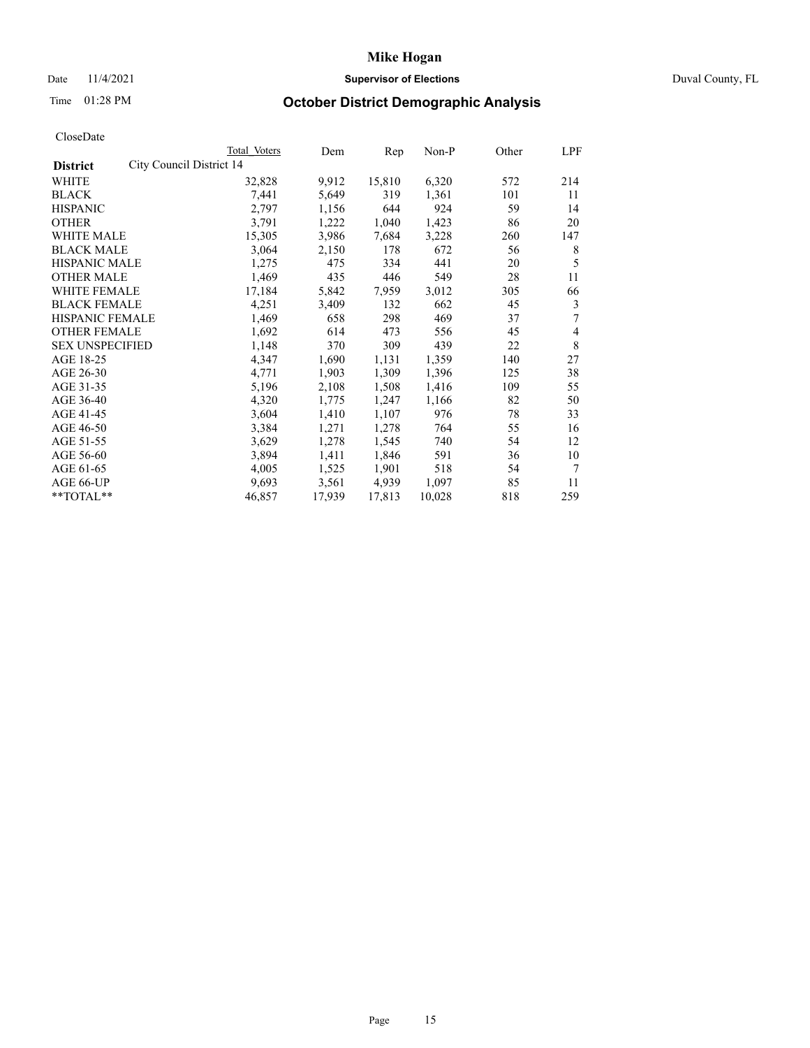## Date 11/4/2021 **Supervisor of Elections Supervisor of Elections** Duval County, FL

# Time 01:28 PM **October District Demographic Analysis**

|                        |                          | Total Voters | Dem    | Rep    | Non-P  | Other | LPF |
|------------------------|--------------------------|--------------|--------|--------|--------|-------|-----|
| <b>District</b>        | City Council District 14 |              |        |        |        |       |     |
| WHITE                  |                          | 32,828       | 9,912  | 15,810 | 6,320  | 572   | 214 |
| <b>BLACK</b>           |                          | 7,441        | 5,649  | 319    | 1,361  | 101   | 11  |
| <b>HISPANIC</b>        |                          | 2,797        | 1,156  | 644    | 924    | 59    | 14  |
| <b>OTHER</b>           |                          | 3,791        | 1,222  | 1,040  | 1,423  | 86    | 20  |
| WHITE MALE             |                          | 15,305       | 3,986  | 7,684  | 3,228  | 260   | 147 |
| <b>BLACK MALE</b>      |                          | 3,064        | 2,150  | 178    | 672    | 56    | 8   |
| <b>HISPANIC MALE</b>   |                          | 1,275        | 475    | 334    | 441    | 20    | 5   |
| <b>OTHER MALE</b>      |                          | 1,469        | 435    | 446    | 549    | 28    | 11  |
| WHITE FEMALE           |                          | 17,184       | 5,842  | 7,959  | 3,012  | 305   | 66  |
| <b>BLACK FEMALE</b>    |                          | 4,251        | 3,409  | 132    | 662    | 45    | 3   |
| HISPANIC FEMALE        |                          | 1,469        | 658    | 298    | 469    | 37    | 7   |
| <b>OTHER FEMALE</b>    |                          | 1,692        | 614    | 473    | 556    | 45    | 4   |
| <b>SEX UNSPECIFIED</b> |                          | 1,148        | 370    | 309    | 439    | 22    | 8   |
| AGE 18-25              |                          | 4,347        | 1,690  | 1,131  | 1,359  | 140   | 27  |
| AGE 26-30              |                          | 4,771        | 1,903  | 1,309  | 1,396  | 125   | 38  |
| AGE 31-35              |                          | 5,196        | 2,108  | 1,508  | 1,416  | 109   | 55  |
| AGE 36-40              |                          | 4,320        | 1,775  | 1,247  | 1,166  | 82    | 50  |
| AGE 41-45              |                          | 3,604        | 1,410  | 1,107  | 976    | 78    | 33  |
| AGE 46-50              |                          | 3,384        | 1,271  | 1,278  | 764    | 55    | 16  |
| AGE 51-55              |                          | 3,629        | 1,278  | 1,545  | 740    | 54    | 12  |
| AGE 56-60              |                          | 3,894        | 1,411  | 1,846  | 591    | 36    | 10  |
| AGE 61-65              |                          | 4,005        | 1,525  | 1,901  | 518    | 54    | 7   |
| AGE 66-UP              |                          | 9,693        | 3,561  | 4,939  | 1,097  | 85    | 11  |
| **TOTAL**              |                          | 46,857       | 17,939 | 17,813 | 10,028 | 818   | 259 |
|                        |                          |              |        |        |        |       |     |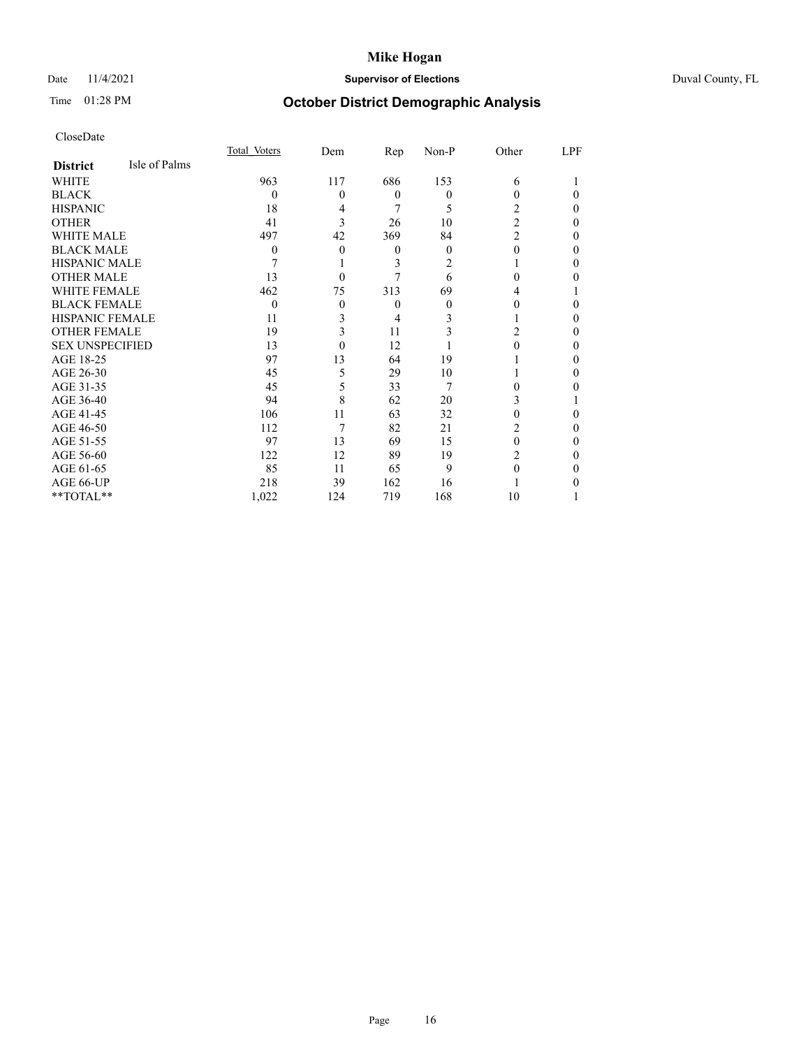## Date 11/4/2021 **Supervisor of Elections** Duval County, FL

# Time 01:28 PM **October District Demographic Analysis**

|                        |               | Total Voters | Dem | Rep      | Non-P    | Other          | LPF      |
|------------------------|---------------|--------------|-----|----------|----------|----------------|----------|
| <b>District</b>        | Isle of Palms |              |     |          |          |                |          |
| WHITE                  |               | 963          | 117 | 686      | 153      | 6              |          |
| <b>BLACK</b>           |               | $\theta$     | 0   | $\theta$ | $\theta$ | 0              | $\Omega$ |
| <b>HISPANIC</b>        |               | 18           | 4   | 7        | 5        | 2              | $\theta$ |
| <b>OTHER</b>           |               | 41           | 3   | 26       | 10       | $\overline{2}$ | $\Omega$ |
| <b>WHITE MALE</b>      |               | 497          | 42  | 369      | 84       | $\overline{c}$ | 0        |
| <b>BLACK MALE</b>      |               | 0            | 0   | $\theta$ | $\theta$ | 0              | $\Omega$ |
| <b>HISPANIC MALE</b>   |               | 7            |     | 3        | 2        |                | $\Omega$ |
| <b>OTHER MALE</b>      |               | 13           | 0   |          | 6        | 0              | 0        |
| <b>WHITE FEMALE</b>    |               | 462          | 75  | 313      | 69       | 4              |          |
| <b>BLACK FEMALE</b>    |               | $\theta$     | 0   | $\theta$ | $\theta$ | 0              | 0        |
| <b>HISPANIC FEMALE</b> |               | 11           | 3   | 4        | 3        |                | $\Omega$ |
| <b>OTHER FEMALE</b>    |               | 19           | 3   | 11       | 3        | 2              | $\Omega$ |
| <b>SEX UNSPECIFIED</b> |               | 13           | 0   | 12       |          | 0              | $\Omega$ |
| AGE 18-25              |               | 97           | 13  | 64       | 19       |                | $\Omega$ |
| AGE 26-30              |               | 45           | 5   | 29       | 10       |                | $\Omega$ |
| AGE 31-35              |               | 45           | 5   | 33       | 7        | 0              | 0        |
| AGE 36-40              |               | 94           | 8   | 62       | 20       | 3              |          |
| AGE 41-45              |               | 106          | 11  | 63       | 32       | 0              | 0        |
| AGE 46-50              |               | 112          | 7   | 82       | 21       | 2              | $\theta$ |
| AGE 51-55              |               | 97           | 13  | 69       | 15       | 0              | $\Omega$ |
| AGE 56-60              |               | 122          | 12  | 89       | 19       | 2              | 0        |
| AGE 61-65              |               | 85           | 11  | 65       | 9        |                | $\Omega$ |
| AGE 66-UP              |               | 218          | 39  | 162      | 16       |                | 0        |
| **TOTAL**              |               | 1,022        | 124 | 719      | 168      | 10             |          |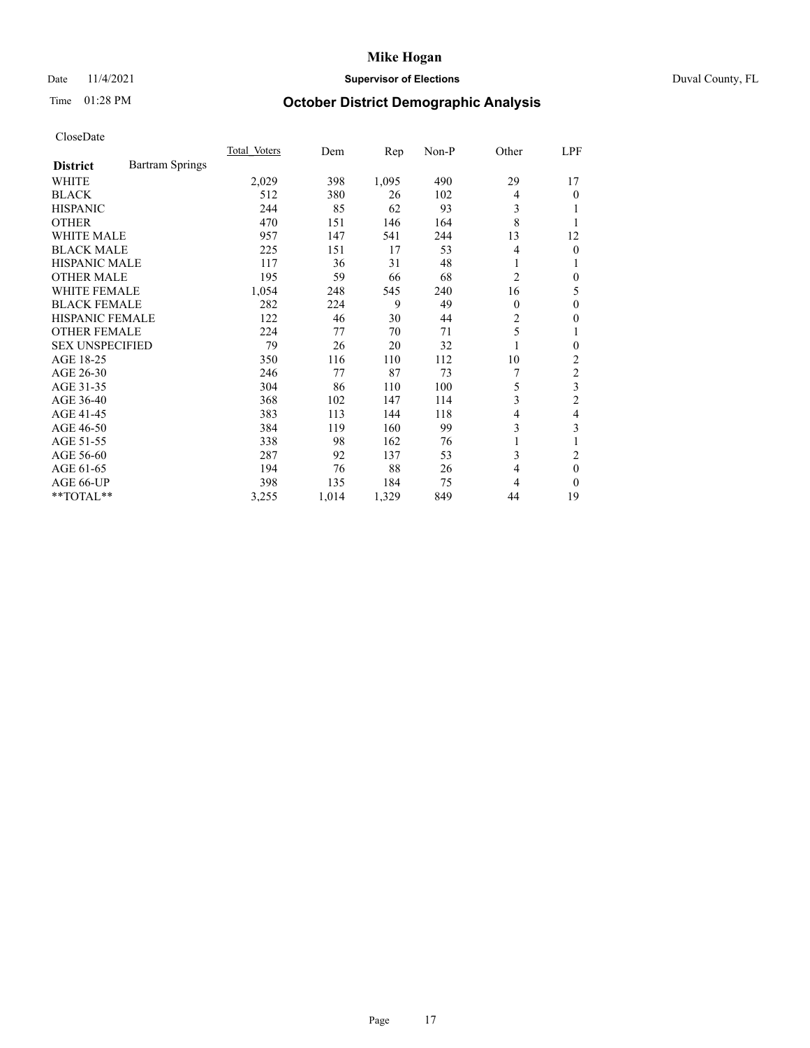## Date 11/4/2021 **Supervisor of Elections Supervisor of Elections** Duval County, FL

# Time 01:28 PM **October District Demographic Analysis**

|                        |                        | Total Voters | Dem   | Rep   | $Non-P$ | Other          | LPF            |
|------------------------|------------------------|--------------|-------|-------|---------|----------------|----------------|
| <b>District</b>        | <b>Bartram Springs</b> |              |       |       |         |                |                |
| WHITE                  |                        | 2,029        | 398   | 1,095 | 490     | 29             | 17             |
| <b>BLACK</b>           |                        | 512          | 380   | 26    | 102     | 4              | 0              |
| <b>HISPANIC</b>        |                        | 244          | 85    | 62    | 93      | 3              |                |
| <b>OTHER</b>           |                        | 470          | 151   | 146   | 164     | 8              |                |
| <b>WHITE MALE</b>      |                        | 957          | 147   | 541   | 244     | 13             | 12             |
| <b>BLACK MALE</b>      |                        | 225          | 151   | 17    | 53      | 4              | 0              |
| <b>HISPANIC MALE</b>   |                        | 117          | 36    | 31    | 48      | 1              |                |
| <b>OTHER MALE</b>      |                        | 195          | 59    | 66    | 68      | $\overline{2}$ | 0              |
| WHITE FEMALE           |                        | 1,054        | 248   | 545   | 240     | 16             | 5              |
| <b>BLACK FEMALE</b>    |                        | 282          | 224   | 9     | 49      | $\theta$       | 0              |
| <b>HISPANIC FEMALE</b> |                        | 122          | 46    | 30    | 44      | 2              | 0              |
| <b>OTHER FEMALE</b>    |                        | 224          | 77    | 70    | 71      | 5              | 1              |
| <b>SEX UNSPECIFIED</b> |                        | 79           | 26    | 20    | 32      | 1              | 0              |
| AGE 18-25              |                        | 350          | 116   | 110   | 112     | 10             | 2              |
| AGE 26-30              |                        | 246          | 77    | 87    | 73      |                | $\overline{c}$ |
| AGE 31-35              |                        | 304          | 86    | 110   | 100     | 5              | 3              |
| AGE 36-40              |                        | 368          | 102   | 147   | 114     | 3              | $\overline{2}$ |
| AGE 41-45              |                        | 383          | 113   | 144   | 118     | 4              | 4              |
| AGE 46-50              |                        | 384          | 119   | 160   | 99      | 3              | 3              |
| AGE 51-55              |                        | 338          | 98    | 162   | 76      | 1              |                |
| AGE 56-60              |                        | 287          | 92    | 137   | 53      | 3              | 2              |
| AGE 61-65              |                        | 194          | 76    | 88    | 26      | 4              | $\theta$       |
| AGE 66-UP              |                        | 398          | 135   | 184   | 75      | 4              | 0              |
| **TOTAL**              |                        | 3,255        | 1,014 | 1,329 | 849     | 44             | 19             |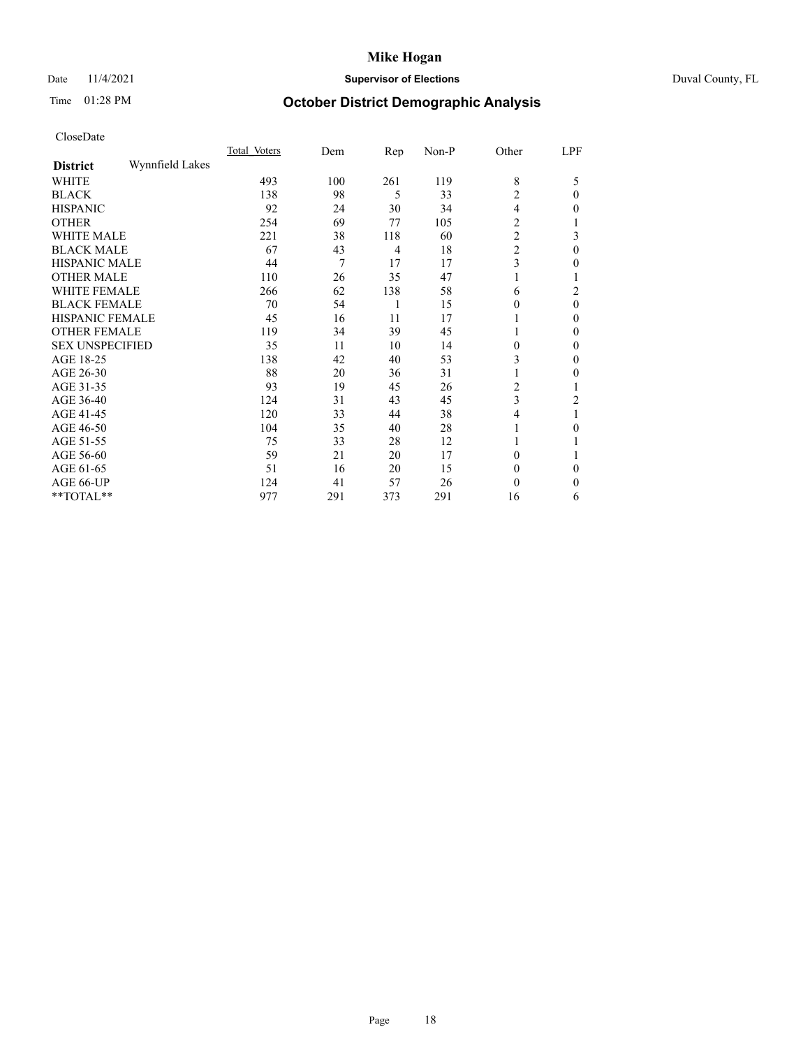## Date 11/4/2021 **Supervisor of Elections** Duval County, FL

# Time 01:28 PM **October District Demographic Analysis**

|                        |                 | Total Voters | Dem | Rep            | Non-P | Other          | LPF      |
|------------------------|-----------------|--------------|-----|----------------|-------|----------------|----------|
| <b>District</b>        | Wynnfield Lakes |              |     |                |       |                |          |
| WHITE                  |                 | 493          | 100 | 261            | 119   | 8              | 5        |
| <b>BLACK</b>           |                 | 138          | 98  | 5              | 33    | $\overline{2}$ | $\Omega$ |
| <b>HISPANIC</b>        |                 | 92           | 24  | 30             | 34    | 4              | 0        |
| <b>OTHER</b>           |                 | 254          | 69  | 77             | 105   | $\overline{2}$ |          |
| <b>WHITE MALE</b>      |                 | 221          | 38  | 118            | 60    | $\overline{c}$ | 3        |
| <b>BLACK MALE</b>      |                 | 67           | 43  | $\overline{4}$ | 18    | $\overline{2}$ | $\theta$ |
| <b>HISPANIC MALE</b>   |                 | 44           | 7   | 17             | 17    | 3              | 0        |
| <b>OTHER MALE</b>      |                 | 110          | 26  | 35             | 47    |                |          |
| WHITE FEMALE           |                 | 266          | 62  | 138            | 58    | 6              | 2        |
| <b>BLACK FEMALE</b>    |                 | 70           | 54  | 1              | 15    | $\Omega$       | $\theta$ |
| <b>HISPANIC FEMALE</b> |                 | 45           | 16  | 11             | 17    |                | 0        |
| <b>OTHER FEMALE</b>    |                 | 119          | 34  | 39             | 45    |                | 0        |
| <b>SEX UNSPECIFIED</b> |                 | 35           | 11  | 10             | 14    | $\Omega$       | 0        |
| AGE 18-25              |                 | 138          | 42  | 40             | 53    | 3              | 0        |
| AGE 26-30              |                 | 88           | 20  | 36             | 31    | 1              | 0        |
| AGE 31-35              |                 | 93           | 19  | 45             | 26    | 2              |          |
| AGE 36-40              |                 | 124          | 31  | 43             | 45    | 3              | 2        |
| AGE 41-45              |                 | 120          | 33  | 44             | 38    | 4              |          |
| AGE 46-50              |                 | 104          | 35  | 40             | 28    | 1              | 0        |
| AGE 51-55              |                 | 75           | 33  | 28             | 12    |                |          |
| AGE 56-60              |                 | 59           | 21  | 20             | 17    | $\Omega$       |          |
| AGE 61-65              |                 | 51           | 16  | 20             | 15    | $\Omega$       | $\Omega$ |
| AGE 66-UP              |                 | 124          | 41  | 57             | 26    | $\Omega$       | 0        |
| **TOTAL**              |                 | 977          | 291 | 373            | 291   | 16             | 6        |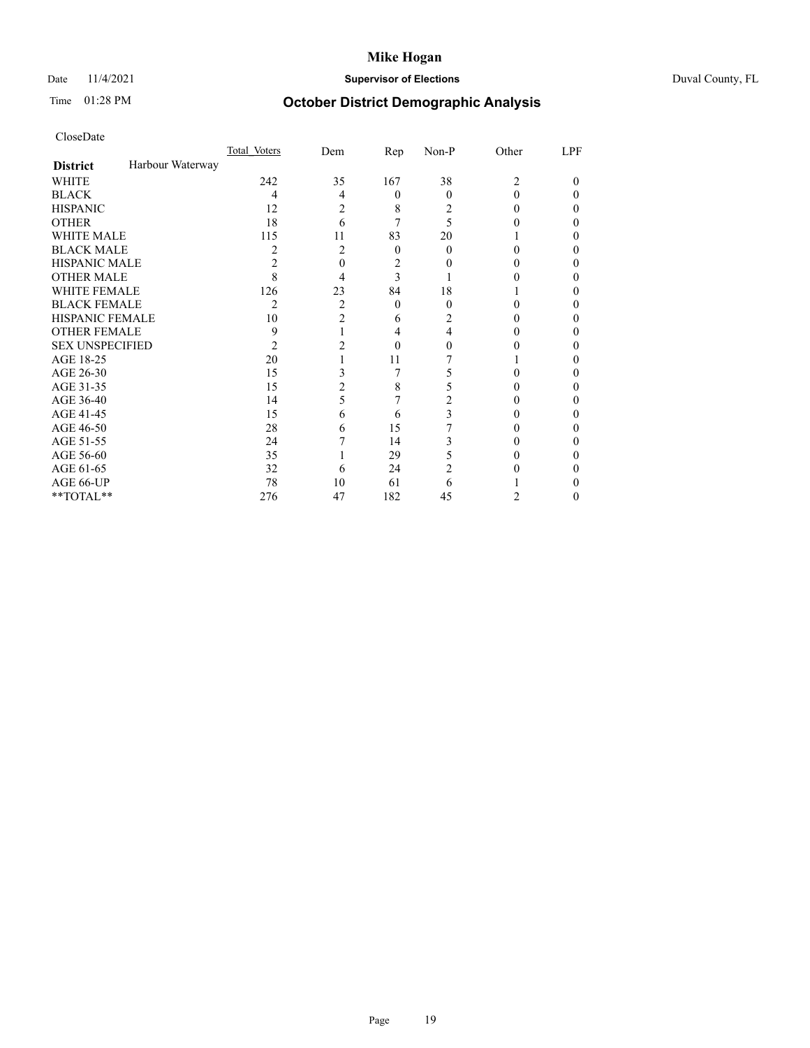## Date 11/4/2021 **Supervisor of Elections** Duval County, FL

# Time 01:28 PM **October District Demographic Analysis**

|                        |                  | Total Voters | Dem            | Rep      | Non-P    | Other          | LPF |
|------------------------|------------------|--------------|----------------|----------|----------|----------------|-----|
| <b>District</b>        | Harbour Waterway |              |                |          |          |                |     |
| WHITE                  |                  | 242          | 35             | 167      | 38       | $\overline{c}$ | 0   |
| <b>BLACK</b>           |                  | 4            | 4              | $\theta$ | $\Omega$ | 0              | 0   |
| <b>HISPANIC</b>        |                  | 12           | 2              | 8        | 2        | 0              | 0   |
| <b>OTHER</b>           |                  | 18           | 6              |          | 5        |                |     |
| <b>WHITE MALE</b>      |                  | 115          | 11             | 83       | 20       |                |     |
| <b>BLACK MALE</b>      |                  | 2            | 2              | $\theta$ | 0        | 0              | 0   |
| <b>HISPANIC MALE</b>   |                  | 2            | 0              | 2        |          |                |     |
| <b>OTHER MALE</b>      |                  | 8            | 4              | 3        |          |                | 0   |
| WHITE FEMALE           |                  | 126          | 23             | 84       | 18       |                |     |
| <b>BLACK FEMALE</b>    |                  | 2            | $\overline{c}$ | $\theta$ | $\Omega$ | 0              | 0   |
| <b>HISPANIC FEMALE</b> |                  | 10           | $\overline{c}$ | 6        | 2        |                |     |
| <b>OTHER FEMALE</b>    |                  | 9            |                | 4        | 4        |                | 0   |
| <b>SEX UNSPECIFIED</b> |                  | 2            |                | 0        |          |                |     |
| AGE 18-25              |                  | 20           |                | 11       |          |                |     |
| AGE 26-30              |                  | 15           | 3              | 7        |          |                | 0   |
| AGE 31-35              |                  | 15           | 2              | 8        |          |                | 0   |
| AGE 36-40              |                  | 14           | 5              | 7        | 2        |                | 0   |
| AGE 41-45              |                  | 15           | 6              | 6        | 3        |                |     |
| AGE 46-50              |                  | 28           | 6              | 15       |          | 0              | 0   |
| AGE 51-55              |                  | 24           |                | 14       |          |                |     |
| AGE 56-60              |                  | 35           |                | 29       |          |                |     |
| AGE 61-65              |                  | 32           | 6              | 24       | 2        |                |     |
| AGE 66-UP              |                  | 78           | 10             | 61       | 6        |                |     |
| **TOTAL**              |                  | 276          | 47             | 182      | 45       | 2              | 0   |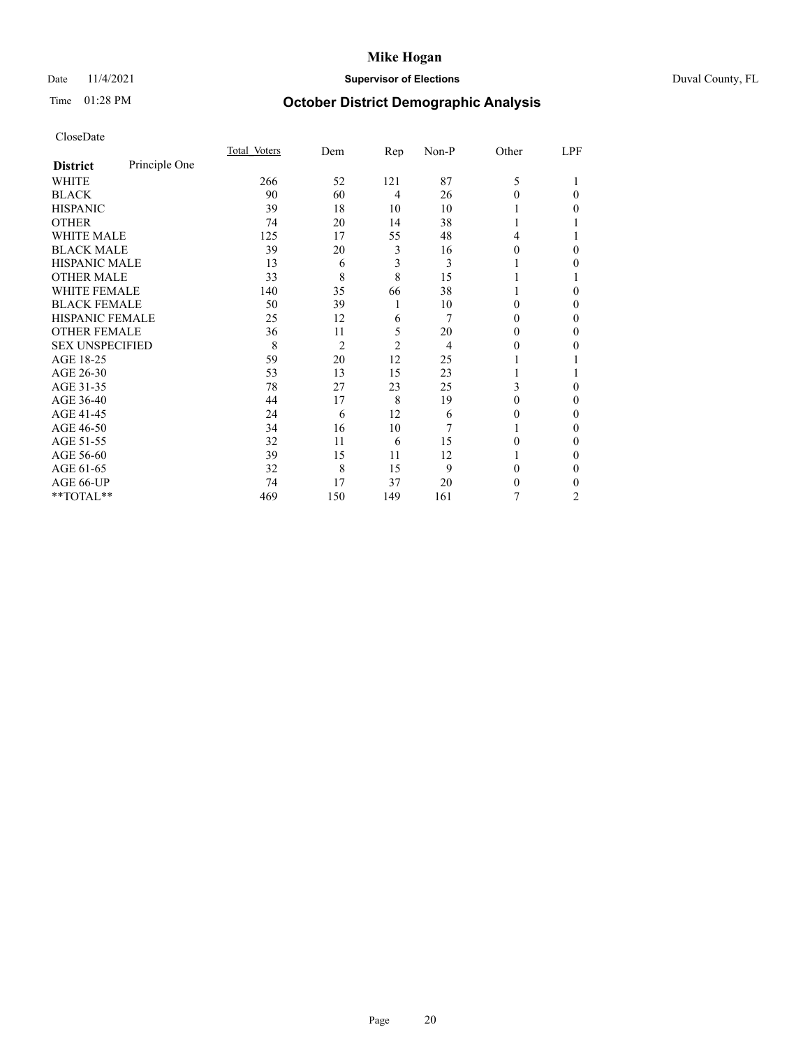## Date 11/4/2021 **Supervisor of Elections** Duval County, FL

# Time 01:28 PM **October District Demographic Analysis**

|                        |               | Total Voters | Dem            | Rep            | Non-P | Other  | LPF      |
|------------------------|---------------|--------------|----------------|----------------|-------|--------|----------|
| <b>District</b>        | Principle One |              |                |                |       |        |          |
| WHITE                  |               | 266          | 52             | 121            | 87    | 5      |          |
| <b>BLACK</b>           |               | 90           | 60             | $\overline{4}$ | 26    | 0      | 0        |
| <b>HISPANIC</b>        |               | 39           | 18             | 10             | 10    |        | 0        |
| <b>OTHER</b>           |               | 74           | 20             | 14             | 38    |        |          |
| <b>WHITE MALE</b>      |               | 125          | 17             | 55             | 48    | 4      |          |
| <b>BLACK MALE</b>      |               | 39           | 20             | 3              | 16    | $_{0}$ | 0        |
| <b>HISPANIC MALE</b>   |               | 13           | 6              | 3              | 3     |        | 0        |
| <b>OTHER MALE</b>      |               | 33           | 8              | 8              | 15    |        |          |
| <b>WHITE FEMALE</b>    |               | 140          | 35             | 66             | 38    |        | 0        |
| <b>BLACK FEMALE</b>    |               | 50           | 39             | 1              | 10    | 0      | 0        |
| HISPANIC FEMALE        |               | 25           | 12             | 6              | 7     | $_{0}$ | $\Omega$ |
| <b>OTHER FEMALE</b>    |               | 36           | 11             | 5              | 20    | $_{0}$ | 0        |
| <b>SEX UNSPECIFIED</b> |               | 8            | $\overline{2}$ | $\overline{2}$ | 4     | 0      | 0        |
| AGE 18-25              |               | 59           | 20             | 12             | 25    |        |          |
| AGE 26-30              |               | 53           | 13             | 15             | 23    |        |          |
| AGE 31-35              |               | 78           | 27             | 23             | 25    | 3      | 0        |
| AGE 36-40              |               | 44           | 17             | 8              | 19    | 0      | 0        |
| AGE 41-45              |               | 24           | 6              | 12             | 6     |        | 0        |
| AGE 46-50              |               | 34           | 16             | 10             | 7     |        | $\Omega$ |
| AGE 51-55              |               | 32           | 11             | 6              | 15    | 0      | $\Omega$ |
| AGE 56-60              |               | 39           | 15             | 11             | 12    |        | 0        |
| AGE 61-65              |               | 32           | 8              | 15             | 9     | 0      | $\Omega$ |
| AGE 66-UP              |               | 74           | 17             | 37             | 20    | 0      | 0        |
| **TOTAL**              |               | 469          | 150            | 149            | 161   | 7      | 2        |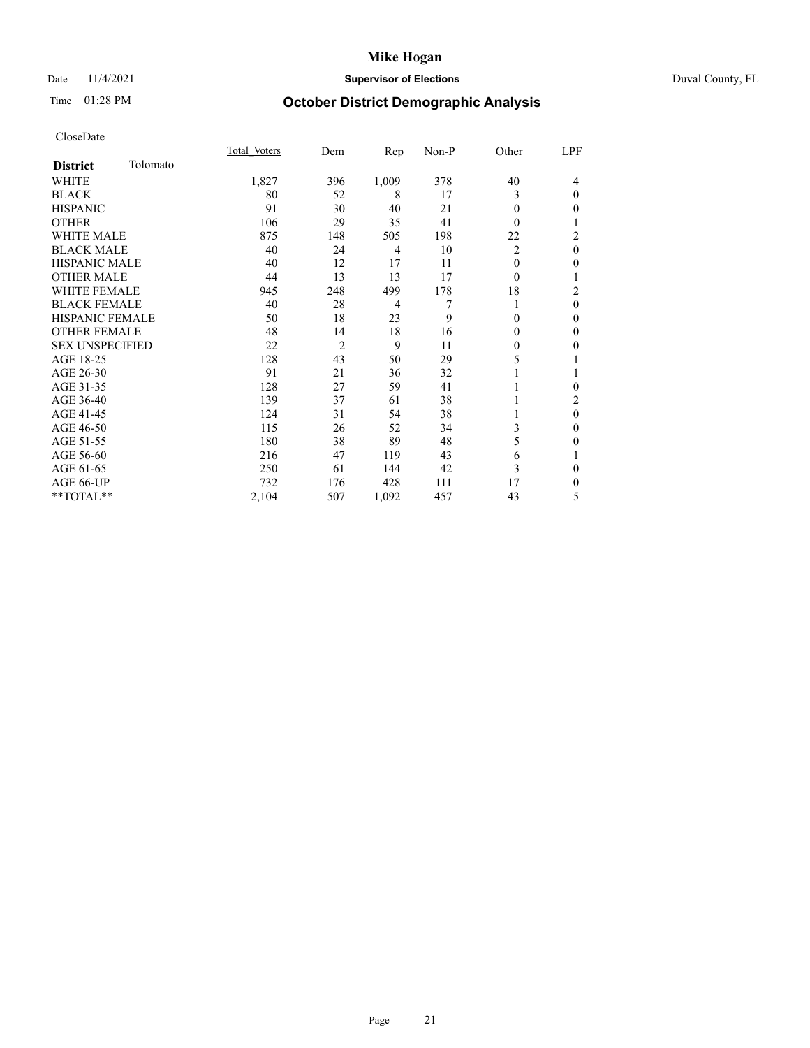## Date 11/4/2021 **Supervisor of Elections Supervisor of Elections** Duval County, FL

# Time 01:28 PM **October District Demographic Analysis**

|                        |          | Total Voters | Dem | Rep            | Non-P | Other    | LPF              |
|------------------------|----------|--------------|-----|----------------|-------|----------|------------------|
| <b>District</b>        | Tolomato |              |     |                |       |          |                  |
| WHITE                  |          | 1,827        | 396 | 1,009          | 378   | 40       | 4                |
| <b>BLACK</b>           |          | 80           | 52  | 8              | 17    | 3        | $\theta$         |
| <b>HISPANIC</b>        |          | 91           | 30  | 40             | 21    | $\theta$ | 0                |
| <b>OTHER</b>           |          | 106          | 29  | 35             | 41    | $\theta$ |                  |
| <b>WHITE MALE</b>      |          | 875          | 148 | 505            | 198   | 22       | 2                |
| <b>BLACK MALE</b>      |          | 40           | 24  | $\overline{4}$ | 10    | 2        | $\theta$         |
| HISPANIC MALE          |          | 40           | 12  | 17             | 11    | $\theta$ | 0                |
| <b>OTHER MALE</b>      |          | 44           | 13  | 13             | 17    | $\theta$ |                  |
| <b>WHITE FEMALE</b>    |          | 945          | 248 | 499            | 178   | 18       | 2                |
| <b>BLACK FEMALE</b>    |          | 40           | 28  | $\overline{4}$ |       | 1        | 0                |
| <b>HISPANIC FEMALE</b> |          | 50           | 18  | 23             | 9     | $\theta$ | 0                |
| <b>OTHER FEMALE</b>    |          | 48           | 14  | 18             | 16    | $\theta$ | 0                |
| <b>SEX UNSPECIFIED</b> |          | 22           | 2   | 9              | 11    | $\theta$ | 0                |
| AGE 18-25              |          | 128          | 43  | 50             | 29    | 5        |                  |
| AGE 26-30              |          | 91           | 21  | 36             | 32    |          |                  |
| AGE 31-35              |          | 128          | 27  | 59             | 41    |          | 0                |
| AGE 36-40              |          | 139          | 37  | 61             | 38    | 1        | 2                |
| AGE 41-45              |          | 124          | 31  | 54             | 38    |          | $\boldsymbol{0}$ |
| AGE 46-50              |          | 115          | 26  | 52             | 34    | 3        | 0                |
| AGE 51-55              |          | 180          | 38  | 89             | 48    | 5        | 0                |
| AGE 56-60              |          | 216          | 47  | 119            | 43    | 6        |                  |
| AGE 61-65              |          | 250          | 61  | 144            | 42    | 3        | $\Omega$         |
| AGE 66-UP              |          | 732          | 176 | 428            | 111   | 17       | 0                |
| **TOTAL**              |          | 2,104        | 507 | 1,092          | 457   | 43       | 5                |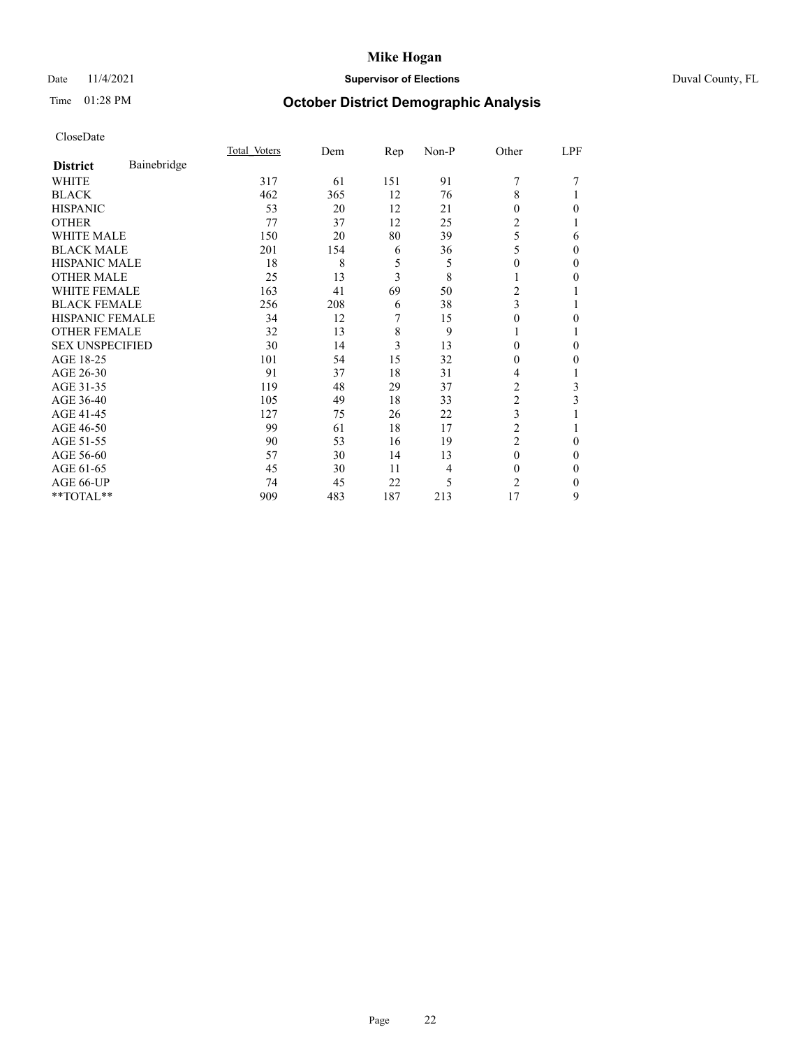## Date 11/4/2021 **Supervisor of Elections** Duval County, FL

# Time 01:28 PM **October District Demographic Analysis**

|                        |             | Total Voters | Dem | Rep | Non-P | Other          | LPF      |
|------------------------|-------------|--------------|-----|-----|-------|----------------|----------|
| <b>District</b>        | Bainebridge |              |     |     |       |                |          |
| WHITE                  |             | 317          | 61  | 151 | 91    | 7              |          |
| <b>BLACK</b>           |             | 462          | 365 | 12  | 76    | 8              |          |
| <b>HISPANIC</b>        |             | 53           | 20  | 12  | 21    | 0              | 0        |
| <b>OTHER</b>           |             | 77           | 37  | 12  | 25    | $\overline{2}$ |          |
| WHITE MALE             |             | 150          | 20  | 80  | 39    | 5              | 6        |
| <b>BLACK MALE</b>      |             | 201          | 154 | 6   | 36    | 5              | $\Omega$ |
| <b>HISPANIC MALE</b>   |             | 18           | 8   | 5   | 5     | 0              | 0        |
| <b>OTHER MALE</b>      |             | 25           | 13  | 3   | 8     | 1              | 0        |
| <b>WHITE FEMALE</b>    |             | 163          | 41  | 69  | 50    | 2              |          |
| <b>BLACK FEMALE</b>    |             | 256          | 208 | 6   | 38    | 3              |          |
| <b>HISPANIC FEMALE</b> |             | 34           | 12  | 7   | 15    | 0              | 0        |
| <b>OTHER FEMALE</b>    |             | 32           | 13  | 8   | 9     |                |          |
| <b>SEX UNSPECIFIED</b> |             | 30           | 14  | 3   | 13    | $\Omega$       | 0        |
| AGE 18-25              |             | 101          | 54  | 15  | 32    | 0              | 0        |
| AGE 26-30              |             | 91           | 37  | 18  | 31    | 4              |          |
| AGE 31-35              |             | 119          | 48  | 29  | 37    | 2              | 3        |
| AGE 36-40              |             | 105          | 49  | 18  | 33    | 2              | 3        |
| AGE 41-45              |             | 127          | 75  | 26  | 22    | 3              |          |
| AGE 46-50              |             | 99           | 61  | 18  | 17    | $\overline{2}$ |          |
| AGE 51-55              |             | 90           | 53  | 16  | 19    | $\overline{2}$ | 0        |
| AGE 56-60              |             | 57           | 30  | 14  | 13    | $\theta$       | 0        |
| AGE 61-65              |             | 45           | 30  | 11  | 4     | $\Omega$       | 0        |
| AGE 66-UP              |             | 74           | 45  | 22  | 5     | $\overline{c}$ | 0        |
| **TOTAL**              |             | 909          | 483 | 187 | 213   | 17             | 9        |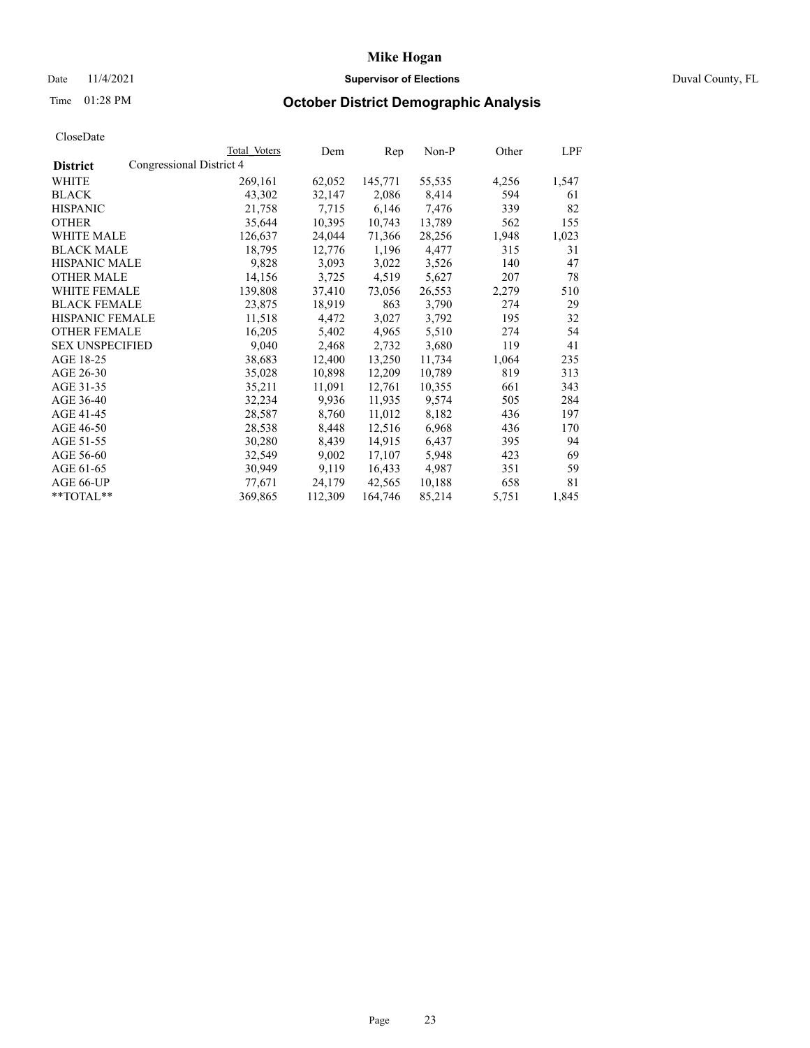## Date 11/4/2021 **Supervisor of Elections Supervisor of Elections** Duval County, FL

# Time 01:28 PM **October District Demographic Analysis**

|                        |                          | <b>Total Voters</b> | Dem     | Rep     | $Non-P$ | Other | <u>LPF</u> |
|------------------------|--------------------------|---------------------|---------|---------|---------|-------|------------|
| <b>District</b>        | Congressional District 4 |                     |         |         |         |       |            |
| WHITE                  |                          | 269,161             | 62,052  | 145,771 | 55,535  | 4,256 | 1,547      |
| <b>BLACK</b>           |                          | 43,302              | 32,147  | 2,086   | 8,414   | 594   | 61         |
| <b>HISPANIC</b>        |                          | 21,758              | 7,715   | 6,146   | 7,476   | 339   | 82         |
| <b>OTHER</b>           |                          | 35,644              | 10,395  | 10,743  | 13,789  | 562   | 155        |
| <b>WHITE MALE</b>      |                          | 126,637             | 24,044  | 71,366  | 28,256  | 1,948 | 1,023      |
| <b>BLACK MALE</b>      |                          | 18,795              | 12,776  | 1,196   | 4,477   | 315   | 31         |
| <b>HISPANIC MALE</b>   |                          | 9,828               | 3,093   | 3,022   | 3,526   | 140   | 47         |
| <b>OTHER MALE</b>      |                          | 14,156              | 3,725   | 4,519   | 5,627   | 207   | 78         |
| <b>WHITE FEMALE</b>    |                          | 139,808             | 37,410  | 73,056  | 26,553  | 2,279 | 510        |
| <b>BLACK FEMALE</b>    |                          | 23,875              | 18,919  | 863     | 3,790   | 274   | 29         |
| HISPANIC FEMALE        |                          | 11,518              | 4,472   | 3,027   | 3,792   | 195   | 32         |
| <b>OTHER FEMALE</b>    |                          | 16,205              | 5,402   | 4,965   | 5,510   | 274   | 54         |
| <b>SEX UNSPECIFIED</b> |                          | 9,040               | 2,468   | 2,732   | 3,680   | 119   | 41         |
| AGE 18-25              |                          | 38,683              | 12,400  | 13,250  | 11,734  | 1,064 | 235        |
| AGE 26-30              |                          | 35,028              | 10,898  | 12,209  | 10,789  | 819   | 313        |
| AGE 31-35              |                          | 35,211              | 11,091  | 12,761  | 10,355  | 661   | 343        |
| AGE 36-40              |                          | 32,234              | 9,936   | 11,935  | 9,574   | 505   | 284        |
| AGE 41-45              |                          | 28,587              | 8,760   | 11,012  | 8,182   | 436   | 197        |
| AGE 46-50              |                          | 28,538              | 8,448   | 12,516  | 6,968   | 436   | 170        |
| AGE 51-55              |                          | 30,280              | 8,439   | 14,915  | 6,437   | 395   | 94         |
| AGE 56-60              |                          | 32,549              | 9,002   | 17,107  | 5,948   | 423   | 69         |
| AGE 61-65              |                          | 30,949              | 9,119   | 16,433  | 4,987   | 351   | 59         |
| AGE 66-UP              |                          | 77,671              | 24,179  | 42,565  | 10,188  | 658   | 81         |
| **TOTAL**              |                          | 369,865             | 112,309 | 164,746 | 85,214  | 5,751 | 1,845      |
|                        |                          |                     |         |         |         |       |            |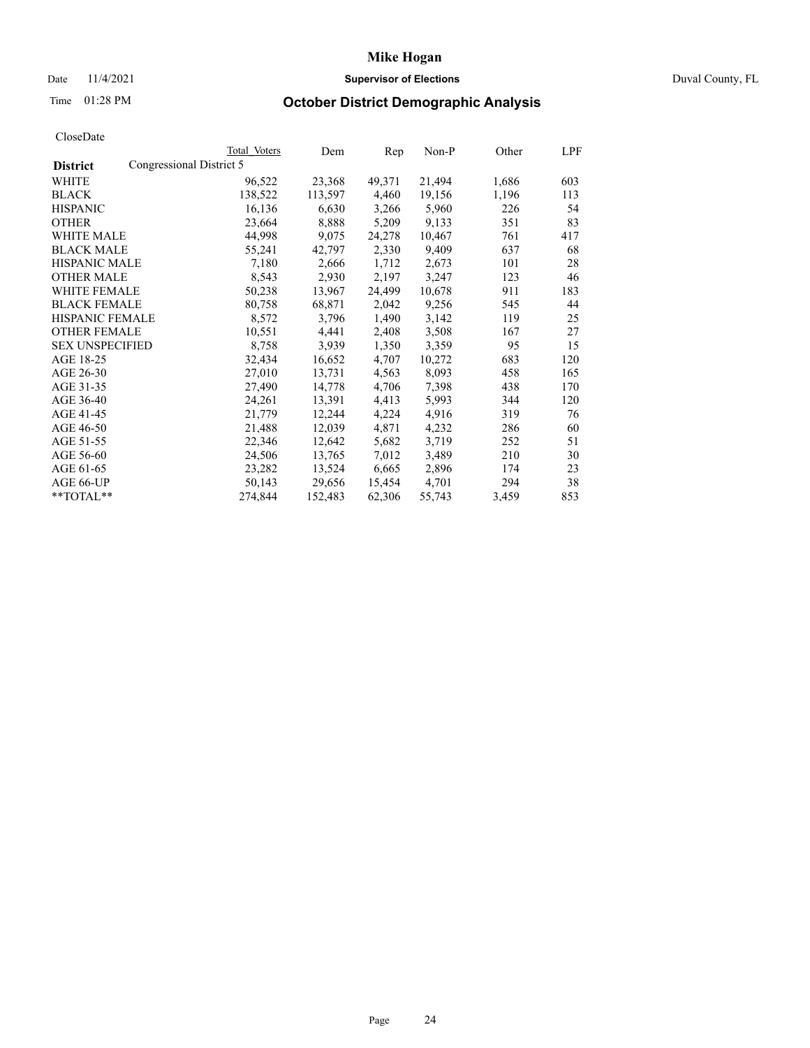## Date 11/4/2021 **Supervisor of Elections Supervisor of Elections** Duval County, FL

# Time 01:28 PM **October District Demographic Analysis**

|                        |                          | Total Voters | Dem     | Rep    | Non-P  | Other | LPF |
|------------------------|--------------------------|--------------|---------|--------|--------|-------|-----|
| <b>District</b>        | Congressional District 5 |              |         |        |        |       |     |
| WHITE                  |                          | 96,522       | 23,368  | 49,371 | 21,494 | 1,686 | 603 |
| <b>BLACK</b>           |                          | 138,522      | 113,597 | 4,460  | 19,156 | 1,196 | 113 |
| <b>HISPANIC</b>        |                          | 16,136       | 6,630   | 3,266  | 5,960  | 226   | 54  |
| <b>OTHER</b>           |                          | 23,664       | 8,888   | 5,209  | 9,133  | 351   | 83  |
| WHITE MALE             |                          | 44,998       | 9,075   | 24,278 | 10,467 | 761   | 417 |
| <b>BLACK MALE</b>      |                          | 55,241       | 42,797  | 2,330  | 9,409  | 637   | 68  |
| <b>HISPANIC MALE</b>   |                          | 7,180        | 2,666   | 1,712  | 2,673  | 101   | 28  |
| <b>OTHER MALE</b>      |                          | 8,543        | 2,930   | 2,197  | 3,247  | 123   | 46  |
| <b>WHITE FEMALE</b>    |                          | 50,238       | 13,967  | 24,499 | 10,678 | 911   | 183 |
| <b>BLACK FEMALE</b>    |                          | 80,758       | 68,871  | 2,042  | 9,256  | 545   | 44  |
| <b>HISPANIC FEMALE</b> |                          | 8,572        | 3,796   | 1,490  | 3,142  | 119   | 25  |
| <b>OTHER FEMALE</b>    |                          | 10,551       | 4,441   | 2,408  | 3,508  | 167   | 27  |
| <b>SEX UNSPECIFIED</b> |                          | 8,758        | 3,939   | 1,350  | 3,359  | 95    | 15  |
| AGE 18-25              |                          | 32,434       | 16,652  | 4,707  | 10,272 | 683   | 120 |
| AGE 26-30              |                          | 27,010       | 13,731  | 4,563  | 8,093  | 458   | 165 |
| AGE 31-35              |                          | 27,490       | 14,778  | 4,706  | 7,398  | 438   | 170 |
| AGE 36-40              |                          | 24,261       | 13,391  | 4,413  | 5,993  | 344   | 120 |
| AGE 41-45              |                          | 21,779       | 12,244  | 4,224  | 4,916  | 319   | 76  |
| AGE 46-50              |                          | 21,488       | 12,039  | 4,871  | 4,232  | 286   | 60  |
| AGE 51-55              |                          | 22,346       | 12,642  | 5,682  | 3,719  | 252   | 51  |
| AGE 56-60              |                          | 24,506       | 13,765  | 7,012  | 3,489  | 210   | 30  |
| AGE 61-65              |                          | 23,282       | 13,524  | 6,665  | 2,896  | 174   | 23  |
| AGE 66-UP              |                          | 50,143       | 29,656  | 15,454 | 4,701  | 294   | 38  |
| $*$ $TOTAL**$          |                          | 274,844      | 152,483 | 62,306 | 55,743 | 3,459 | 853 |
|                        |                          |              |         |        |        |       |     |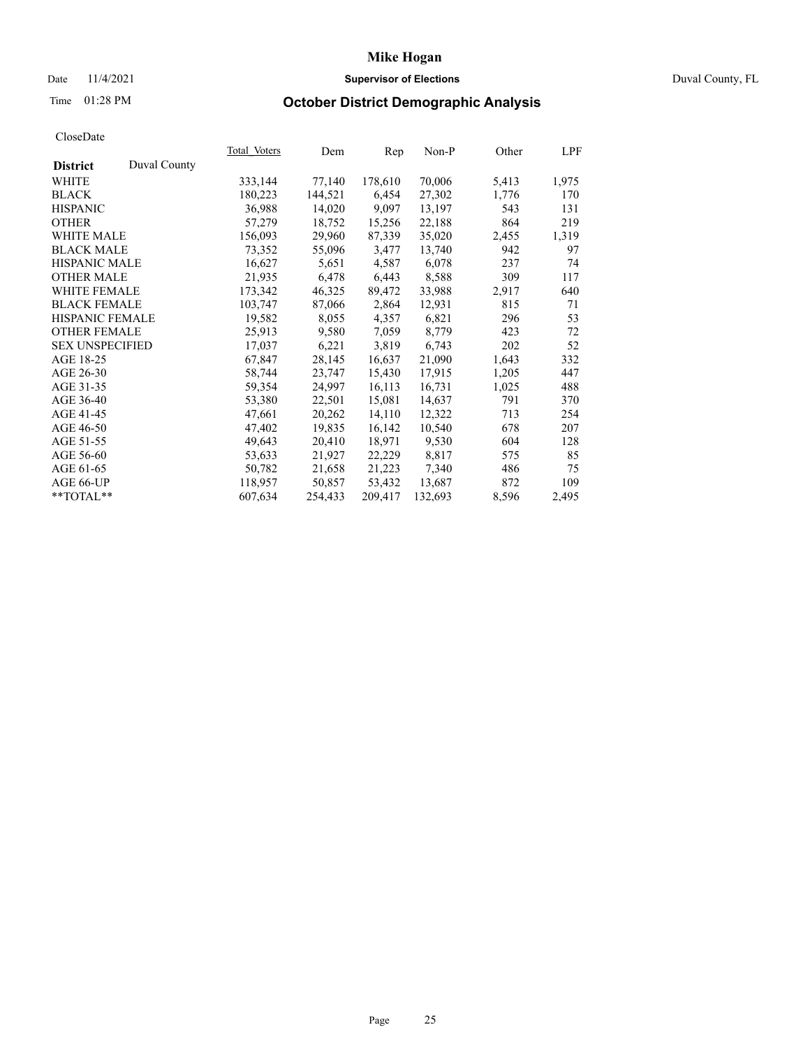## Date 11/4/2021 **Supervisor of Elections Supervisor of Elections** Duval County, FL

# Time 01:28 PM **October District Demographic Analysis**

|                        |              | Total Voters | Dem     | Rep     | $Non-P$ | Other | LPF   |
|------------------------|--------------|--------------|---------|---------|---------|-------|-------|
| <b>District</b>        | Duval County |              |         |         |         |       |       |
| WHITE                  |              | 333,144      | 77,140  | 178,610 | 70,006  | 5,413 | 1,975 |
| <b>BLACK</b>           |              | 180,223      | 144,521 | 6,454   | 27,302  | 1,776 | 170   |
| <b>HISPANIC</b>        |              | 36,988       | 14,020  | 9,097   | 13,197  | 543   | 131   |
| <b>OTHER</b>           |              | 57,279       | 18,752  | 15,256  | 22,188  | 864   | 219   |
| <b>WHITE MALE</b>      |              | 156,093      | 29,960  | 87,339  | 35,020  | 2,455 | 1,319 |
| <b>BLACK MALE</b>      |              | 73,352       | 55,096  | 3,477   | 13,740  | 942   | 97    |
| <b>HISPANIC MALE</b>   |              | 16,627       | 5,651   | 4,587   | 6,078   | 237   | 74    |
| <b>OTHER MALE</b>      |              | 21,935       | 6,478   | 6,443   | 8,588   | 309   | 117   |
| <b>WHITE FEMALE</b>    |              | 173,342      | 46,325  | 89,472  | 33,988  | 2,917 | 640   |
| <b>BLACK FEMALE</b>    |              | 103,747      | 87,066  | 2,864   | 12,931  | 815   | 71    |
| HISPANIC FEMALE        |              | 19,582       | 8,055   | 4,357   | 6,821   | 296   | 53    |
| <b>OTHER FEMALE</b>    |              | 25,913       | 9,580   | 7,059   | 8,779   | 423   | 72    |
| <b>SEX UNSPECIFIED</b> |              | 17,037       | 6,221   | 3,819   | 6,743   | 202   | 52    |
| AGE 18-25              |              | 67,847       | 28,145  | 16,637  | 21,090  | 1,643 | 332   |
| AGE 26-30              |              | 58,744       | 23,747  | 15,430  | 17,915  | 1,205 | 447   |
| AGE 31-35              |              | 59,354       | 24,997  | 16,113  | 16,731  | 1,025 | 488   |
| AGE 36-40              |              | 53,380       | 22,501  | 15,081  | 14,637  | 791   | 370   |
| AGE 41-45              |              | 47,661       | 20,262  | 14,110  | 12,322  | 713   | 254   |
| AGE 46-50              |              | 47,402       | 19,835  | 16,142  | 10,540  | 678   | 207   |
| AGE 51-55              |              | 49,643       | 20,410  | 18,971  | 9,530   | 604   | 128   |
| AGE 56-60              |              | 53,633       | 21,927  | 22,229  | 8,817   | 575   | 85    |
| AGE 61-65              |              | 50,782       | 21,658  | 21,223  | 7,340   | 486   | 75    |
| AGE 66-UP              |              | 118,957      | 50,857  | 53,432  | 13,687  | 872   | 109   |
| $*$ TOTAL $*$          |              | 607,634      | 254,433 | 209,417 | 132,693 | 8,596 | 2,495 |
|                        |              |              |         |         |         |       |       |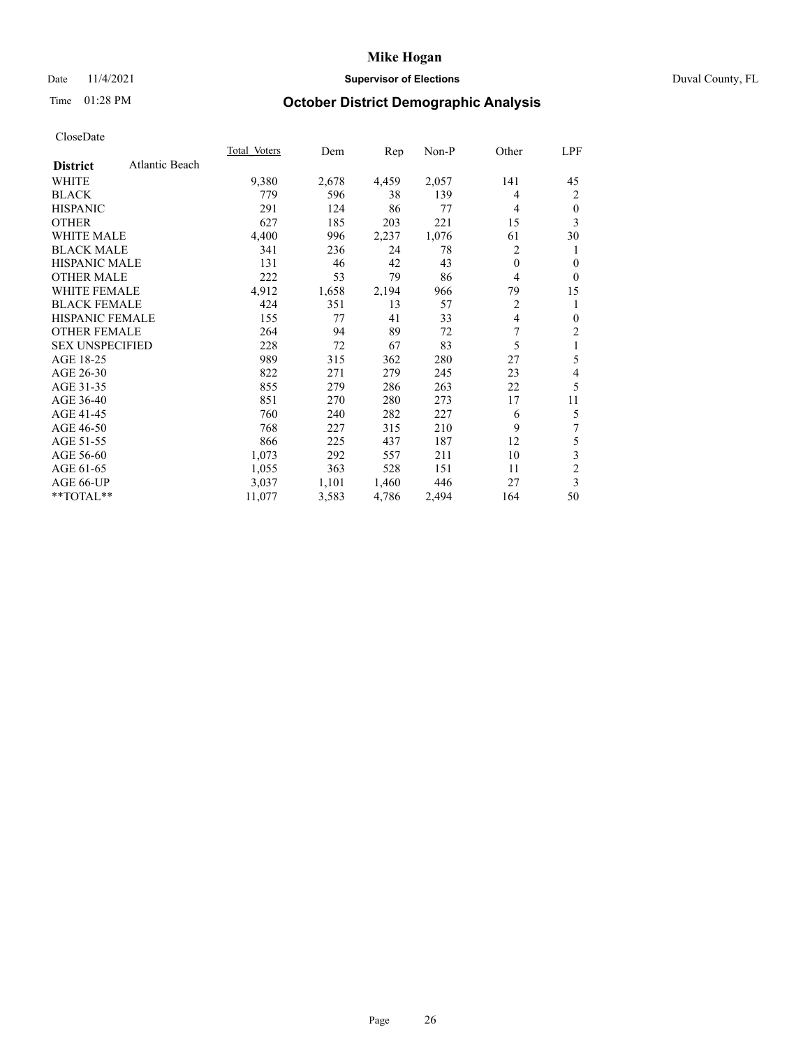## Date 11/4/2021 **Supervisor of Elections Supervisor of Elections** Duval County, FL

# Time 01:28 PM **October District Demographic Analysis**

|                        |                | <b>Total Voters</b> | Dem   | Rep   | $Non-P$ | Other          | LPF            |
|------------------------|----------------|---------------------|-------|-------|---------|----------------|----------------|
| <b>District</b>        | Atlantic Beach |                     |       |       |         |                |                |
| WHITE                  |                | 9,380               | 2,678 | 4,459 | 2,057   | 141            | 45             |
| <b>BLACK</b>           |                | 779                 | 596   | 38    | 139     | 4              | 2              |
| <b>HISPANIC</b>        |                | 291                 | 124   | 86    | 77      | 4              | $\mathbf{0}$   |
| <b>OTHER</b>           |                | 627                 | 185   | 203   | 221     | 15             | 3              |
| <b>WHITE MALE</b>      |                | 4,400               | 996   | 2,237 | 1,076   | 61             | 30             |
| <b>BLACK MALE</b>      |                | 341                 | 236   | 24    | 78      | 2              | 1              |
| <b>HISPANIC MALE</b>   |                | 131                 | 46    | 42    | 43      | $\mathbf{0}$   | 0              |
| <b>OTHER MALE</b>      |                | 222                 | 53    | 79    | 86      | 4              | $\mathbf{0}$   |
| <b>WHITE FEMALE</b>    |                | 4,912               | 1,658 | 2,194 | 966     | 79             | 15             |
| <b>BLACK FEMALE</b>    |                | 424                 | 351   | 13    | 57      | $\overline{c}$ | 1              |
| <b>HISPANIC FEMALE</b> |                | 155                 | 77    | 41    | 33      | 4              | $\mathbf{0}$   |
| <b>OTHER FEMALE</b>    |                | 264                 | 94    | 89    | 72      | 7              | 2              |
| <b>SEX UNSPECIFIED</b> |                | 228                 | 72    | 67    | 83      | 5              | 1              |
| AGE 18-25              |                | 989                 | 315   | 362   | 280     | 27             | 5              |
| AGE 26-30              |                | 822                 | 271   | 279   | 245     | 23             | 4              |
| AGE 31-35              |                | 855                 | 279   | 286   | 263     | 22             | 5              |
| AGE 36-40              |                | 851                 | 270   | 280   | 273     | 17             | 11             |
| AGE 41-45              |                | 760                 | 240   | 282   | 227     | 6              | 5              |
| AGE 46-50              |                | 768                 | 227   | 315   | 210     | 9              | 7              |
| AGE 51-55              |                | 866                 | 225   | 437   | 187     | 12             | 5              |
| AGE 56-60              |                | 1,073               | 292   | 557   | 211     | 10             | 3              |
| AGE 61-65              |                | 1,055               | 363   | 528   | 151     | 11             | $\overline{c}$ |
| AGE 66-UP              |                | 3,037               | 1,101 | 1,460 | 446     | 27             | 3              |
| **TOTAL**              |                | 11,077              | 3,583 | 4,786 | 2,494   | 164            | 50             |
|                        |                |                     |       |       |         |                |                |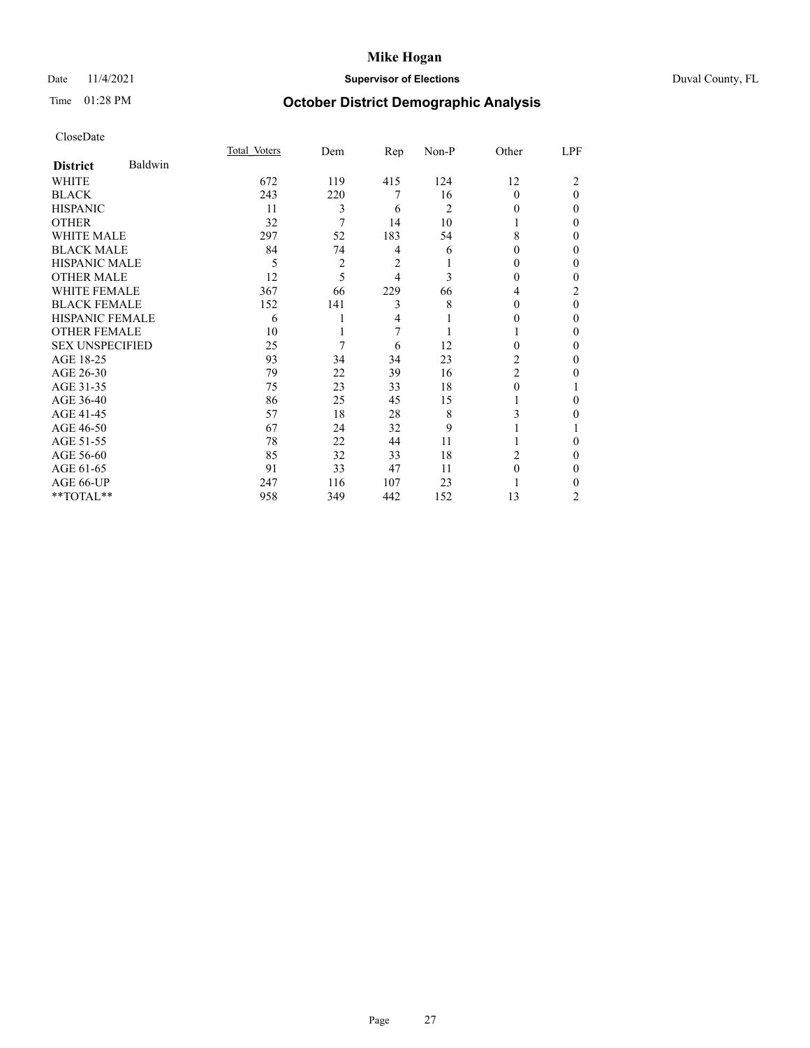## Date 11/4/2021 **Supervisor of Elections** Duval County, FL

# Time 01:28 PM **October District Demographic Analysis**

|                        |         | Total Voters | Dem | Rep | Non-P          | Other          | LPF            |
|------------------------|---------|--------------|-----|-----|----------------|----------------|----------------|
| <b>District</b>        | Baldwin |              |     |     |                |                |                |
| WHITE                  |         | 672          | 119 | 415 | 124            | 12             | $\overline{c}$ |
| <b>BLACK</b>           |         | 243          | 220 | 7   | 16             | $\Omega$       | $\theta$       |
| <b>HISPANIC</b>        |         | 11           | 3   | 6   | $\overline{c}$ | $_{0}$         | 0              |
| <b>OTHER</b>           |         | 32           | 7   | 14  | 10             |                | 0              |
| WHITE MALE             |         | 297          | 52  | 183 | 54             | 8              | 0              |
| <b>BLACK MALE</b>      |         | 84           | 74  | 4   | 6              | $_{0}$         | 0              |
| <b>HISPANIC MALE</b>   |         | 5            | 2   | 2   |                | 0              | 0              |
| <b>OTHER MALE</b>      |         | 12           | 5   | 4   | 3              | 0              | 0              |
| <b>WHITE FEMALE</b>    |         | 367          | 66  | 229 | 66             | 4              | 2              |
| <b>BLACK FEMALE</b>    |         | 152          | 141 | 3   | 8              | 0              | $\Omega$       |
| <b>HISPANIC FEMALE</b> |         | 6            |     | 4   |                | $_{0}$         | 0              |
| <b>OTHER FEMALE</b>    |         | 10           |     | 7   |                |                | 0              |
| <b>SEX UNSPECIFIED</b> |         | 25           | 7   | 6   | 12             | 0              | 0              |
| AGE 18-25              |         | 93           | 34  | 34  | 23             | 2              | 0              |
| AGE 26-30              |         | 79           | 22  | 39  | 16             | $\overline{c}$ | 0              |
| AGE 31-35              |         | 75           | 23  | 33  | 18             | 0              |                |
| AGE 36-40              |         | 86           | 25  | 45  | 15             |                | 0              |
| AGE 41-45              |         | 57           | 18  | 28  | 8              | 3              | 0              |
| AGE 46-50              |         | 67           | 24  | 32  | 9              |                |                |
| AGE 51-55              |         | 78           | 22  | 44  | 11             |                | 0              |
| AGE 56-60              |         | 85           | 32  | 33  | 18             | 2              | 0              |
| AGE 61-65              |         | 91           | 33  | 47  | 11             | 0              | 0              |
| AGE 66-UP              |         | 247          | 116 | 107 | 23             |                | 0              |
| **TOTAL**              |         | 958          | 349 | 442 | 152            | 13             | 2              |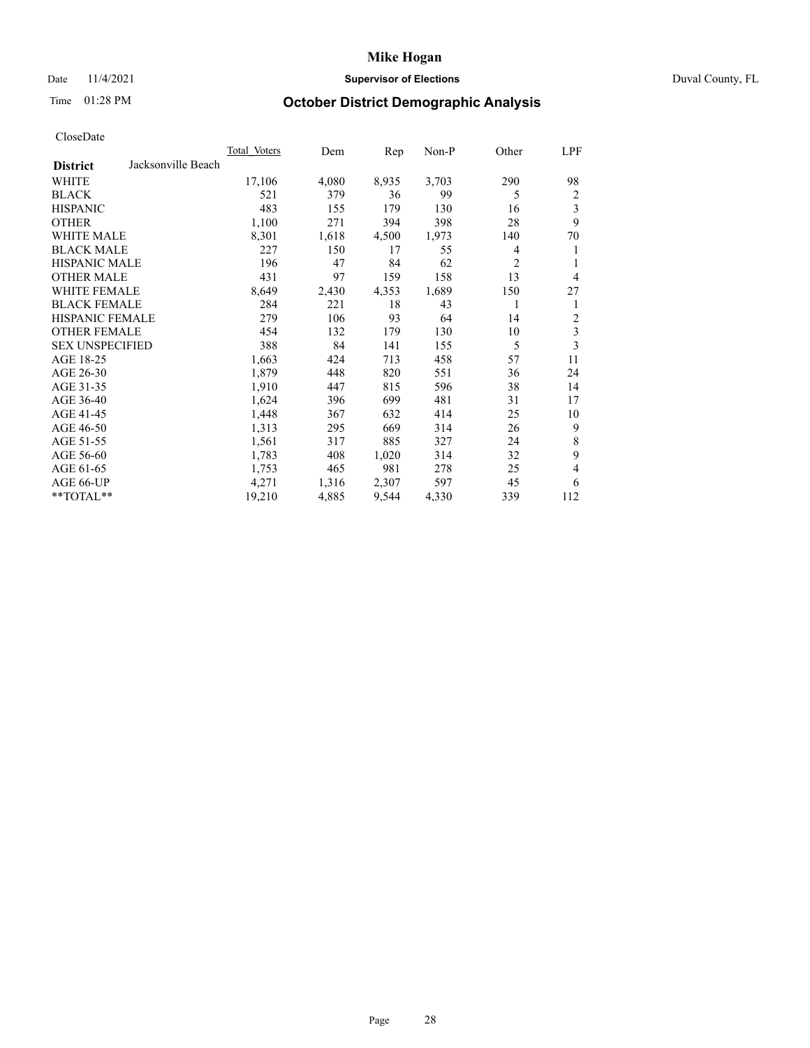## Date 11/4/2021 **Supervisor of Elections Supervisor of Elections** Duval County, FL

# Time 01:28 PM **October District Demographic Analysis**

| <b>Total Voters</b> | Dem   | Rep   | Non-P |                | LPF            |
|---------------------|-------|-------|-------|----------------|----------------|
|                     |       |       |       |                |                |
| 17,106              | 4,080 | 8,935 | 3,703 | 290            | 98             |
| 521                 | 379   | 36    | 99    | 5              | 2              |
| 483                 | 155   | 179   | 130   | 16             | 3              |
| 1,100               | 271   | 394   | 398   | 28             | 9              |
| 8,301               | 1,618 | 4,500 | 1,973 | 140            | 70             |
| 227                 | 150   | 17    | 55    | 4              | 1              |
| 196                 | 47    | 84    | 62    | $\overline{2}$ | 1              |
| 431                 | 97    | 159   | 158   | 13             | $\overline{4}$ |
| 8,649               | 2,430 | 4,353 | 1,689 | 150            | 27             |
| 284                 | 221   | 18    | 43    | 1              | 1              |
| 279                 | 106   | 93    | 64    | 14             | 2              |
| 454                 | 132   | 179   | 130   | 10             | 3              |
| 388                 | 84    | 141   | 155   | 5              | 3              |
| 1,663               | 424   | 713   | 458   | 57             | 11             |
| 1,879               | 448   | 820   | 551   | 36             | 24             |
| 1,910               | 447   | 815   | 596   | 38             | 14             |
| 1,624               | 396   | 699   | 481   | 31             | 17             |
| 1,448               | 367   | 632   | 414   | 25             | 10             |
| 1,313               | 295   | 669   | 314   | 26             | 9              |
| 1,561               | 317   | 885   | 327   | 24             | 8              |
| 1,783               | 408   | 1,020 | 314   | 32             | 9              |
| 1,753               | 465   | 981   | 278   | 25             | 4              |
| 4,271               | 1,316 | 2,307 | 597   | 45             | 6              |
| 19,210              | 4,885 | 9,544 | 4,330 | 339            | 112            |
|                     |       |       |       |                | Other          |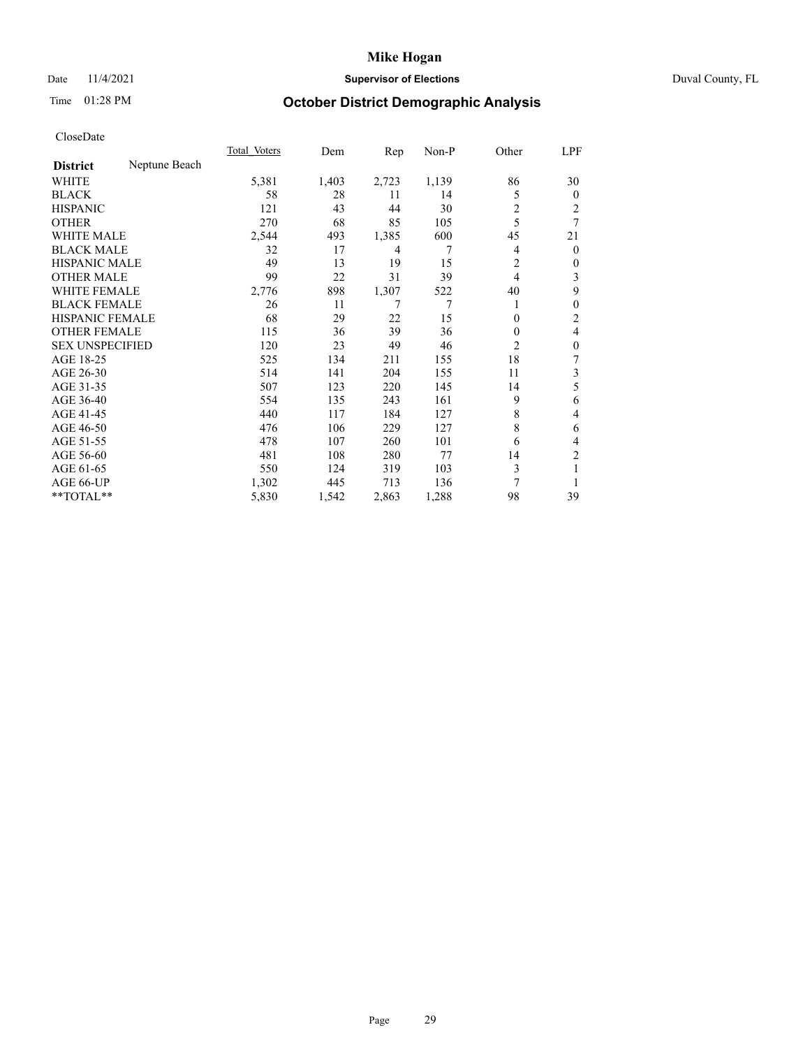## Date 11/4/2021 **Supervisor of Elections** Duval County, FL

# Time 01:28 PM **October District Demographic Analysis**

|                        |               | Total Voters | Dem   | Rep   | Non-P | Other          | LPF          |
|------------------------|---------------|--------------|-------|-------|-------|----------------|--------------|
| <b>District</b>        | Neptune Beach |              |       |       |       |                |              |
| WHITE                  |               | 5,381        | 1,403 | 2,723 | 1,139 | 86             | 30           |
| <b>BLACK</b>           |               | 58           | 28    | 11    | 14    | 5              | $\mathbf{0}$ |
| <b>HISPANIC</b>        |               | 121          | 43    | 44    | 30    | 2              | 2            |
| <b>OTHER</b>           |               | 270          | 68    | 85    | 105   | 5              | 7            |
| <b>WHITE MALE</b>      |               | 2,544        | 493   | 1,385 | 600   | 45             | 21           |
| <b>BLACK MALE</b>      |               | 32           | 17    | 4     | 7     | 4              | $\mathbf{0}$ |
| <b>HISPANIC MALE</b>   |               | 49           | 13    | 19    | 15    | 2              | $\mathbf{0}$ |
| <b>OTHER MALE</b>      |               | 99           | 22    | 31    | 39    | 4              | 3            |
| WHITE FEMALE           |               | 2,776        | 898   | 1,307 | 522   | 40             | 9            |
| <b>BLACK FEMALE</b>    |               | 26           | 11    | 7     | 7     |                | $\mathbf{0}$ |
| <b>HISPANIC FEMALE</b> |               | 68           | 29    | 22    | 15    | $\Omega$       | 2            |
| <b>OTHER FEMALE</b>    |               | 115          | 36    | 39    | 36    | $\Omega$       | 4            |
| <b>SEX UNSPECIFIED</b> |               | 120          | 23    | 49    | 46    | $\overline{2}$ | $\theta$     |
| AGE 18-25              |               | 525          | 134   | 211   | 155   | 18             | 7            |
| AGE 26-30              |               | 514          | 141   | 204   | 155   | 11             | 3            |
| AGE 31-35              |               | 507          | 123   | 220   | 145   | 14             | 5            |
| AGE 36-40              |               | 554          | 135   | 243   | 161   | 9              | 6            |
| AGE 41-45              |               | 440          | 117   | 184   | 127   | 8              | 4            |
| AGE 46-50              |               | 476          | 106   | 229   | 127   | 8              | 6            |
| AGE 51-55              |               | 478          | 107   | 260   | 101   | 6              | 4            |
| AGE 56-60              |               | 481          | 108   | 280   | 77    | 14             | 2            |
| AGE 61-65              |               | 550          | 124   | 319   | 103   | 3              |              |
| AGE 66-UP              |               | 1,302        | 445   | 713   | 136   | 7              |              |
| **TOTAL**              |               | 5,830        | 1,542 | 2,863 | 1,288 | 98             | 39           |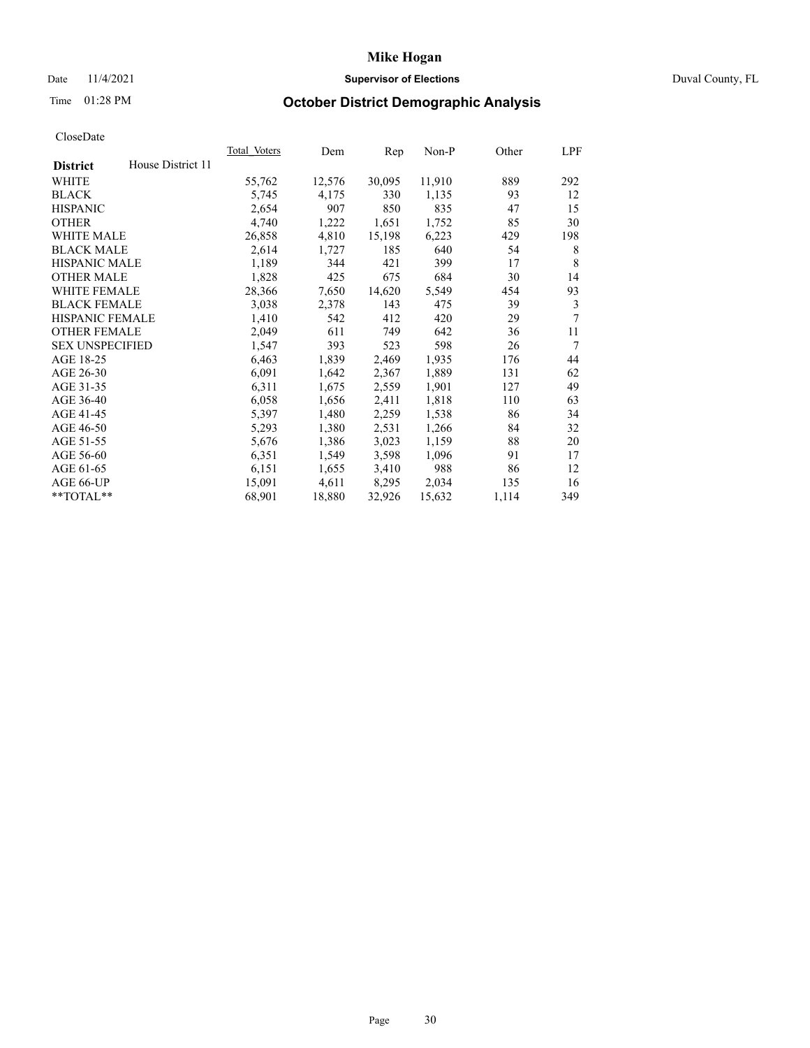## Date 11/4/2021 **Supervisor of Elections** Duval County, FL

# Time 01:28 PM **October District Demographic Analysis**

|                        |                   | Total Voters | Dem    | Rep    | Non-P  | Other | LPF |
|------------------------|-------------------|--------------|--------|--------|--------|-------|-----|
| <b>District</b>        | House District 11 |              |        |        |        |       |     |
| WHITE                  |                   | 55,762       | 12,576 | 30,095 | 11,910 | 889   | 292 |
| <b>BLACK</b>           |                   | 5,745        | 4,175  | 330    | 1,135  | 93    | 12  |
| <b>HISPANIC</b>        |                   | 2,654        | 907    | 850    | 835    | 47    | 15  |
| <b>OTHER</b>           |                   | 4,740        | 1,222  | 1,651  | 1,752  | 85    | 30  |
| WHITE MALE             |                   | 26,858       | 4,810  | 15,198 | 6,223  | 429   | 198 |
| <b>BLACK MALE</b>      |                   | 2,614        | 1,727  | 185    | 640    | 54    | 8   |
| <b>HISPANIC MALE</b>   |                   | 1,189        | 344    | 421    | 399    | 17    | 8   |
| <b>OTHER MALE</b>      |                   | 1,828        | 425    | 675    | 684    | 30    | 14  |
| WHITE FEMALE           |                   | 28,366       | 7,650  | 14,620 | 5,549  | 454   | 93  |
| <b>BLACK FEMALE</b>    |                   | 3,038        | 2,378  | 143    | 475    | 39    | 3   |
| <b>HISPANIC FEMALE</b> |                   | 1,410        | 542    | 412    | 420    | 29    | 7   |
| <b>OTHER FEMALE</b>    |                   | 2,049        | 611    | 749    | 642    | 36    | 11  |
| <b>SEX UNSPECIFIED</b> |                   | 1,547        | 393    | 523    | 598    | 26    | 7   |
| AGE 18-25              |                   | 6,463        | 1,839  | 2,469  | 1,935  | 176   | 44  |
| AGE 26-30              |                   | 6,091        | 1,642  | 2,367  | 1,889  | 131   | 62  |
| AGE 31-35              |                   | 6,311        | 1,675  | 2,559  | 1,901  | 127   | 49  |
| AGE 36-40              |                   | 6,058        | 1,656  | 2,411  | 1,818  | 110   | 63  |
| AGE 41-45              |                   | 5,397        | 1,480  | 2,259  | 1,538  | 86    | 34  |
| AGE 46-50              |                   | 5,293        | 1,380  | 2,531  | 1,266  | 84    | 32  |
| AGE 51-55              |                   | 5,676        | 1,386  | 3,023  | 1,159  | 88    | 20  |
| AGE 56-60              |                   | 6,351        | 1,549  | 3,598  | 1,096  | 91    | 17  |
| AGE 61-65              |                   | 6,151        | 1,655  | 3,410  | 988    | 86    | 12  |
| AGE 66-UP              |                   | 15,091       | 4,611  | 8,295  | 2,034  | 135   | 16  |
| **TOTAL**              |                   | 68,901       | 18,880 | 32,926 | 15,632 | 1,114 | 349 |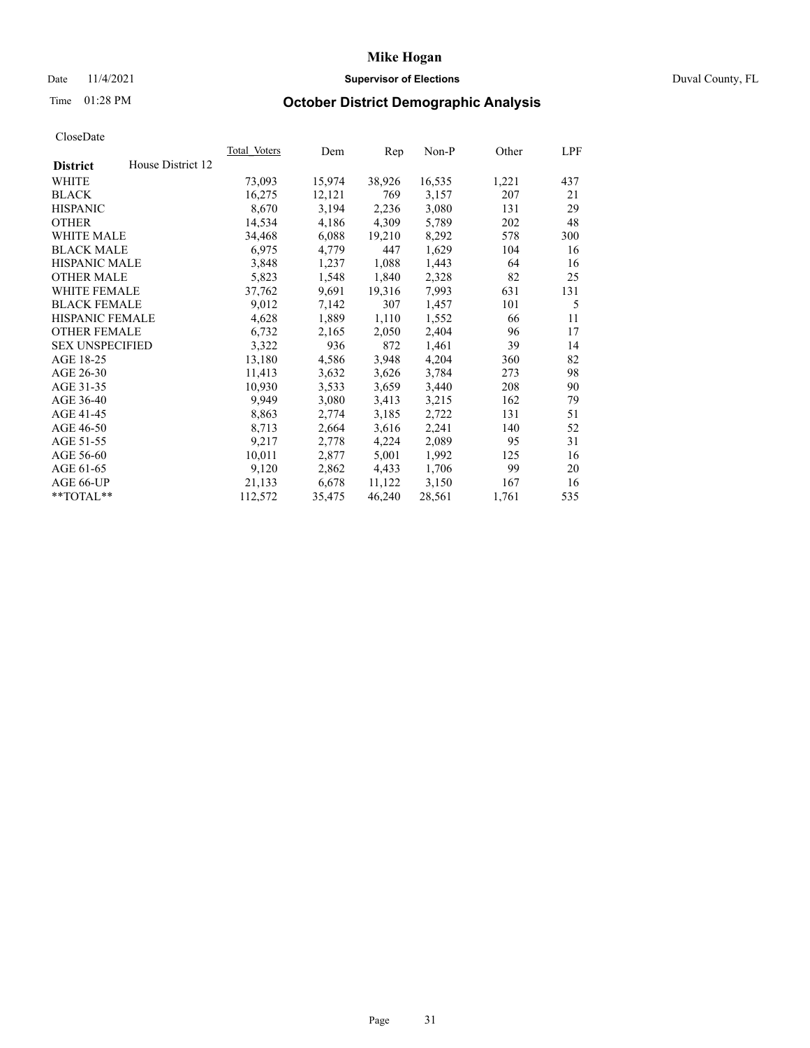## Date 11/4/2021 **Supervisor of Elections Supervisor of Elections** Duval County, FL

# Time 01:28 PM **October District Demographic Analysis**

|                        |                   | Total Voters | Dem    | Rep    | $Non-P$ | Other | LPF |
|------------------------|-------------------|--------------|--------|--------|---------|-------|-----|
| <b>District</b>        | House District 12 |              |        |        |         |       |     |
| WHITE                  |                   | 73,093       | 15,974 | 38,926 | 16,535  | 1,221 | 437 |
| <b>BLACK</b>           |                   | 16,275       | 12,121 | 769    | 3,157   | 207   | 21  |
| <b>HISPANIC</b>        |                   | 8,670        | 3,194  | 2,236  | 3,080   | 131   | 29  |
| <b>OTHER</b>           |                   | 14,534       | 4,186  | 4,309  | 5,789   | 202   | 48  |
| WHITE MALE             |                   | 34,468       | 6,088  | 19,210 | 8,292   | 578   | 300 |
| <b>BLACK MALE</b>      |                   | 6,975        | 4,779  | 447    | 1,629   | 104   | 16  |
| <b>HISPANIC MALE</b>   |                   | 3,848        | 1,237  | 1,088  | 1,443   | 64    | 16  |
| <b>OTHER MALE</b>      |                   | 5,823        | 1,548  | 1,840  | 2,328   | 82    | 25  |
| WHITE FEMALE           |                   | 37,762       | 9,691  | 19,316 | 7,993   | 631   | 131 |
| <b>BLACK FEMALE</b>    |                   | 9,012        | 7,142  | 307    | 1,457   | 101   | 5   |
| HISPANIC FEMALE        |                   | 4,628        | 1,889  | 1,110  | 1,552   | 66    | 11  |
| <b>OTHER FEMALE</b>    |                   | 6,732        | 2,165  | 2,050  | 2,404   | 96    | 17  |
| <b>SEX UNSPECIFIED</b> |                   | 3,322        | 936    | 872    | 1,461   | 39    | 14  |
| AGE 18-25              |                   | 13,180       | 4,586  | 3,948  | 4,204   | 360   | 82  |
| AGE 26-30              |                   | 11,413       | 3,632  | 3,626  | 3,784   | 273   | 98  |
| AGE 31-35              |                   | 10,930       | 3,533  | 3,659  | 3,440   | 208   | 90  |
| AGE 36-40              |                   | 9,949        | 3,080  | 3,413  | 3,215   | 162   | 79  |
| AGE 41-45              |                   | 8,863        | 2,774  | 3,185  | 2,722   | 131   | 51  |
| AGE 46-50              |                   | 8,713        | 2,664  | 3,616  | 2,241   | 140   | 52  |
| AGE 51-55              |                   | 9,217        | 2,778  | 4,224  | 2,089   | 95    | 31  |
| AGE 56-60              |                   | 10,011       | 2,877  | 5,001  | 1,992   | 125   | 16  |
| AGE 61-65              |                   | 9,120        | 2,862  | 4,433  | 1,706   | 99    | 20  |
| AGE 66-UP              |                   | 21,133       | 6,678  | 11,122 | 3,150   | 167   | 16  |
| **TOTAL**              |                   | 112,572      | 35,475 | 46,240 | 28,561  | 1,761 | 535 |
|                        |                   |              |        |        |         |       |     |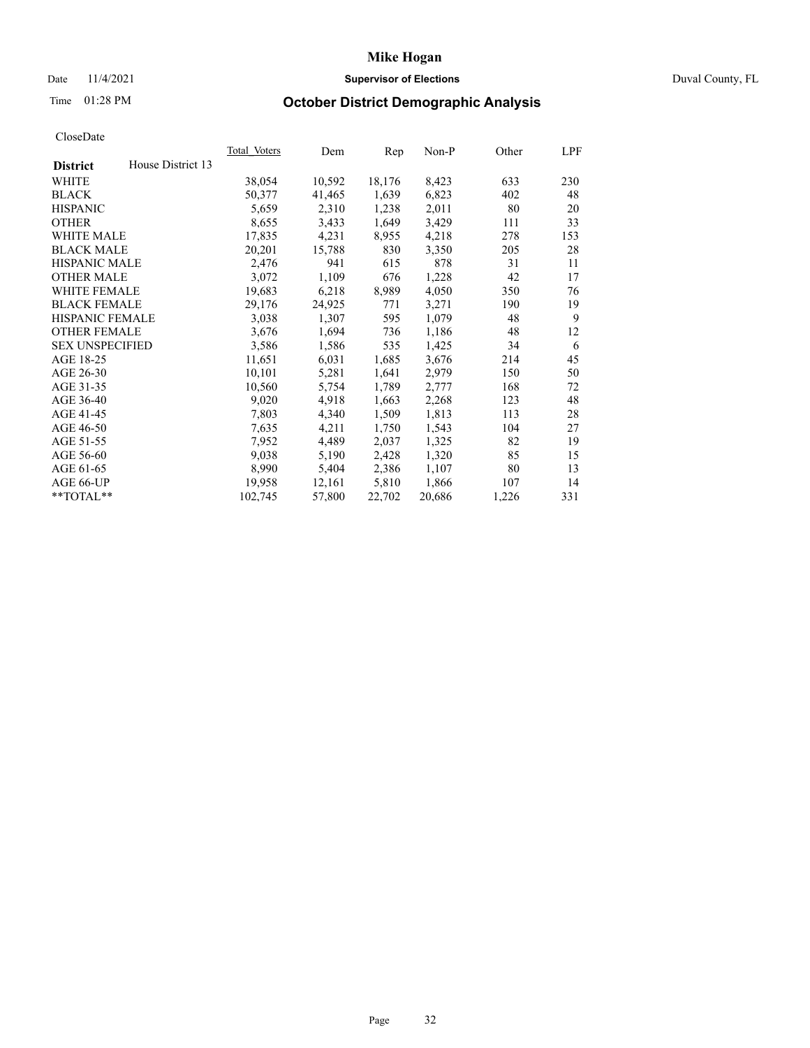## Date 11/4/2021 **Supervisor of Elections Supervisor of Elections** Duval County, FL

# Time 01:28 PM **October District Demographic Analysis**

|                                      | <b>Total Voters</b> | Dem    | Rep    | $Non-P$ | Other | LPF |
|--------------------------------------|---------------------|--------|--------|---------|-------|-----|
| House District 13<br><b>District</b> |                     |        |        |         |       |     |
| WHITE                                | 38,054              | 10,592 | 18,176 | 8,423   | 633   | 230 |
| <b>BLACK</b>                         | 50,377              | 41,465 | 1,639  | 6,823   | 402   | 48  |
| <b>HISPANIC</b>                      | 5,659               | 2,310  | 1,238  | 2,011   | 80    | 20  |
| <b>OTHER</b>                         | 8,655               | 3,433  | 1,649  | 3,429   | 111   | 33  |
| WHITE MALE                           | 17,835              | 4,231  | 8,955  | 4,218   | 278   | 153 |
| <b>BLACK MALE</b>                    | 20,201              | 15,788 | 830    | 3,350   | 205   | 28  |
| <b>HISPANIC MALE</b>                 | 2,476               | 941    | 615    | 878     | 31    | 11  |
| <b>OTHER MALE</b>                    | 3,072               | 1,109  | 676    | 1,228   | 42    | 17  |
| WHITE FEMALE                         | 19,683              | 6,218  | 8,989  | 4,050   | 350   | 76  |
| <b>BLACK FEMALE</b>                  | 29,176              | 24,925 | 771    | 3,271   | 190   | 19  |
| HISPANIC FEMALE                      | 3,038               | 1,307  | 595    | 1,079   | 48    | 9   |
| <b>OTHER FEMALE</b>                  | 3,676               | 1,694  | 736    | 1,186   | 48    | 12  |
| <b>SEX UNSPECIFIED</b>               | 3,586               | 1,586  | 535    | 1,425   | 34    | 6   |
| AGE 18-25                            | 11,651              | 6,031  | 1,685  | 3,676   | 214   | 45  |
| AGE 26-30                            | 10,101              | 5,281  | 1,641  | 2,979   | 150   | 50  |
| AGE 31-35                            | 10,560              | 5,754  | 1,789  | 2,777   | 168   | 72  |
| AGE 36-40                            | 9,020               | 4,918  | 1,663  | 2,268   | 123   | 48  |
| AGE 41-45                            | 7,803               | 4,340  | 1,509  | 1,813   | 113   | 28  |
| AGE 46-50                            | 7,635               | 4,211  | 1,750  | 1,543   | 104   | 27  |
| AGE 51-55                            | 7,952               | 4,489  | 2,037  | 1,325   | 82    | 19  |
| AGE 56-60                            | 9,038               | 5,190  | 2,428  | 1,320   | 85    | 15  |
| AGE 61-65                            | 8,990               | 5,404  | 2,386  | 1,107   | 80    | 13  |
| AGE 66-UP                            | 19,958              | 12,161 | 5,810  | 1,866   | 107   | 14  |
| **TOTAL**                            | 102,745             | 57,800 | 22,702 | 20,686  | 1,226 | 331 |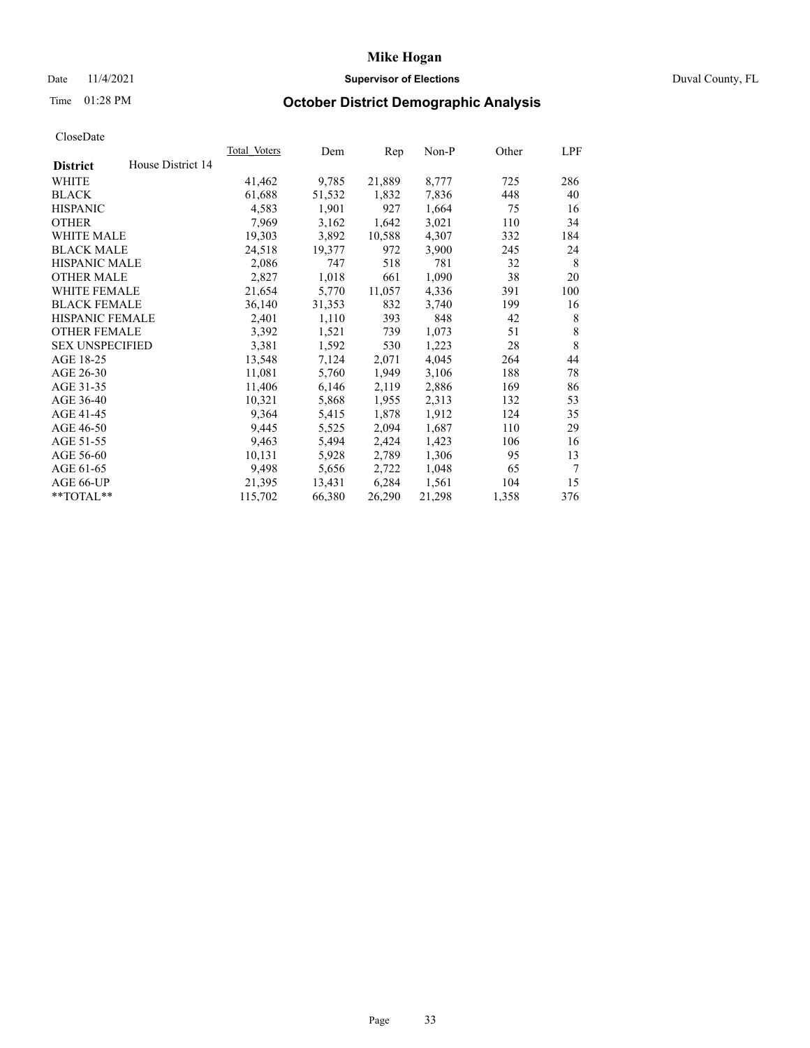## Date 11/4/2021 **Supervisor of Elections Supervisor of Elections** Duval County, FL

# Time 01:28 PM **October District Demographic Analysis**

|                                      | <b>Total Voters</b> | Dem    | Rep    | $Non-P$ | Other | LPF    |
|--------------------------------------|---------------------|--------|--------|---------|-------|--------|
| House District 14<br><b>District</b> |                     |        |        |         |       |        |
| WHITE                                | 41,462              | 9,785  | 21,889 | 8,777   | 725   | 286    |
| <b>BLACK</b>                         | 61,688              | 51,532 | 1,832  | 7,836   | 448   | 40     |
| <b>HISPANIC</b>                      | 4,583               | 1,901  | 927    | 1,664   | 75    | 16     |
| <b>OTHER</b>                         | 7,969               | 3,162  | 1,642  | 3,021   | 110   | 34     |
| WHITE MALE                           | 19,303              | 3,892  | 10,588 | 4,307   | 332   | 184    |
| <b>BLACK MALE</b>                    | 24,518              | 19,377 | 972    | 3,900   | 245   | 24     |
| <b>HISPANIC MALE</b>                 | 2,086               | 747    | 518    | 781     | 32    | 8      |
| <b>OTHER MALE</b>                    | 2,827               | 1,018  | 661    | 1,090   | 38    | 20     |
| WHITE FEMALE                         | 21,654              | 5,770  | 11,057 | 4,336   | 391   | 100    |
| <b>BLACK FEMALE</b>                  | 36,140              | 31,353 | 832    | 3,740   | 199   | 16     |
| HISPANIC FEMALE                      | 2,401               | 1,110  | 393    | 848     | 42    | 8      |
| <b>OTHER FEMALE</b>                  | 3,392               | 1,521  | 739    | 1,073   | 51    | 8      |
| <b>SEX UNSPECIFIED</b>               | 3,381               | 1,592  | 530    | 1,223   | 28    | 8      |
| AGE 18-25                            | 13,548              | 7,124  | 2,071  | 4,045   | 264   | 44     |
| AGE 26-30                            | 11,081              | 5,760  | 1,949  | 3,106   | 188   | 78     |
| AGE 31-35                            | 11,406              | 6,146  | 2,119  | 2,886   | 169   | 86     |
| AGE 36-40                            | 10,321              | 5,868  | 1,955  | 2,313   | 132   | 53     |
| AGE 41-45                            | 9,364               | 5,415  | 1,878  | 1,912   | 124   | 35     |
| AGE 46-50                            | 9,445               | 5,525  | 2,094  | 1,687   | 110   | 29     |
| AGE 51-55                            | 9,463               | 5,494  | 2,424  | 1,423   | 106   | 16     |
| AGE 56-60                            | 10,131              | 5,928  | 2,789  | 1,306   | 95    | 13     |
| AGE 61-65                            | 9,498               | 5,656  | 2,722  | 1,048   | 65    | $\tau$ |
| AGE 66-UP                            | 21,395              | 13,431 | 6,284  | 1,561   | 104   | 15     |
| **TOTAL**                            | 115,702             | 66,380 | 26,290 | 21,298  | 1,358 | 376    |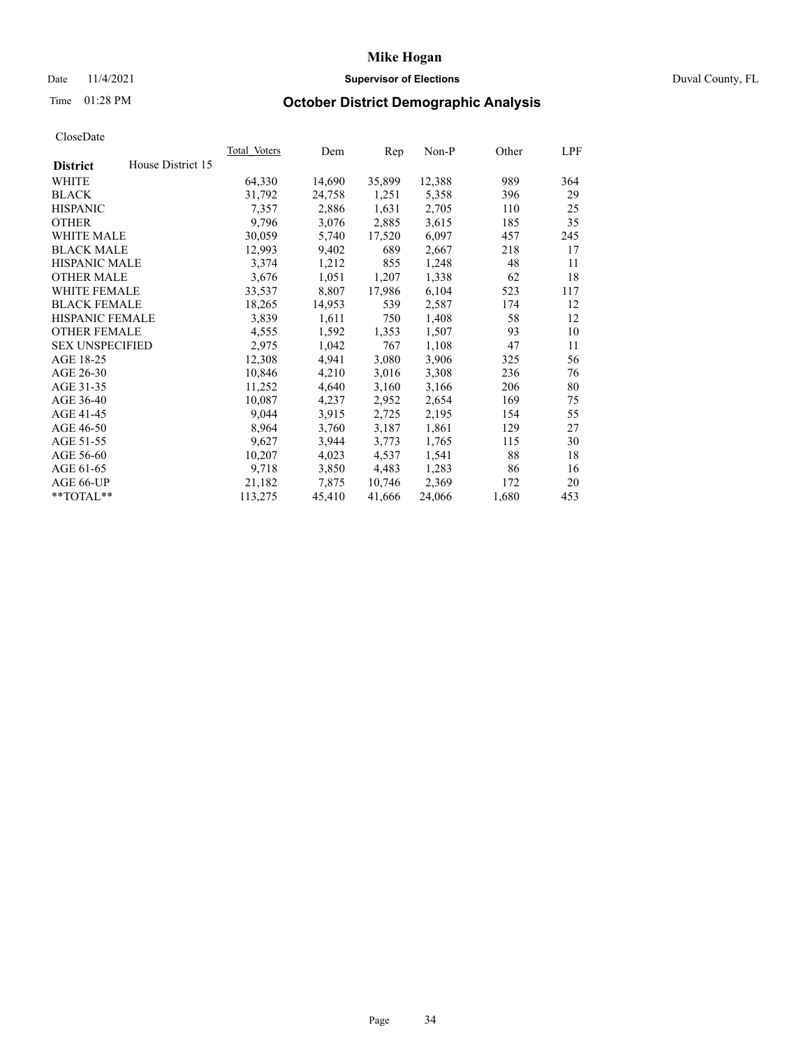## Date 11/4/2021 **Supervisor of Elections Supervisor of Elections** Duval County, FL

# Time 01:28 PM **October District Demographic Analysis**

| Total Voters | Dem    | Rep    | $Non-P$ | Other | LPF |
|--------------|--------|--------|---------|-------|-----|
|              |        |        |         |       |     |
| 64,330       | 14,690 | 35,899 | 12,388  | 989   | 364 |
| 31,792       | 24,758 | 1,251  | 5,358   | 396   | 29  |
| 7,357        | 2,886  | 1,631  | 2,705   | 110   | 25  |
| 9,796        | 3,076  | 2,885  | 3,615   | 185   | 35  |
| 30,059       | 5,740  | 17,520 | 6,097   | 457   | 245 |
| 12,993       | 9,402  | 689    | 2,667   | 218   | 17  |
| 3,374        | 1,212  | 855    | 1,248   | 48    | 11  |
| 3,676        | 1,051  | 1,207  | 1,338   | 62    | 18  |
| 33,537       | 8,807  | 17,986 | 6,104   | 523   | 117 |
| 18,265       | 14,953 | 539    | 2,587   | 174   | 12  |
| 3,839        | 1,611  | 750    | 1,408   | 58    | 12  |
| 4,555        | 1,592  | 1,353  | 1,507   | 93    | 10  |
| 2,975        | 1,042  | 767    | 1,108   | 47    | 11  |
| 12,308       | 4,941  | 3,080  | 3,906   | 325   | 56  |
| 10,846       | 4,210  | 3,016  | 3,308   | 236   | 76  |
| 11,252       | 4,640  | 3,160  | 3,166   | 206   | 80  |
| 10,087       | 4,237  | 2,952  | 2,654   | 169   | 75  |
| 9,044        | 3,915  | 2,725  | 2,195   | 154   | 55  |
| 8,964        | 3,760  | 3,187  | 1,861   | 129   | 27  |
| 9,627        | 3,944  | 3,773  | 1,765   | 115   | 30  |
| 10,207       | 4,023  | 4,537  | 1,541   | 88    | 18  |
| 9,718        | 3,850  | 4,483  | 1,283   | 86    | 16  |
| 21,182       | 7,875  | 10,746 | 2,369   | 172   | 20  |
| 113,275      | 45,410 | 41,666 | 24,066  | 1,680 | 453 |
|              |        |        |         |       |     |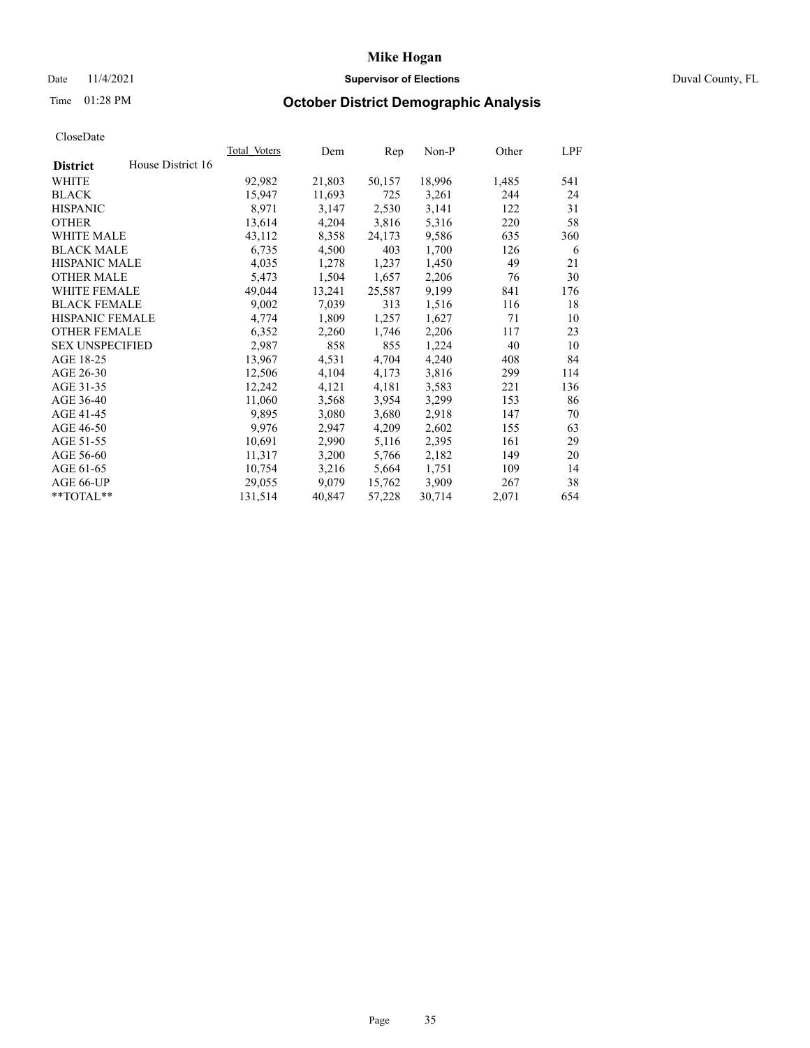## Date 11/4/2021 **Supervisor of Elections Supervisor of Elections** Duval County, FL

# Time 01:28 PM **October District Demographic Analysis**

| Total Voters | Dem    | Rep    | $Non-P$ | Other | LPF |
|--------------|--------|--------|---------|-------|-----|
|              |        |        |         |       |     |
| 92,982       | 21,803 | 50,157 | 18,996  | 1,485 | 541 |
| 15,947       | 11,693 | 725    | 3,261   | 244   | 24  |
| 8,971        | 3,147  | 2,530  | 3,141   | 122   | 31  |
| 13,614       | 4,204  | 3,816  | 5,316   | 220   | 58  |
| 43,112       | 8,358  | 24,173 | 9,586   | 635   | 360 |
| 6,735        | 4,500  | 403    | 1,700   | 126   | 6   |
| 4,035        | 1,278  | 1,237  | 1,450   | 49    | 21  |
| 5,473        | 1,504  | 1,657  | 2,206   | 76    | 30  |
| 49,044       | 13,241 | 25,587 | 9,199   | 841   | 176 |
| 9,002        | 7,039  | 313    | 1,516   | 116   | 18  |
| 4,774        | 1,809  | 1,257  | 1,627   | 71    | 10  |
| 6,352        | 2,260  | 1,746  | 2,206   | 117   | 23  |
| 2,987        | 858    | 855    | 1,224   | 40    | 10  |
| 13,967       | 4,531  | 4,704  | 4,240   | 408   | 84  |
| 12,506       | 4,104  | 4,173  | 3,816   | 299   | 114 |
| 12,242       | 4,121  | 4,181  | 3,583   | 221   | 136 |
| 11,060       | 3,568  | 3,954  | 3,299   | 153   | 86  |
| 9,895        | 3,080  | 3,680  | 2,918   | 147   | 70  |
| 9,976        | 2,947  | 4,209  | 2,602   | 155   | 63  |
| 10,691       | 2,990  | 5,116  | 2,395   | 161   | 29  |
| 11,317       | 3,200  | 5,766  | 2,182   | 149   | 20  |
| 10,754       | 3,216  | 5,664  | 1,751   | 109   | 14  |
| 29,055       | 9,079  | 15,762 | 3,909   | 267   | 38  |
| 131,514      | 40,847 | 57,228 | 30,714  | 2,071 | 654 |
|              |        |        |         |       |     |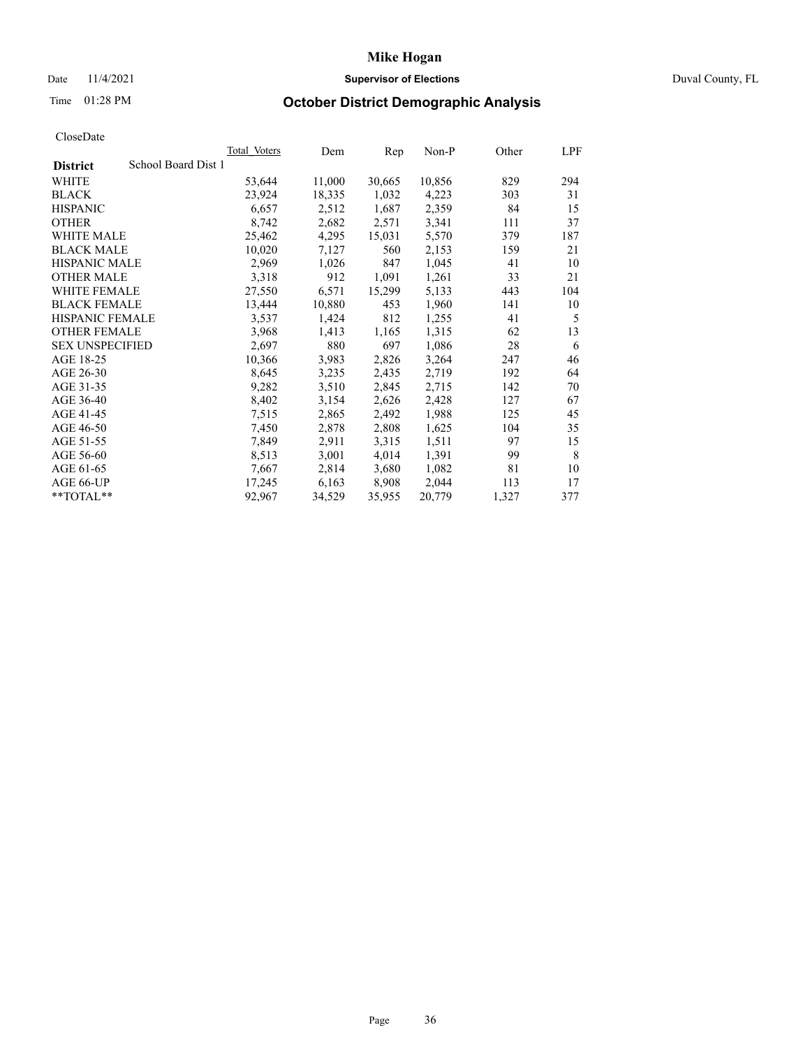## Date 11/4/2021 **Supervisor of Elections Supervisor of Elections** Duval County, FL

# Time 01:28 PM **October District Demographic Analysis**

|                                        | <b>Total Voters</b> | Dem    | Rep    | $Non-P$ | Other | LPF |
|----------------------------------------|---------------------|--------|--------|---------|-------|-----|
| School Board Dist 1<br><b>District</b> |                     |        |        |         |       |     |
| WHITE                                  | 53,644              | 11,000 | 30,665 | 10,856  | 829   | 294 |
| <b>BLACK</b>                           | 23,924              | 18,335 | 1,032  | 4,223   | 303   | 31  |
| <b>HISPANIC</b>                        | 6,657               | 2,512  | 1,687  | 2,359   | 84    | 15  |
| <b>OTHER</b>                           | 8,742               | 2,682  | 2,571  | 3,341   | 111   | 37  |
| WHITE MALE                             | 25,462              | 4,295  | 15,031 | 5,570   | 379   | 187 |
| <b>BLACK MALE</b>                      | 10,020              | 7,127  | 560    | 2,153   | 159   | 21  |
| <b>HISPANIC MALE</b>                   | 2,969               | 1,026  | 847    | 1,045   | 41    | 10  |
| <b>OTHER MALE</b>                      | 3,318               | 912    | 1,091  | 1,261   | 33    | 21  |
| WHITE FEMALE                           | 27,550              | 6,571  | 15,299 | 5,133   | 443   | 104 |
| <b>BLACK FEMALE</b>                    | 13,444              | 10,880 | 453    | 1,960   | 141   | 10  |
| HISPANIC FEMALE                        | 3,537               | 1,424  | 812    | 1,255   | 41    | 5   |
| <b>OTHER FEMALE</b>                    | 3,968               | 1,413  | 1,165  | 1,315   | 62    | 13  |
| <b>SEX UNSPECIFIED</b>                 | 2,697               | 880    | 697    | 1,086   | 28    | 6   |
| AGE 18-25                              | 10,366              | 3,983  | 2,826  | 3,264   | 247   | 46  |
| AGE 26-30                              | 8,645               | 3,235  | 2,435  | 2,719   | 192   | 64  |
| AGE 31-35                              | 9,282               | 3,510  | 2,845  | 2,715   | 142   | 70  |
| AGE 36-40                              | 8,402               | 3,154  | 2,626  | 2,428   | 127   | 67  |
| AGE 41-45                              | 7,515               | 2,865  | 2,492  | 1,988   | 125   | 45  |
| AGE 46-50                              | 7,450               | 2,878  | 2,808  | 1,625   | 104   | 35  |
| AGE 51-55                              | 7,849               | 2,911  | 3,315  | 1,511   | 97    | 15  |
| AGE 56-60                              | 8,513               | 3,001  | 4,014  | 1,391   | 99    | 8   |
| AGE 61-65                              | 7,667               | 2,814  | 3,680  | 1,082   | 81    | 10  |
| AGE 66-UP                              | 17,245              | 6,163  | 8,908  | 2,044   | 113   | 17  |
| **TOTAL**                              | 92,967              | 34,529 | 35,955 | 20,779  | 1,327 | 377 |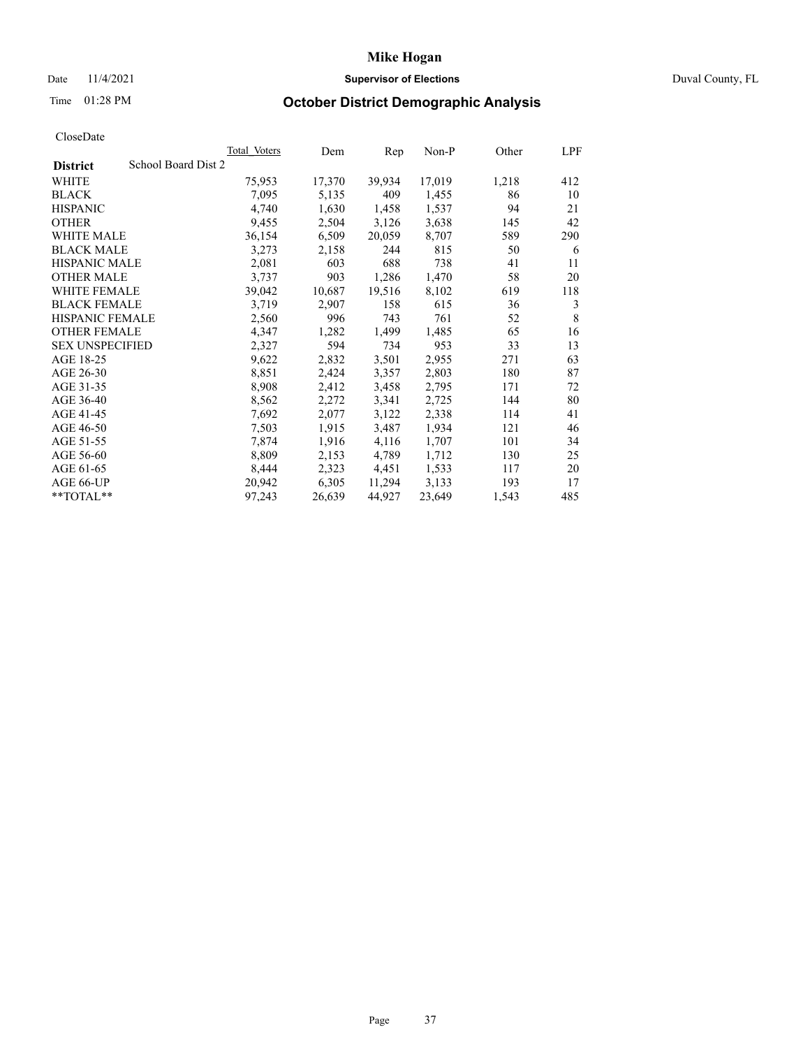## Date 11/4/2021 **Supervisor of Elections Supervisor of Elections** Duval County, FL

# Time 01:28 PM **October District Demographic Analysis**

|                                        | <b>Total Voters</b> | Dem    | Rep    | $Non-P$ | Other | LPF |
|----------------------------------------|---------------------|--------|--------|---------|-------|-----|
| School Board Dist 2<br><b>District</b> |                     |        |        |         |       |     |
| WHITE                                  | 75,953              | 17,370 | 39,934 | 17,019  | 1,218 | 412 |
| <b>BLACK</b>                           | 7,095               | 5,135  | 409    | 1,455   | 86    | 10  |
| <b>HISPANIC</b>                        | 4,740               | 1,630  | 1,458  | 1,537   | 94    | 21  |
| <b>OTHER</b>                           | 9,455               | 2,504  | 3,126  | 3,638   | 145   | 42  |
| WHITE MALE                             | 36,154              | 6,509  | 20,059 | 8,707   | 589   | 290 |
| <b>BLACK MALE</b>                      | 3,273               | 2,158  | 244    | 815     | 50    | 6   |
| <b>HISPANIC MALE</b>                   | 2,081               | 603    | 688    | 738     | 41    | 11  |
| <b>OTHER MALE</b>                      | 3,737               | 903    | 1,286  | 1,470   | 58    | 20  |
| <b>WHITE FEMALE</b>                    | 39,042              | 10,687 | 19,516 | 8,102   | 619   | 118 |
| <b>BLACK FEMALE</b>                    | 3,719               | 2,907  | 158    | 615     | 36    | 3   |
| HISPANIC FEMALE                        | 2,560               | 996    | 743    | 761     | 52    | 8   |
| <b>OTHER FEMALE</b>                    | 4,347               | 1,282  | 1,499  | 1,485   | 65    | 16  |
| <b>SEX UNSPECIFIED</b>                 | 2,327               | 594    | 734    | 953     | 33    | 13  |
| AGE 18-25                              | 9,622               | 2,832  | 3,501  | 2,955   | 271   | 63  |
| AGE 26-30                              | 8,851               | 2,424  | 3,357  | 2,803   | 180   | 87  |
| AGE 31-35                              | 8,908               | 2,412  | 3,458  | 2,795   | 171   | 72  |
| AGE 36-40                              | 8,562               | 2,272  | 3,341  | 2,725   | 144   | 80  |
| AGE 41-45                              | 7,692               | 2,077  | 3,122  | 2,338   | 114   | 41  |
| AGE 46-50                              | 7,503               | 1,915  | 3,487  | 1,934   | 121   | 46  |
| AGE 51-55                              | 7,874               | 1,916  | 4,116  | 1,707   | 101   | 34  |
| AGE 56-60                              | 8,809               | 2,153  | 4,789  | 1,712   | 130   | 25  |
| AGE 61-65                              | 8,444               | 2,323  | 4,451  | 1,533   | 117   | 20  |
| AGE 66-UP                              | 20,942              | 6,305  | 11,294 | 3,133   | 193   | 17  |
| **TOTAL**                              | 97,243              | 26,639 | 44,927 | 23,649  | 1,543 | 485 |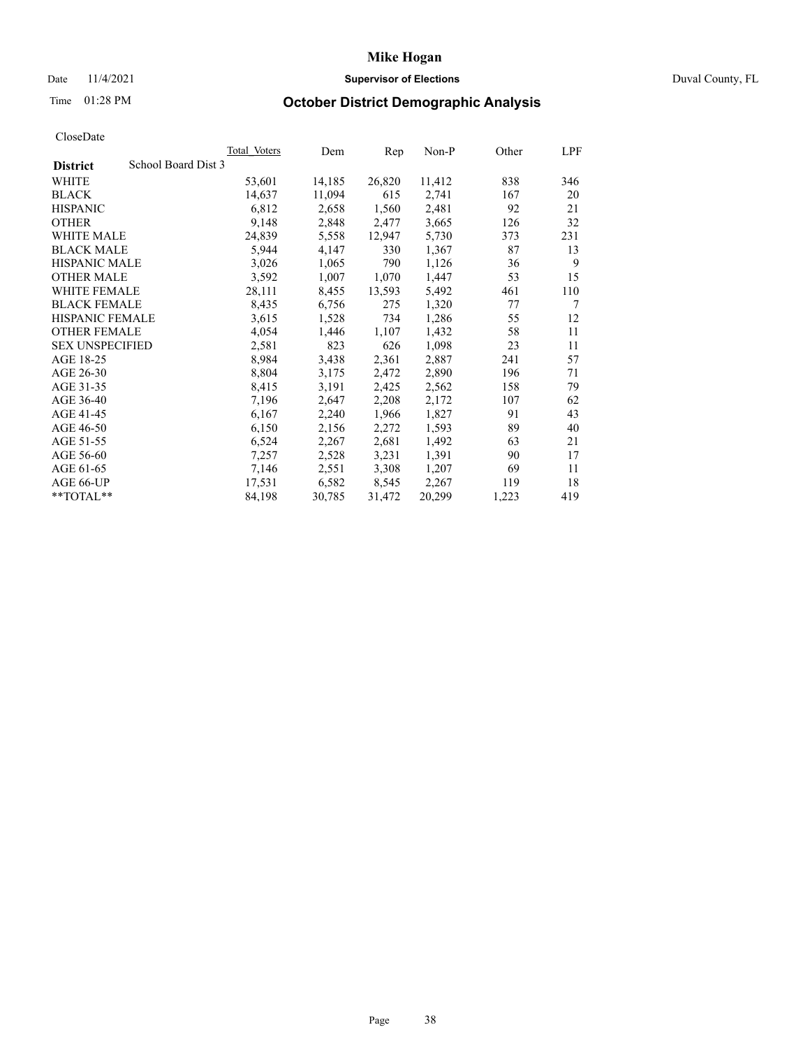## Date 11/4/2021 **Supervisor of Elections Supervisor of Elections** Duval County, FL

# Time 01:28 PM **October District Demographic Analysis**

|                        |                     | <b>Total Voters</b> | Dem    | Rep    | Non-P  | Other | LPF |
|------------------------|---------------------|---------------------|--------|--------|--------|-------|-----|
| <b>District</b>        | School Board Dist 3 |                     |        |        |        |       |     |
| WHITE                  |                     | 53,601              | 14,185 | 26,820 | 11,412 | 838   | 346 |
| <b>BLACK</b>           |                     | 14,637              | 11,094 | 615    | 2,741  | 167   | 20  |
| <b>HISPANIC</b>        |                     | 6,812               | 2,658  | 1,560  | 2,481  | 92    | 21  |
| <b>OTHER</b>           |                     | 9,148               | 2,848  | 2,477  | 3,665  | 126   | 32  |
| WHITE MALE             |                     | 24,839              | 5,558  | 12,947 | 5,730  | 373   | 231 |
| <b>BLACK MALE</b>      |                     | 5,944               | 4,147  | 330    | 1,367  | 87    | 13  |
| <b>HISPANIC MALE</b>   |                     | 3,026               | 1,065  | 790    | 1,126  | 36    | 9   |
| <b>OTHER MALE</b>      |                     | 3,592               | 1,007  | 1,070  | 1,447  | 53    | 15  |
| <b>WHITE FEMALE</b>    |                     | 28,111              | 8,455  | 13,593 | 5,492  | 461   | 110 |
| <b>BLACK FEMALE</b>    |                     | 8,435               | 6,756  | 275    | 1,320  | 77    | 7   |
| HISPANIC FEMALE        |                     | 3,615               | 1,528  | 734    | 1,286  | 55    | 12  |
| <b>OTHER FEMALE</b>    |                     | 4,054               | 1,446  | 1,107  | 1,432  | 58    | 11  |
| <b>SEX UNSPECIFIED</b> |                     | 2,581               | 823    | 626    | 1,098  | 23    | 11  |
| AGE 18-25              |                     | 8,984               | 3,438  | 2,361  | 2,887  | 241   | 57  |
| AGE 26-30              |                     | 8,804               | 3,175  | 2,472  | 2,890  | 196   | 71  |
| AGE 31-35              |                     | 8,415               | 3,191  | 2,425  | 2,562  | 158   | 79  |
| AGE 36-40              |                     | 7,196               | 2,647  | 2,208  | 2,172  | 107   | 62  |
| AGE 41-45              |                     | 6,167               | 2,240  | 1,966  | 1,827  | 91    | 43  |
| AGE 46-50              |                     | 6,150               | 2,156  | 2,272  | 1,593  | 89    | 40  |
| AGE 51-55              |                     | 6,524               | 2,267  | 2,681  | 1,492  | 63    | 21  |
| AGE 56-60              |                     | 7,257               | 2,528  | 3,231  | 1,391  | 90    | 17  |
| AGE 61-65              |                     | 7,146               | 2,551  | 3,308  | 1,207  | 69    | 11  |
| AGE 66-UP              |                     | 17,531              | 6,582  | 8,545  | 2,267  | 119   | 18  |
| **TOTAL**              |                     | 84,198              | 30,785 | 31,472 | 20,299 | 1,223 | 419 |
|                        |                     |                     |        |        |        |       |     |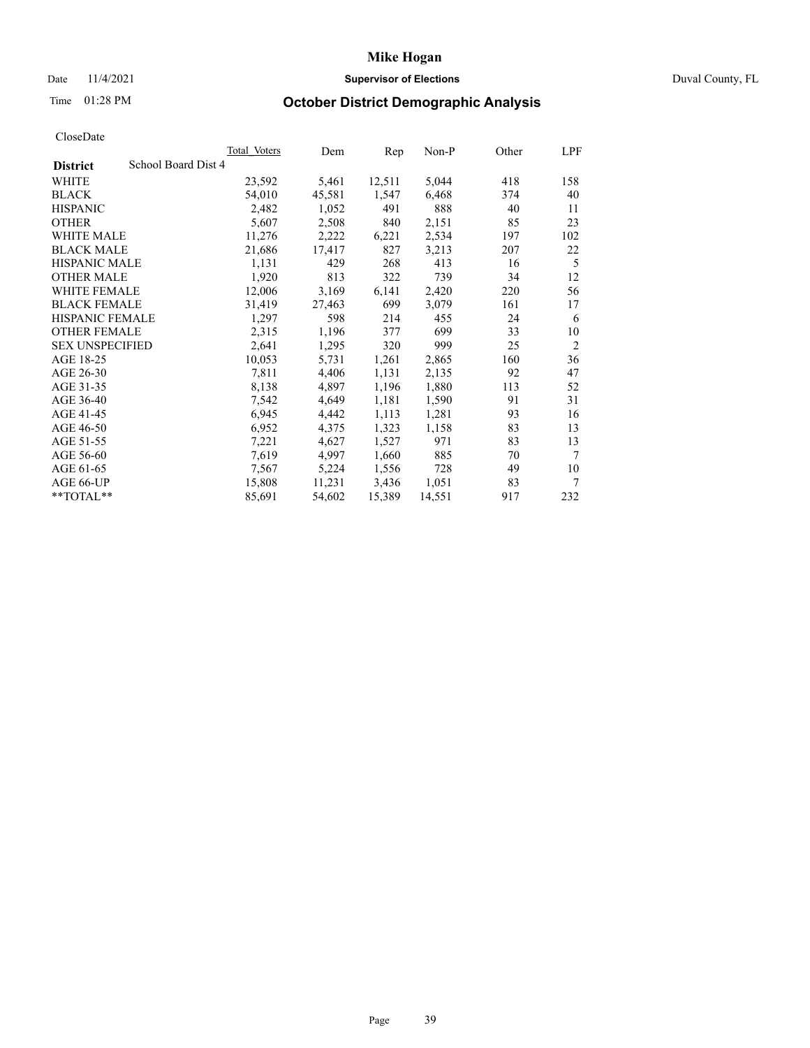## Date 11/4/2021 **Supervisor of Elections Supervisor of Elections** Duval County, FL

# Time 01:28 PM **October District Demographic Analysis**

|                                        | Total Voters | Dem    | Rep    | Non-P  | Other | LPF            |
|----------------------------------------|--------------|--------|--------|--------|-------|----------------|
| School Board Dist 4<br><b>District</b> |              |        |        |        |       |                |
| WHITE                                  | 23,592       | 5,461  | 12,511 | 5,044  | 418   | 158            |
| <b>BLACK</b>                           | 54,010       | 45,581 | 1,547  | 6,468  | 374   | 40             |
| <b>HISPANIC</b>                        | 2,482        | 1,052  | 491    | 888    | 40    | 11             |
| <b>OTHER</b>                           | 5,607        | 2,508  | 840    | 2,151  | 85    | 23             |
| WHITE MALE                             | 11,276       | 2,222  | 6,221  | 2,534  | 197   | 102            |
| <b>BLACK MALE</b>                      | 21,686       | 17,417 | 827    | 3,213  | 207   | 22             |
| <b>HISPANIC MALE</b>                   | 1,131        | 429    | 268    | 413    | 16    | 5              |
| <b>OTHER MALE</b>                      | 1,920        | 813    | 322    | 739    | 34    | 12             |
| WHITE FEMALE                           | 12,006       | 3,169  | 6,141  | 2,420  | 220   | 56             |
| <b>BLACK FEMALE</b>                    | 31,419       | 27,463 | 699    | 3,079  | 161   | 17             |
| <b>HISPANIC FEMALE</b>                 | 1,297        | 598    | 214    | 455    | 24    | 6              |
| <b>OTHER FEMALE</b>                    | 2,315        | 1,196  | 377    | 699    | 33    | 10             |
| <b>SEX UNSPECIFIED</b>                 | 2,641        | 1,295  | 320    | 999    | 25    | $\overline{2}$ |
| AGE 18-25                              | 10,053       | 5,731  | 1,261  | 2,865  | 160   | 36             |
| AGE 26-30                              | 7,811        | 4,406  | 1,131  | 2,135  | 92    | 47             |
| AGE 31-35                              | 8,138        | 4,897  | 1,196  | 1,880  | 113   | 52             |
| AGE 36-40                              | 7,542        | 4,649  | 1,181  | 1,590  | 91    | 31             |
| AGE 41-45                              | 6,945        | 4,442  | 1,113  | 1,281  | 93    | 16             |
| AGE 46-50                              | 6,952        | 4,375  | 1,323  | 1,158  | 83    | 13             |
| AGE 51-55                              | 7,221        | 4,627  | 1,527  | 971    | 83    | 13             |
| AGE 56-60                              | 7,619        | 4,997  | 1,660  | 885    | 70    | 7              |
| AGE 61-65                              | 7,567        | 5,224  | 1,556  | 728    | 49    | 10             |
| AGE 66-UP                              | 15,808       | 11,231 | 3,436  | 1,051  | 83    | 7              |
| $*$ $TOTAL**$                          | 85,691       | 54,602 | 15,389 | 14,551 | 917   | 232            |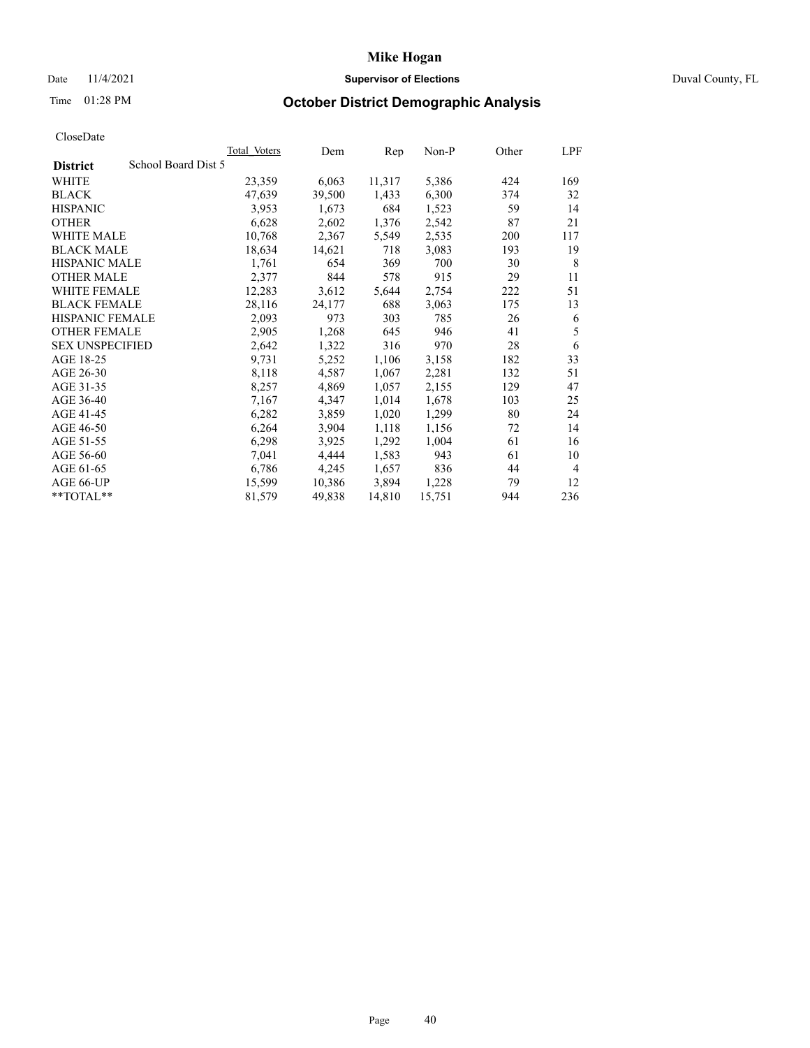## Date 11/4/2021 **Supervisor of Elections Supervisor of Elections** Duval County, FL

# Time 01:28 PM **October District Demographic Analysis**

|                                        | Total Voters | Dem    | Rep    | Non-P  | Other | LPF |
|----------------------------------------|--------------|--------|--------|--------|-------|-----|
| School Board Dist 5<br><b>District</b> |              |        |        |        |       |     |
| WHITE                                  | 23,359       | 6,063  | 11,317 | 5,386  | 424   | 169 |
| <b>BLACK</b>                           | 47,639       | 39,500 | 1,433  | 6,300  | 374   | 32  |
| <b>HISPANIC</b>                        | 3,953        | 1,673  | 684    | 1,523  | 59    | 14  |
| <b>OTHER</b>                           | 6,628        | 2,602  | 1,376  | 2,542  | 87    | 21  |
| WHITE MALE                             | 10,768       | 2,367  | 5,549  | 2,535  | 200   | 117 |
| <b>BLACK MALE</b>                      | 18,634       | 14,621 | 718    | 3,083  | 193   | 19  |
| <b>HISPANIC MALE</b>                   | 1,761        | 654    | 369    | 700    | 30    | 8   |
| <b>OTHER MALE</b>                      | 2,377        | 844    | 578    | 915    | 29    | 11  |
| WHITE FEMALE                           | 12,283       | 3,612  | 5,644  | 2,754  | 222   | 51  |
| <b>BLACK FEMALE</b>                    | 28,116       | 24,177 | 688    | 3,063  | 175   | 13  |
| <b>HISPANIC FEMALE</b>                 | 2,093        | 973    | 303    | 785    | 26    | 6   |
| <b>OTHER FEMALE</b>                    | 2,905        | 1,268  | 645    | 946    | 41    | 5   |
| <b>SEX UNSPECIFIED</b>                 | 2,642        | 1,322  | 316    | 970    | 28    | 6   |
| AGE 18-25                              | 9,731        | 5,252  | 1,106  | 3,158  | 182   | 33  |
| AGE 26-30                              | 8,118        | 4,587  | 1,067  | 2,281  | 132   | 51  |
| AGE 31-35                              | 8,257        | 4,869  | 1,057  | 2,155  | 129   | 47  |
| AGE 36-40                              | 7,167        | 4,347  | 1,014  | 1,678  | 103   | 25  |
| AGE 41-45                              | 6,282        | 3,859  | 1,020  | 1,299  | 80    | 24  |
| AGE 46-50                              | 6,264        | 3,904  | 1,118  | 1,156  | 72    | 14  |
| AGE 51-55                              | 6,298        | 3,925  | 1,292  | 1,004  | 61    | 16  |
| AGE 56-60                              | 7,041        | 4,444  | 1,583  | 943    | 61    | 10  |
| AGE 61-65                              | 6,786        | 4,245  | 1,657  | 836    | 44    | 4   |
| AGE 66-UP                              | 15,599       | 10,386 | 3,894  | 1,228  | 79    | 12  |
| $*$ $TOTAL**$                          | 81,579       | 49,838 | 14,810 | 15,751 | 944   | 236 |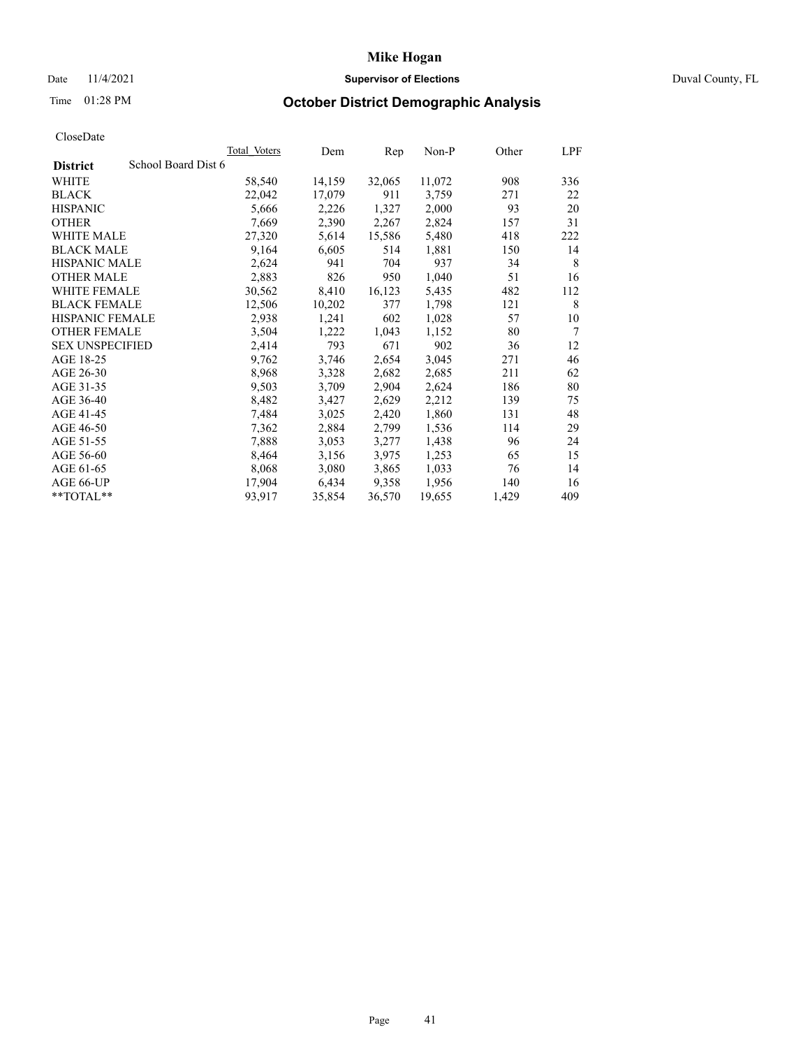## Date 11/4/2021 **Supervisor of Elections Supervisor of Elections** Duval County, FL

# Time 01:28 PM **October District Demographic Analysis**

|                                        | <b>Total Voters</b> | Dem    | Rep    | Non-P  | Other | LPF    |
|----------------------------------------|---------------------|--------|--------|--------|-------|--------|
| School Board Dist 6<br><b>District</b> |                     |        |        |        |       |        |
| WHITE                                  | 58,540              | 14,159 | 32,065 | 11,072 | 908   | 336    |
| <b>BLACK</b>                           | 22,042              | 17,079 | 911    | 3,759  | 271   | 22     |
| <b>HISPANIC</b>                        | 5,666               | 2,226  | 1,327  | 2,000  | 93    | 20     |
| <b>OTHER</b>                           | 7,669               | 2,390  | 2,267  | 2,824  | 157   | 31     |
| WHITE MALE                             | 27,320              | 5,614  | 15,586 | 5,480  | 418   | 222    |
| <b>BLACK MALE</b>                      | 9,164               | 6,605  | 514    | 1,881  | 150   | 14     |
| <b>HISPANIC MALE</b>                   | 2,624               | 941    | 704    | 937    | 34    | 8      |
| <b>OTHER MALE</b>                      | 2,883               | 826    | 950    | 1,040  | 51    | 16     |
| WHITE FEMALE                           | 30,562              | 8,410  | 16,123 | 5,435  | 482   | 112    |
| <b>BLACK FEMALE</b>                    | 12,506              | 10,202 | 377    | 1,798  | 121   | 8      |
| HISPANIC FEMALE                        | 2,938               | 1,241  | 602    | 1,028  | 57    | 10     |
| <b>OTHER FEMALE</b>                    | 3,504               | 1,222  | 1,043  | 1,152  | 80    | $\tau$ |
| <b>SEX UNSPECIFIED</b>                 | 2,414               | 793    | 671    | 902    | 36    | 12     |
| AGE 18-25                              | 9,762               | 3,746  | 2,654  | 3,045  | 271   | 46     |
| AGE 26-30                              | 8,968               | 3,328  | 2,682  | 2,685  | 211   | 62     |
| AGE 31-35                              | 9,503               | 3,709  | 2,904  | 2,624  | 186   | 80     |
| AGE 36-40                              | 8,482               | 3,427  | 2,629  | 2,212  | 139   | 75     |
| AGE 41-45                              | 7,484               | 3,025  | 2,420  | 1,860  | 131   | 48     |
| AGE 46-50                              | 7,362               | 2,884  | 2,799  | 1,536  | 114   | 29     |
| AGE 51-55                              | 7,888               | 3,053  | 3,277  | 1,438  | 96    | 24     |
| AGE 56-60                              | 8,464               | 3,156  | 3,975  | 1,253  | 65    | 15     |
| AGE 61-65                              | 8,068               | 3,080  | 3,865  | 1,033  | 76    | 14     |
| AGE 66-UP                              | 17,904              | 6,434  | 9,358  | 1,956  | 140   | 16     |
| **TOTAL**                              | 93,917              | 35,854 | 36,570 | 19,655 | 1,429 | 409    |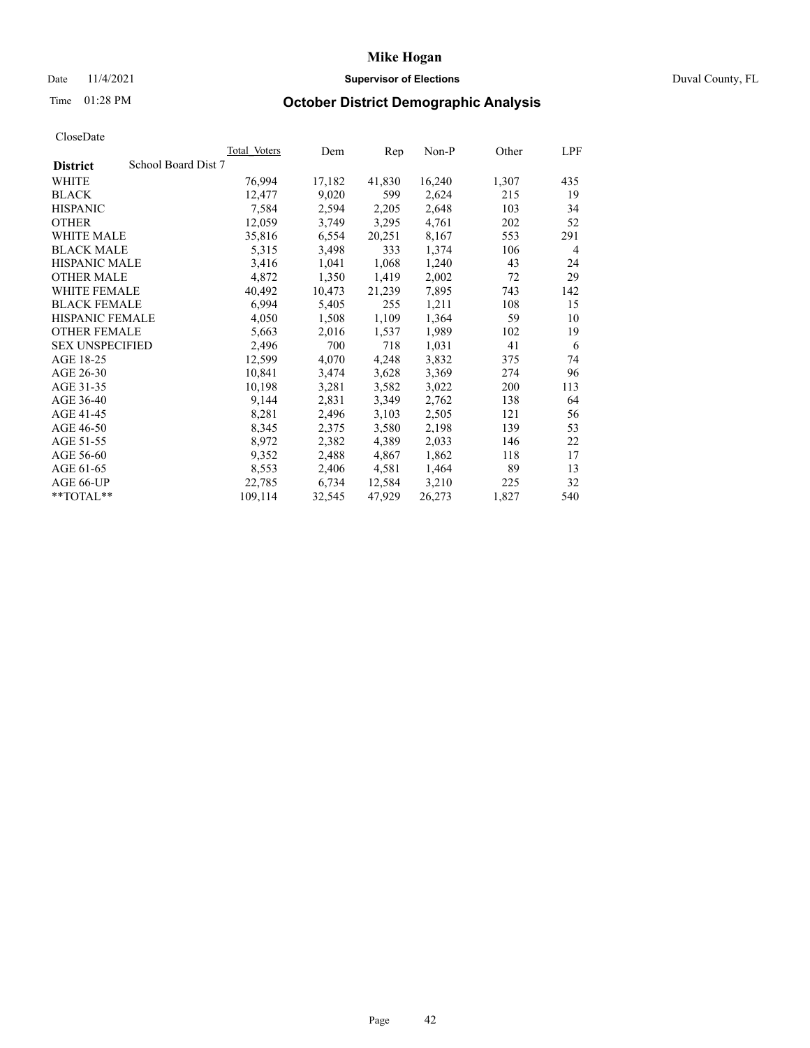## Date 11/4/2021 **Supervisor of Elections Supervisor of Elections** Duval County, FL

# Time 01:28 PM **October District Demographic Analysis**

| <b>Total Voters</b> | Dem    | Rep    | $Non-P$ | Other | LPF |
|---------------------|--------|--------|---------|-------|-----|
| School Board Dist 7 |        |        |         |       |     |
| 76,994              | 17,182 | 41,830 | 16,240  | 1,307 | 435 |
| 12,477              | 9,020  | 599    | 2,624   | 215   | 19  |
| 7,584               | 2,594  | 2,205  | 2,648   | 103   | 34  |
| 12,059              | 3,749  | 3,295  | 4,761   | 202   | 52  |
| 35,816              | 6,554  | 20,251 | 8,167   | 553   | 291 |
| 5,315               | 3,498  | 333    | 1,374   | 106   | 4   |
| 3,416               | 1,041  | 1,068  | 1,240   | 43    | 24  |
| 4,872               | 1,350  | 1,419  | 2,002   | 72    | 29  |
| 40,492              | 10,473 | 21,239 | 7,895   | 743   | 142 |
| 6,994               | 5,405  | 255    | 1,211   | 108   | 15  |
| 4,050               | 1,508  | 1,109  | 1,364   | 59    | 10  |
| 5,663               | 2,016  | 1,537  | 1,989   | 102   | 19  |
| 2,496               | 700    | 718    | 1,031   | 41    | 6   |
| 12,599              | 4,070  | 4,248  | 3,832   | 375   | 74  |
| 10,841              | 3,474  | 3,628  | 3,369   | 274   | 96  |
| 10,198              | 3,281  | 3,582  | 3,022   | 200   | 113 |
| 9,144               | 2,831  |        | 2,762   | 138   | 64  |
| 8,281               | 2,496  | 3,103  | 2,505   | 121   | 56  |
| 8,345               | 2,375  | 3,580  | 2,198   | 139   | 53  |
| 8,972               | 2,382  | 4,389  | 2,033   | 146   | 22  |
| 9,352               | 2,488  | 4,867  | 1,862   | 118   | 17  |
| 8,553               | 2,406  | 4,581  | 1,464   | 89    | 13  |
| 22,785              | 6,734  | 12,584 | 3,210   | 225   | 32  |
| 109,114             | 32,545 | 47,929 | 26,273  | 1,827 | 540 |
|                     |        |        | 3,349   |       |     |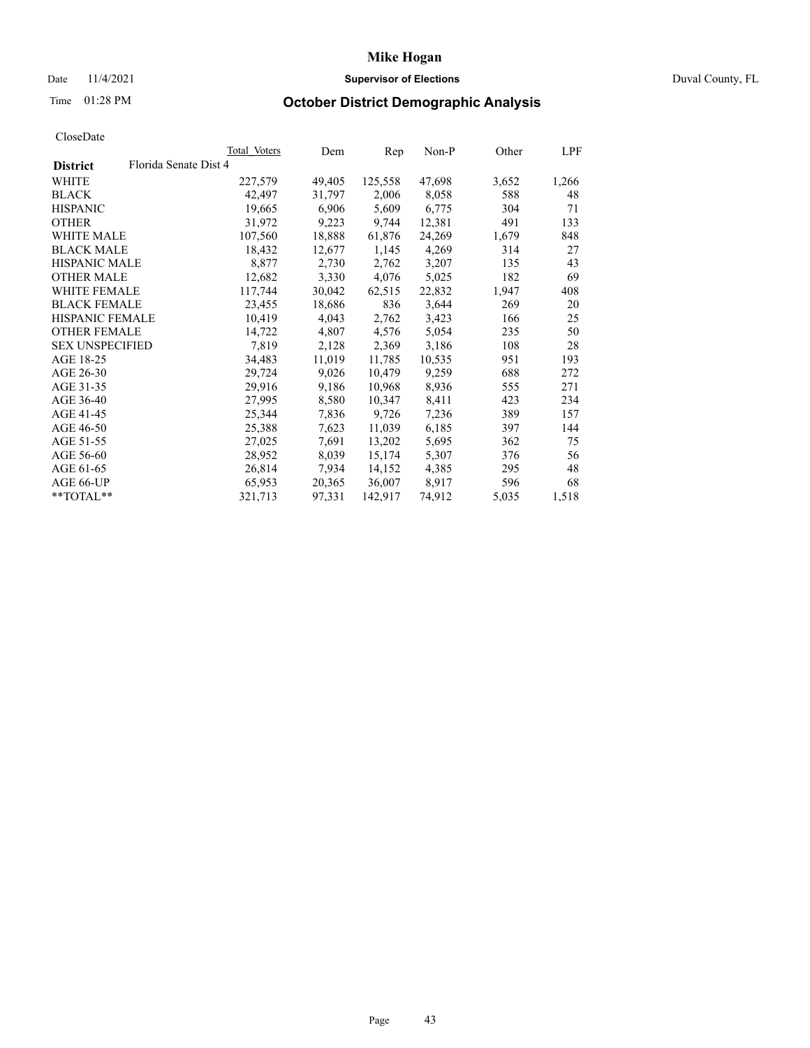## Date 11/4/2021 **Supervisor of Elections Supervisor of Elections** Duval County, FL

# Time 01:28 PM **October District Demographic Analysis**

|                        |                       | Total Voters | Dem    | Rep     | $Non-P$ | Other | LPF   |
|------------------------|-----------------------|--------------|--------|---------|---------|-------|-------|
| <b>District</b>        | Florida Senate Dist 4 |              |        |         |         |       |       |
| WHITE                  |                       | 227,579      | 49,405 | 125,558 | 47,698  | 3,652 | 1,266 |
| <b>BLACK</b>           |                       | 42,497       | 31,797 | 2,006   | 8,058   | 588   | 48    |
| <b>HISPANIC</b>        |                       | 19,665       | 6,906  | 5,609   | 6,775   | 304   | 71    |
| <b>OTHER</b>           |                       | 31,972       | 9,223  | 9,744   | 12,381  | 491   | 133   |
| <b>WHITE MALE</b>      |                       | 107,560      | 18,888 | 61,876  | 24,269  | 1,679 | 848   |
| <b>BLACK MALE</b>      |                       | 18,432       | 12,677 | 1,145   | 4,269   | 314   | 27    |
| <b>HISPANIC MALE</b>   |                       | 8,877        | 2,730  | 2,762   | 3,207   | 135   | 43    |
| <b>OTHER MALE</b>      |                       | 12,682       | 3,330  | 4,076   | 5,025   | 182   | 69    |
| <b>WHITE FEMALE</b>    |                       | 117,744      | 30,042 | 62,515  | 22,832  | 1,947 | 408   |
| <b>BLACK FEMALE</b>    |                       | 23,455       | 18,686 | 836     | 3,644   | 269   | 20    |
| HISPANIC FEMALE        |                       | 10,419       | 4,043  | 2,762   | 3,423   | 166   | 25    |
| <b>OTHER FEMALE</b>    |                       | 14,722       | 4,807  | 4,576   | 5,054   | 235   | 50    |
| <b>SEX UNSPECIFIED</b> |                       | 7,819        | 2,128  | 2,369   | 3,186   | 108   | 28    |
| AGE 18-25              |                       | 34,483       | 11,019 | 11,785  | 10,535  | 951   | 193   |
| AGE 26-30              |                       | 29,724       | 9,026  | 10,479  | 9,259   | 688   | 272   |
| AGE 31-35              |                       | 29,916       | 9,186  | 10,968  | 8,936   | 555   | 271   |
| AGE 36-40              |                       | 27,995       | 8,580  | 10,347  | 8,411   | 423   | 234   |
| AGE 41-45              |                       | 25,344       | 7,836  | 9,726   | 7,236   | 389   | 157   |
| AGE 46-50              |                       | 25,388       | 7,623  | 11,039  | 6,185   | 397   | 144   |
| AGE 51-55              |                       | 27,025       | 7,691  | 13,202  | 5,695   | 362   | 75    |
| AGE 56-60              |                       | 28,952       | 8,039  | 15,174  | 5,307   | 376   | 56    |
| AGE 61-65              |                       | 26,814       | 7,934  | 14,152  | 4,385   | 295   | 48    |
| AGE 66-UP              |                       | 65,953       | 20,365 | 36,007  | 8,917   | 596   | 68    |
| **TOTAL**              |                       | 321,713      | 97,331 | 142,917 | 74,912  | 5,035 | 1,518 |
|                        |                       |              |        |         |         |       |       |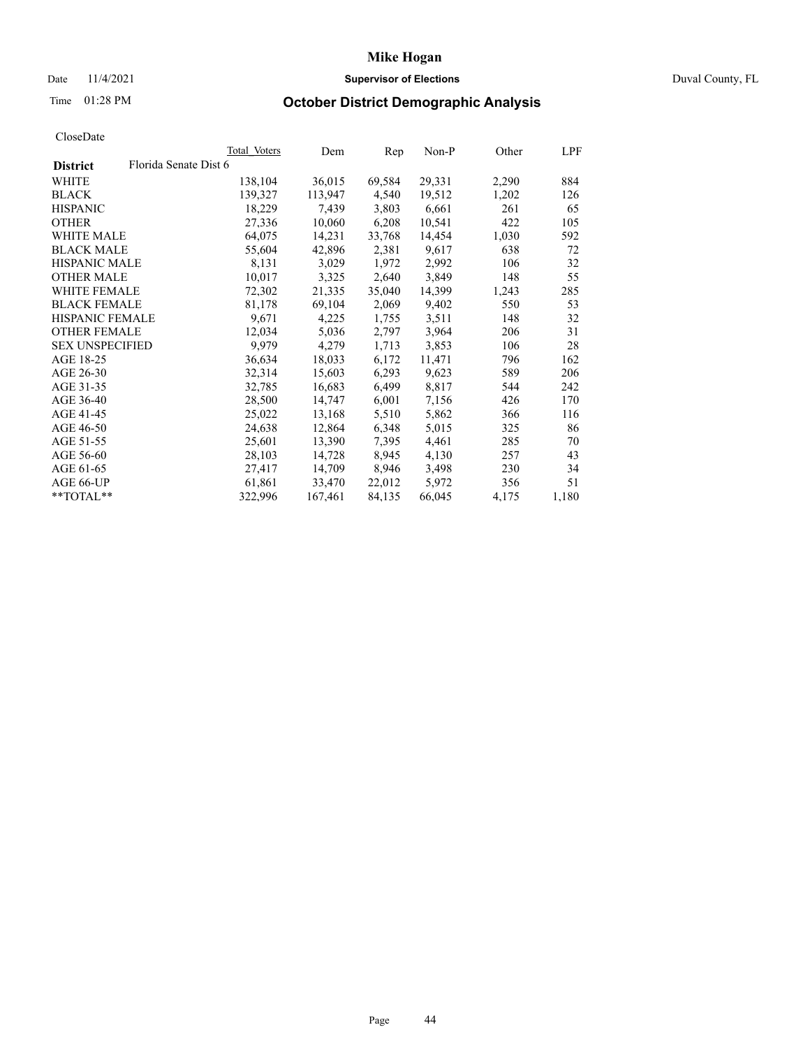## Date 11/4/2021 **Supervisor of Elections Supervisor of Elections** Duval County, FL

# Time 01:28 PM **October District Demographic Analysis**

|                        |                       | Total Voters | Dem     | Rep    | $Non-P$ | Other | <b>LPF</b> |
|------------------------|-----------------------|--------------|---------|--------|---------|-------|------------|
| <b>District</b>        | Florida Senate Dist 6 |              |         |        |         |       |            |
| WHITE                  |                       | 138,104      | 36,015  | 69,584 | 29,331  | 2,290 | 884        |
| <b>BLACK</b>           |                       | 139,327      | 113,947 | 4,540  | 19,512  | 1,202 | 126        |
| <b>HISPANIC</b>        |                       | 18,229       | 7,439   | 3,803  | 6,661   | 261   | 65         |
| <b>OTHER</b>           |                       | 27,336       | 10,060  | 6,208  | 10,541  | 422   | 105        |
| WHITE MALE             |                       | 64,075       | 14,231  | 33,768 | 14,454  | 1,030 | 592        |
| <b>BLACK MALE</b>      |                       | 55,604       | 42,896  | 2,381  | 9,617   | 638   | 72         |
| <b>HISPANIC MALE</b>   |                       | 8,131        | 3,029   | 1,972  | 2,992   | 106   | 32         |
| <b>OTHER MALE</b>      |                       | 10,017       | 3,325   | 2,640  | 3,849   | 148   | 55         |
| <b>WHITE FEMALE</b>    |                       | 72,302       | 21,335  | 35,040 | 14,399  | 1,243 | 285        |
| <b>BLACK FEMALE</b>    |                       | 81,178       | 69,104  | 2,069  | 9,402   | 550   | 53         |
| HISPANIC FEMALE        |                       | 9,671        | 4,225   | 1,755  | 3,511   | 148   | 32         |
| <b>OTHER FEMALE</b>    |                       | 12,034       | 5,036   | 2,797  | 3,964   | 206   | 31         |
| <b>SEX UNSPECIFIED</b> |                       | 9,979        | 4,279   | 1,713  | 3,853   | 106   | 28         |
| AGE 18-25              |                       | 36,634       | 18,033  | 6,172  | 11,471  | 796   | 162        |
| AGE 26-30              |                       | 32,314       | 15,603  | 6,293  | 9,623   | 589   | 206        |
| AGE 31-35              |                       | 32,785       | 16,683  | 6,499  | 8,817   | 544   | 242        |
| AGE 36-40              |                       | 28,500       | 14,747  | 6,001  | 7,156   | 426   | 170        |
| AGE 41-45              |                       | 25,022       | 13,168  | 5,510  | 5,862   | 366   | 116        |
| AGE 46-50              |                       | 24,638       | 12,864  | 6,348  | 5,015   | 325   | 86         |
| AGE 51-55              |                       | 25,601       | 13,390  | 7,395  | 4,461   | 285   | 70         |
| AGE 56-60              |                       | 28,103       | 14,728  | 8,945  | 4,130   | 257   | 43         |
| AGE 61-65              |                       | 27,417       | 14,709  | 8,946  | 3,498   | 230   | 34         |
| AGE 66-UP              |                       | 61,861       | 33,470  | 22,012 | 5,972   | 356   | 51         |
| $*$ $TOTAL**$          |                       | 322,996      | 167,461 | 84,135 | 66,045  | 4,175 | 1,180      |
|                        |                       |              |         |        |         |       |            |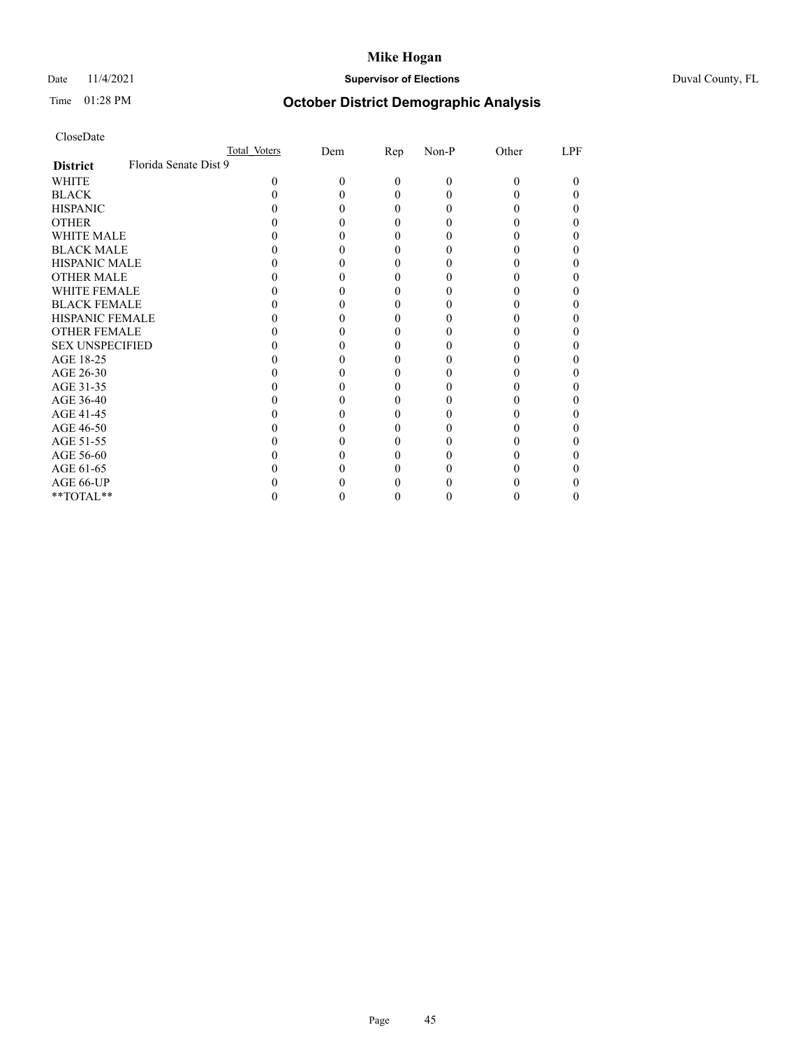## Date 11/4/2021 **Supervisor of Elections** Duval County, FL

# Time 01:28 PM **October District Demographic Analysis**

|                        |                       | Total Voters | Dem | Rep          | Non-P    | Other | LPF |
|------------------------|-----------------------|--------------|-----|--------------|----------|-------|-----|
| <b>District</b>        | Florida Senate Dist 9 |              |     |              |          |       |     |
| <b>WHITE</b>           |                       | $\Omega$     | 0   | $\theta$     | $\theta$ | 0     | 0   |
| <b>BLACK</b>           |                       |              |     | $\mathbf{0}$ | 0        |       |     |
| <b>HISPANIC</b>        |                       |              |     | $\theta$     |          |       |     |
| <b>OTHER</b>           |                       |              |     |              |          |       |     |
| <b>WHITE MALE</b>      |                       |              |     |              |          |       |     |
| <b>BLACK MALE</b>      |                       |              |     |              |          |       |     |
| <b>HISPANIC MALE</b>   |                       |              |     |              |          |       |     |
| <b>OTHER MALE</b>      |                       |              |     |              |          |       |     |
| <b>WHITE FEMALE</b>    |                       |              |     |              |          |       |     |
| <b>BLACK FEMALE</b>    |                       |              |     |              |          |       |     |
| HISPANIC FEMALE        |                       |              |     |              |          |       |     |
| <b>OTHER FEMALE</b>    |                       |              |     |              |          |       |     |
| <b>SEX UNSPECIFIED</b> |                       |              |     |              |          |       |     |
| AGE 18-25              |                       |              |     |              |          |       |     |
| AGE 26-30              |                       |              |     |              |          |       |     |
| AGE 31-35              |                       |              |     |              |          |       |     |
| AGE 36-40              |                       |              |     |              |          |       |     |
| AGE 41-45              |                       |              |     |              |          |       |     |
| AGE 46-50              |                       |              |     |              |          |       |     |
| AGE 51-55              |                       |              |     |              |          |       |     |
| AGE 56-60              |                       |              |     |              |          |       |     |
| AGE 61-65              |                       |              |     |              |          |       |     |
| AGE 66-UP              |                       |              |     |              |          |       |     |
| **TOTAL**              |                       |              |     | $_{0}$       | 0        | 0     |     |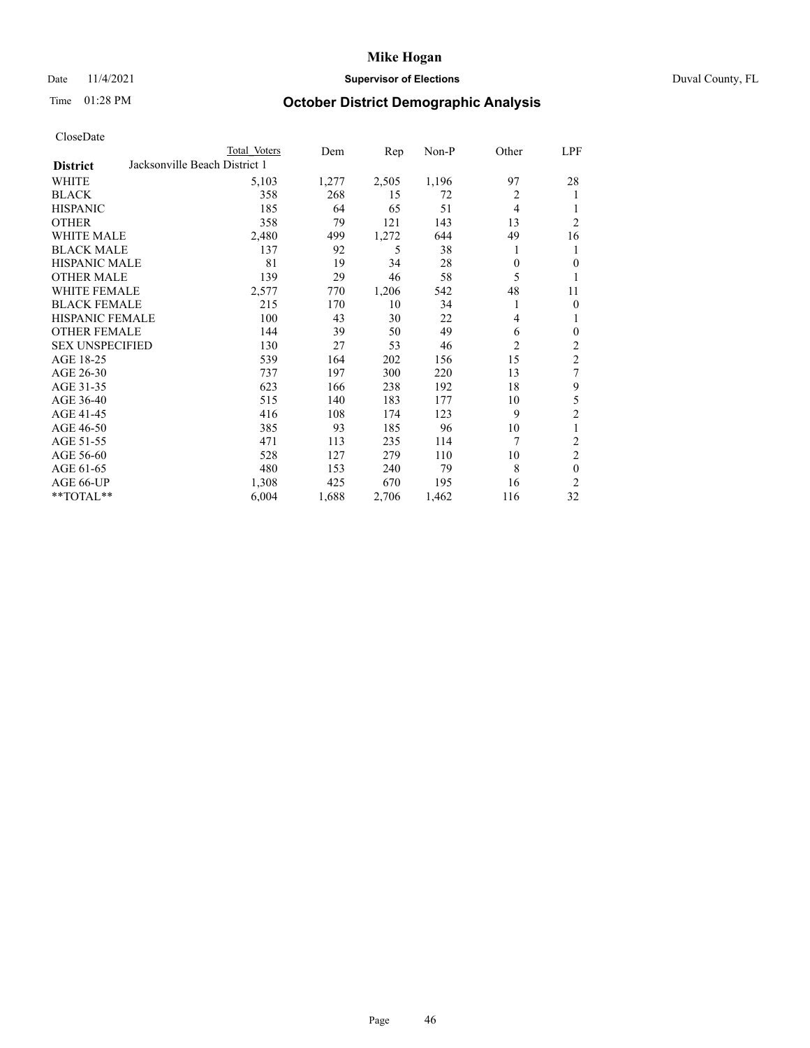## Date 11/4/2021 **Supervisor of Elections Supervisor of Elections** Duval County, FL

# Time 01:28 PM **October District Demographic Analysis**

|                                                  | Total Voters | Dem   | Rep   | $Non-P$ | Other          | <u>LPF</u>     |
|--------------------------------------------------|--------------|-------|-------|---------|----------------|----------------|
| Jacksonville Beach District 1<br><b>District</b> |              |       |       |         |                |                |
| WHITE                                            | 5,103        | 1,277 | 2,505 | 1,196   | 97             | 28             |
| <b>BLACK</b>                                     | 358          | 268   | 15    | 72      | $\overline{2}$ | 1              |
| <b>HISPANIC</b>                                  | 185          | 64    | 65    | 51      | 4              | 1              |
| <b>OTHER</b>                                     | 358          | 79    | 121   | 143     | 13             | $\overline{2}$ |
| <b>WHITE MALE</b>                                | 2,480        | 499   | 1,272 | 644     | 49             | 16             |
| <b>BLACK MALE</b>                                | 137          | 92    | 5     | 38      | 1              | 1              |
| <b>HISPANIC MALE</b>                             | 81           | 19    | 34    | 28      | 0              | $\theta$       |
| <b>OTHER MALE</b>                                | 139          | 29    | 46    | 58      | 5              | 1              |
| WHITE FEMALE                                     | 2,577        | 770   | 1,206 | 542     | 48             | 11             |
| <b>BLACK FEMALE</b>                              | 215          | 170   | 10    | 34      | 1              | $\theta$       |
| <b>HISPANIC FEMALE</b>                           | 100          | 43    | 30    | 22      | 4              | 1              |
| <b>OTHER FEMALE</b>                              | 144          | 39    | 50    | 49      | 6              | $\mathbf{0}$   |
| <b>SEX UNSPECIFIED</b>                           | 130          | 27    | 53    | 46      | 2              | $\overline{c}$ |
| AGE 18-25                                        | 539          | 164   | 202   | 156     | 15             | $\overline{2}$ |
| AGE 26-30                                        | 737          | 197   | 300   | 220     | 13             | 7              |
| AGE 31-35                                        | 623          | 166   | 238   | 192     | 18             | 9              |
| AGE 36-40                                        | 515          | 140   | 183   | 177     | 10             | 5              |
| AGE 41-45                                        | 416          | 108   | 174   | 123     | 9              | $\overline{2}$ |
| AGE 46-50                                        | 385          | 93    | 185   | 96      | 10             | 1              |
| AGE 51-55                                        | 471          | 113   | 235   | 114     | 7              | $\overline{2}$ |
| AGE 56-60                                        | 528          | 127   | 279   | 110     | 10             | $\overline{2}$ |
| AGE 61-65                                        | 480          | 153   | 240   | 79      | 8              | $\theta$       |
| AGE 66-UP                                        | 1,308        | 425   | 670   | 195     | 16             | 2              |
| **TOTAL**                                        | 6,004        | 1,688 | 2,706 | 1,462   | 116            | 32             |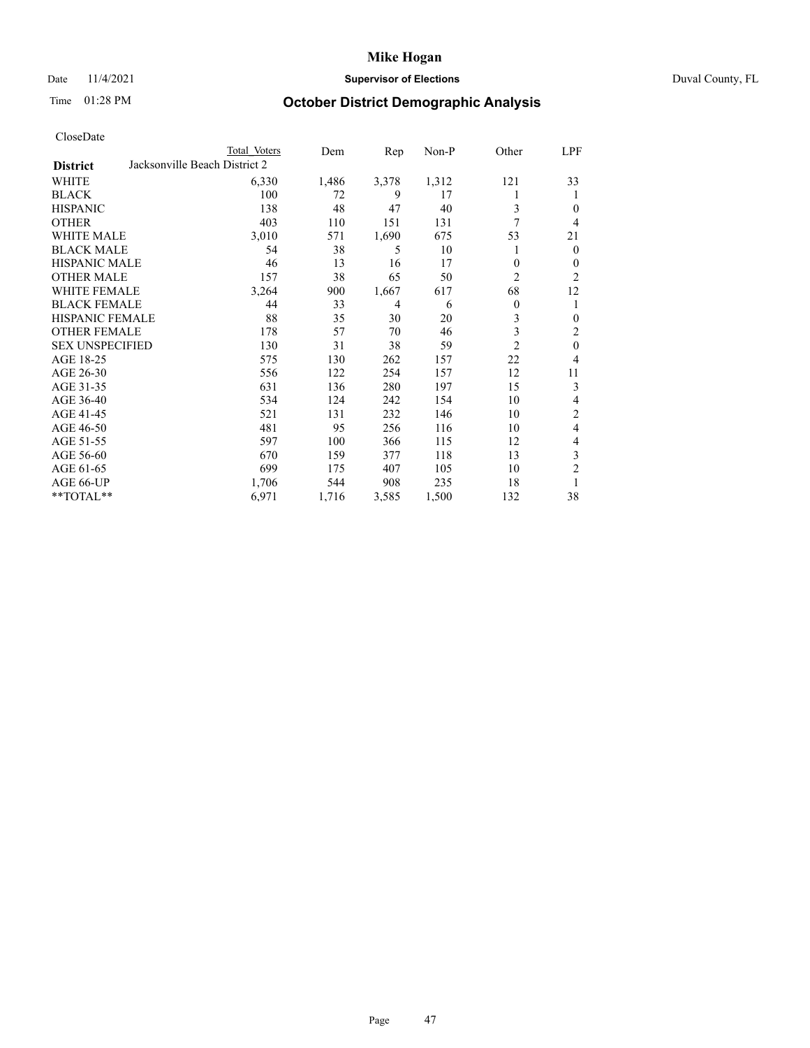## Date 11/4/2021 **Supervisor of Elections** Duval County, FL

# Time 01:28 PM **October District Demographic Analysis**

|                        |                               | Total Voters | Dem   | $\mathbf{Rep}$ | Non-P | Other          | LPF            |
|------------------------|-------------------------------|--------------|-------|----------------|-------|----------------|----------------|
| <b>District</b>        | Jacksonville Beach District 2 |              |       |                |       |                |                |
| WHITE                  |                               | 6,330        | 1,486 | 3,378          | 1,312 | 121            | 33             |
| <b>BLACK</b>           |                               | 100          | 72    | 9              | 17    |                | 1              |
| <b>HISPANIC</b>        |                               | 138          | 48    | 47             | 40    | 3              | $\theta$       |
| <b>OTHER</b>           |                               | 403          | 110   | 151            | 131   | 7              | 4              |
| <b>WHITE MALE</b>      |                               | 3,010        | 571   | 1,690          | 675   | 53             | 21             |
| <b>BLACK MALE</b>      |                               | 54           | 38    | 5              | 10    | 1              | $\theta$       |
| <b>HISPANIC MALE</b>   |                               | 46           | 13    | 16             | 17    | 0              | $\mathbf{0}$   |
| <b>OTHER MALE</b>      |                               | 157          | 38    | 65             | 50    | 2              | $\overline{2}$ |
| WHITE FEMALE           |                               | 3,264        | 900   | 1,667          | 617   | 68             | 12             |
| <b>BLACK FEMALE</b>    |                               | 44           | 33    | 4              | 6     | $\overline{0}$ | 1              |
| <b>HISPANIC FEMALE</b> |                               | 88           | 35    | 30             | 20    | 3              | $\theta$       |
| <b>OTHER FEMALE</b>    |                               | 178          | 57    | 70             | 46    | 3              | 2              |
| <b>SEX UNSPECIFIED</b> |                               | 130          | 31    | 38             | 59    | $\overline{2}$ | $\mathbf{0}$   |
| AGE 18-25              |                               | 575          | 130   | 262            | 157   | 22             | 4              |
| AGE 26-30              |                               | 556          | 122   | 254            | 157   | 12             | 11             |
| AGE 31-35              |                               | 631          | 136   | 280            | 197   | 15             | 3              |
| AGE 36-40              |                               | 534          | 124   | 242            | 154   | 10             | 4              |
| AGE 41-45              |                               | 521          | 131   | 232            | 146   | 10             | $\overline{2}$ |
| AGE 46-50              |                               | 481          | 95    | 256            | 116   | 10             | 4              |
| AGE 51-55              |                               | 597          | 100   | 366            | 115   | 12             | 4              |
| AGE 56-60              |                               | 670          | 159   | 377            | 118   | 13             | 3              |
| AGE 61-65              |                               | 699          | 175   | 407            | 105   | 10             | $\overline{2}$ |
| AGE 66-UP              |                               | 1,706        | 544   | 908            | 235   | 18             | 1              |
| **TOTAL**              |                               | 6,971        | 1,716 | 3,585          | 1,500 | 132            | 38             |